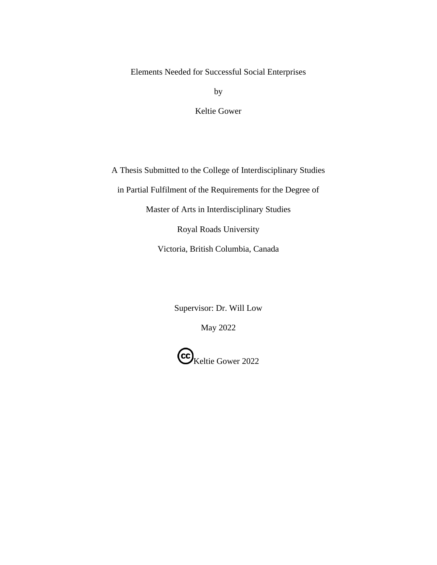by

Keltie Gower

A Thesis Submitted to the College of Interdisciplinary Studies in Partial Fulfilment of the Requirements for the Degree of Master of Arts in Interdisciplinary Studies Royal Roads University

Victoria, British Columbia, Canada

Supervisor: Dr. Will Low

May 2022

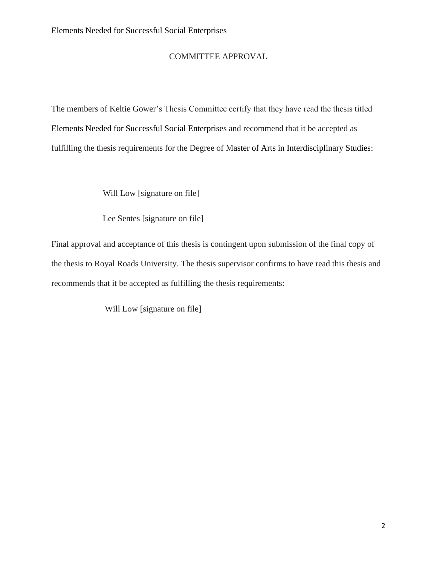## COMMITTEE APPROVAL

The members of Keltie Gower's Thesis Committee certify that they have read the thesis titled Elements Needed for Successful Social Enterprises and recommend that it be accepted as fulfilling the thesis requirements for the Degree of Master of Arts in Interdisciplinary Studies:

Will Low [signature on file]

Lee Sentes [signature on file]

Final approval and acceptance of this thesis is contingent upon submission of the final copy of the thesis to Royal Roads University. The thesis supervisor confirms to have read this thesis and recommends that it be accepted as fulfilling the thesis requirements:

Will Low [signature on file]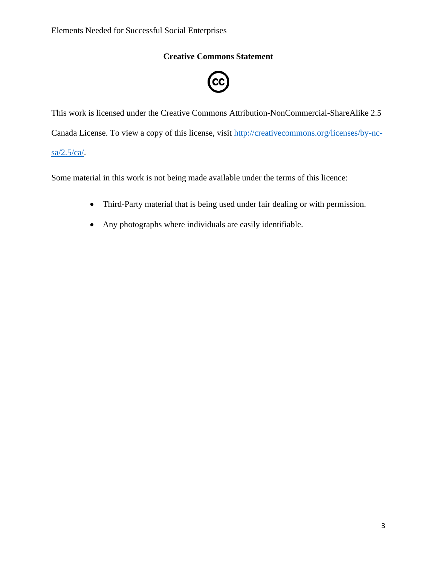## **Creative Commons Statement**



This work is licensed under the Creative Commons Attribution-NonCommercial-ShareAlike 2.5 Canada License. To view a copy of this license, visit [http://creativecommons.org/licenses/by-nc](http://creativecommons.org/licenses/by-nc-sa/2.5/ca/)[sa/2.5/ca/.](http://creativecommons.org/licenses/by-nc-sa/2.5/ca/)

Some material in this work is not being made available under the terms of this licence:

- Third-Party material that is being used under fair dealing or with permission.
- Any photographs where individuals are easily identifiable.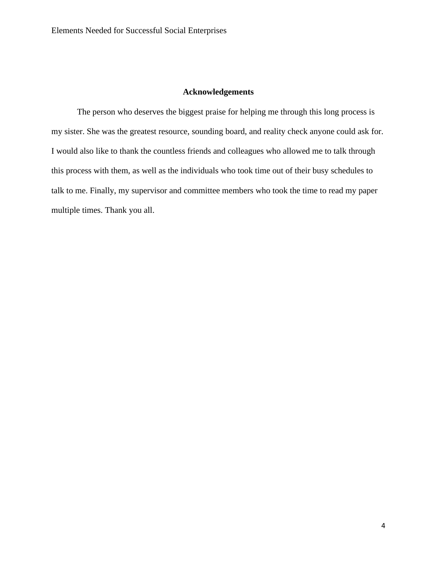## **Acknowledgements**

<span id="page-3-0"></span>The person who deserves the biggest praise for helping me through this long process is my sister. She was the greatest resource, sounding board, and reality check anyone could ask for. I would also like to thank the countless friends and colleagues who allowed me to talk through this process with them, as well as the individuals who took time out of their busy schedules to talk to me. Finally, my supervisor and committee members who took the time to read my paper multiple times. Thank you all.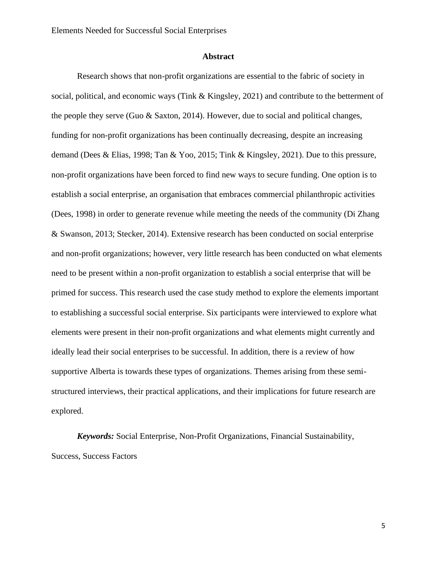## **Abstract**

<span id="page-4-0"></span>Research shows that non-profit organizations are essential to the fabric of society in social, political, and economic ways (Tink & Kingsley, 2021) and contribute to the betterment of the people they serve (Guo & Saxton, 2014). However, due to social and political changes, funding for non-profit organizations has been continually decreasing, despite an increasing demand (Dees & Elias, 1998; Tan & Yoo, 2015; Tink & Kingsley, 2021). Due to this pressure, non-profit organizations have been forced to find new ways to secure funding. One option is to establish a social enterprise, an organisation that embraces commercial philanthropic activities (Dees, 1998) in order to generate revenue while meeting the needs of the community (Di Zhang & Swanson, 2013; Stecker, 2014). Extensive research has been conducted on social enterprise and non-profit organizations; however, very little research has been conducted on what elements need to be present within a non-profit organization to establish a social enterprise that will be primed for success. This research used the case study method to explore the elements important to establishing a successful social enterprise. Six participants were interviewed to explore what elements were present in their non-profit organizations and what elements might currently and ideally lead their social enterprises to be successful. In addition, there is a review of how supportive Alberta is towards these types of organizations. Themes arising from these semistructured interviews, their practical applications, and their implications for future research are explored.

*Keywords:* Social Enterprise, Non-Profit Organizations, Financial Sustainability, Success, Success Factors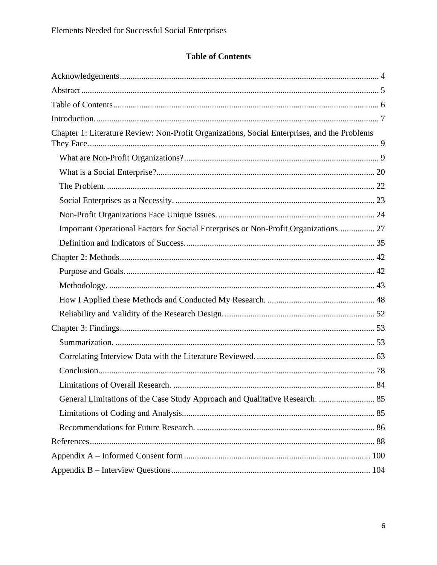# **Table of Contents**

<span id="page-5-0"></span>

| Chapter 1: Literature Review: Non-Profit Organizations, Social Enterprises, and the Problems |  |
|----------------------------------------------------------------------------------------------|--|
|                                                                                              |  |
|                                                                                              |  |
|                                                                                              |  |
|                                                                                              |  |
|                                                                                              |  |
| Important Operational Factors for Social Enterprises or Non-Profit Organizations 27          |  |
|                                                                                              |  |
|                                                                                              |  |
|                                                                                              |  |
|                                                                                              |  |
|                                                                                              |  |
|                                                                                              |  |
|                                                                                              |  |
|                                                                                              |  |
|                                                                                              |  |
|                                                                                              |  |
|                                                                                              |  |
| General Limitations of the Case Study Approach and Qualitative Research.  85                 |  |
|                                                                                              |  |
|                                                                                              |  |
|                                                                                              |  |
|                                                                                              |  |
|                                                                                              |  |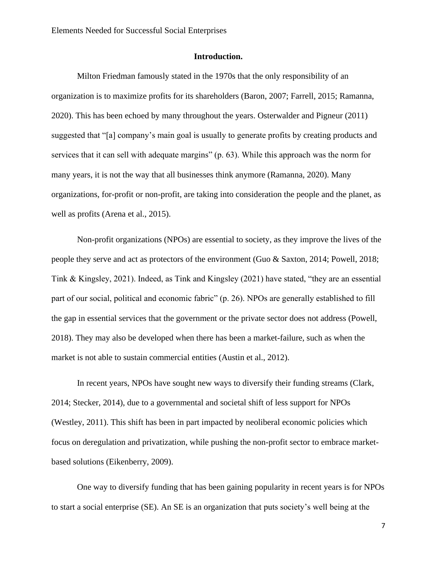## **Introduction.**

<span id="page-6-0"></span>Milton Friedman famously stated in the 1970s that the only responsibility of an organization is to maximize profits for its shareholders (Baron, 2007; Farrell, 2015; Ramanna, 2020). This has been echoed by many throughout the years. Osterwalder and Pigneur (2011) suggested that "[a] company's main goal is usually to generate profits by creating products and services that it can sell with adequate margins" (p. 63). While this approach was the norm for many years, it is not the way that all businesses think anymore (Ramanna, 2020). Many organizations, for-profit or non-profit, are taking into consideration the people and the planet, as well as profits (Arena et al., 2015).

Non-profit organizations (NPOs) are essential to society, as they improve the lives of the people they serve and act as protectors of the environment (Guo & Saxton, 2014; Powell, 2018; Tink & Kingsley, 2021). Indeed, as Tink and Kingsley (2021) have stated, "they are an essential part of our social, political and economic fabric" (p. 26). NPOs are generally established to fill the gap in essential services that the government or the private sector does not address (Powell, 2018). They may also be developed when there has been a market-failure, such as when the market is not able to sustain commercial entities (Austin et al., 2012).

In recent years, NPOs have sought new ways to diversify their funding streams (Clark, 2014; Stecker, 2014), due to a governmental and societal shift of less support for NPOs (Westley, 2011). This shift has been in part impacted by neoliberal economic policies which focus on deregulation and privatization, while pushing the non-profit sector to embrace marketbased solutions (Eikenberry, 2009).

One way to diversify funding that has been gaining popularity in recent years is for NPOs to start a social enterprise (SE). An SE is an organization that puts society's well being at the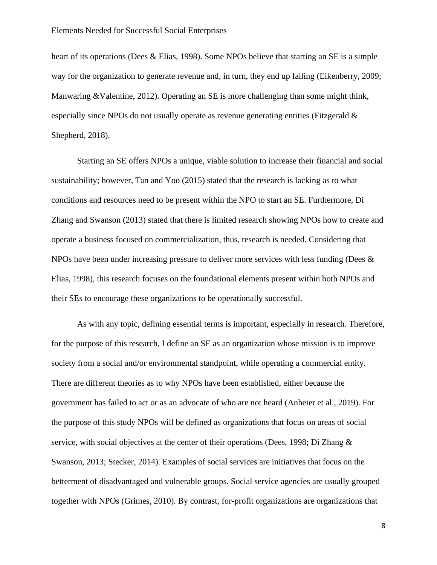heart of its operations (Dees & Elias, 1998). Some NPOs believe that starting an SE is a simple way for the organization to generate revenue and, in turn, they end up failing (Eikenberry, 2009; Manwaring &Valentine, 2012). Operating an SE is more challenging than some might think, especially since NPOs do not usually operate as revenue generating entities (Fitzgerald & Shepherd, 2018).

Starting an SE offers NPOs a unique, viable solution to increase their financial and social sustainability; however, Tan and Yoo (2015) stated that the research is lacking as to what conditions and resources need to be present within the NPO to start an SE. Furthermore, Di Zhang and Swanson (2013) stated that there is limited research showing NPOs how to create and operate a business focused on commercialization, thus, research is needed. Considering that NPOs have been under increasing pressure to deliver more services with less funding (Dees & Elias, 1998), this research focuses on the foundational elements present within both NPOs and their SEs to encourage these organizations to be operationally successful.

As with any topic, defining essential terms is important, especially in research. Therefore, for the purpose of this research, I define an SE as an organization whose mission is to improve society from a social and/or environmental standpoint, while operating a commercial entity. There are different theories as to why NPOs have been established, either because the government has failed to act or as an advocate of who are not heard (Anheier et al., 2019). For the purpose of this study NPOs will be defined as organizations that focus on areas of social service, with social objectives at the center of their operations (Dees, 1998; Di Zhang & Swanson, 2013; Stecker, 2014). Examples of social services are initiatives that focus on the betterment of disadvantaged and vulnerable groups. Social service agencies are usually grouped together with NPOs (Grimes, 2010). By contrast, for-profit organizations are organizations that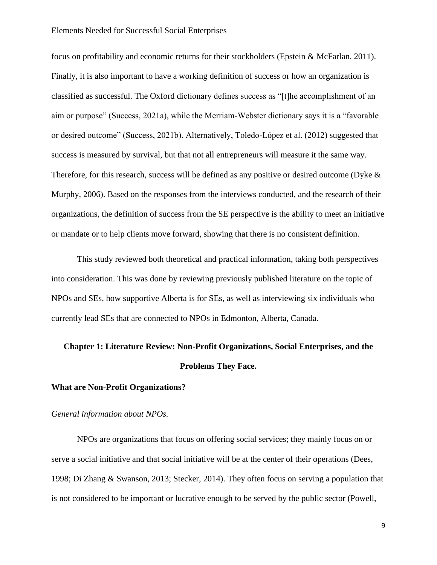focus on profitability and economic returns for their stockholders (Epstein & McFarlan, 2011). Finally, it is also important to have a working definition of success or how an organization is classified as successful. The Oxford dictionary defines success as "[t]he accomplishment of an aim or purpose" (Success, 2021a), while the Merriam-Webster dictionary says it is a "favorable or desired outcome" (Success, 2021b). Alternatively, Toledo-López et al. (2012) suggested that success is measured by survival, but that not all entrepreneurs will measure it the same way. Therefore, for this research, success will be defined as any positive or desired outcome (Dyke & Murphy, 2006). Based on the responses from the interviews conducted, and the research of their organizations, the definition of success from the SE perspective is the ability to meet an initiative or mandate or to help clients move forward, showing that there is no consistent definition.

This study reviewed both theoretical and practical information, taking both perspectives into consideration. This was done by reviewing previously published literature on the topic of NPOs and SEs, how supportive Alberta is for SEs, as well as interviewing six individuals who currently lead SEs that are connected to NPOs in Edmonton, Alberta, Canada.

# <span id="page-8-0"></span>**Chapter 1: Literature Review: Non-Profit Organizations, Social Enterprises, and the Problems They Face.**

## <span id="page-8-1"></span>**What are Non-Profit Organizations?**

## *General information about NPOs.*

NPOs are organizations that focus on offering social services; they mainly focus on or serve a social initiative and that social initiative will be at the center of their operations (Dees, 1998; Di Zhang & Swanson, 2013; Stecker, 2014). They often focus on serving a population that is not considered to be important or lucrative enough to be served by the public sector (Powell,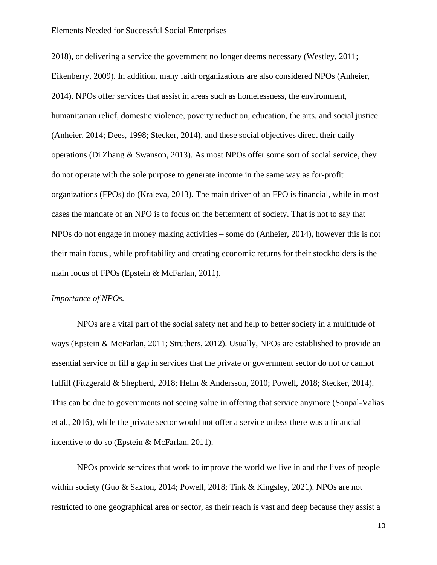2018), or delivering a service the government no longer deems necessary (Westley, 2011; Eikenberry, 2009). In addition, many faith organizations are also considered NPOs (Anheier, 2014). NPOs offer services that assist in areas such as homelessness, the environment, humanitarian relief, domestic violence, poverty reduction, education, the arts, and social justice (Anheier, 2014; Dees, 1998; Stecker, 2014), and these social objectives direct their daily operations (Di Zhang & Swanson, 2013). As most NPOs offer some sort of social service, they do not operate with the sole purpose to generate income in the same way as for-profit organizations (FPOs) do (Kraleva, 2013). The main driver of an FPO is financial, while in most cases the mandate of an NPO is to focus on the betterment of society. That is not to say that NPOs do not engage in money making activities – some do (Anheier, 2014), however this is not their main focus., while profitability and creating economic returns for their stockholders is the main focus of FPOs (Epstein & McFarlan, 2011).

## *Importance of NPOs.*

NPOs are a vital part of the social safety net and help to better society in a multitude of ways (Epstein & McFarlan, 2011; Struthers, 2012). Usually, NPOs are established to provide an essential service or fill a gap in services that the private or government sector do not or cannot fulfill (Fitzgerald & Shepherd, 2018; Helm & Andersson, 2010; Powell, 2018; Stecker, 2014). This can be due to governments not seeing value in offering that service anymore (Sonpal-Valias et al., 2016), while the private sector would not offer a service unless there was a financial incentive to do so (Epstein & McFarlan, 2011).

NPOs provide services that work to improve the world we live in and the lives of people within society (Guo & Saxton, 2014; Powell, 2018; Tink & Kingsley, 2021). NPOs are not restricted to one geographical area or sector, as their reach is vast and deep because they assist a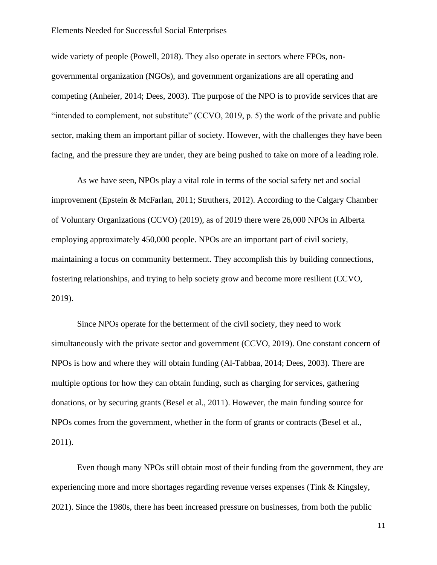wide variety of people (Powell, 2018). They also operate in sectors where FPOs, nongovernmental organization (NGOs), and government organizations are all operating and competing (Anheier, 2014; Dees, 2003). The purpose of the NPO is to provide services that are "intended to complement, not substitute" (CCVO, 2019, p. 5) the work of the private and public sector, making them an important pillar of society. However, with the challenges they have been facing, and the pressure they are under, they are being pushed to take on more of a leading role.

As we have seen, NPOs play a vital role in terms of the social safety net and social improvement (Epstein & McFarlan, 2011; Struthers, 2012). According to the Calgary Chamber of Voluntary Organizations (CCVO) (2019), as of 2019 there were 26,000 NPOs in Alberta employing approximately 450,000 people. NPOs are an important part of civil society, maintaining a focus on community betterment. They accomplish this by building connections, fostering relationships, and trying to help society grow and become more resilient (CCVO, 2019).

Since NPOs operate for the betterment of the civil society, they need to work simultaneously with the private sector and government (CCVO, 2019). One constant concern of NPOs is how and where they will obtain funding (Al-Tabbaa, 2014; Dees, 2003). There are multiple options for how they can obtain funding, such as charging for services, gathering donations, or by securing grants (Besel et al., 2011). However, the main funding source for NPOs comes from the government, whether in the form of grants or contracts (Besel et al., 2011).

Even though many NPOs still obtain most of their funding from the government, they are experiencing more and more shortages regarding revenue verses expenses (Tink & Kingsley, 2021). Since the 1980s, there has been increased pressure on businesses, from both the public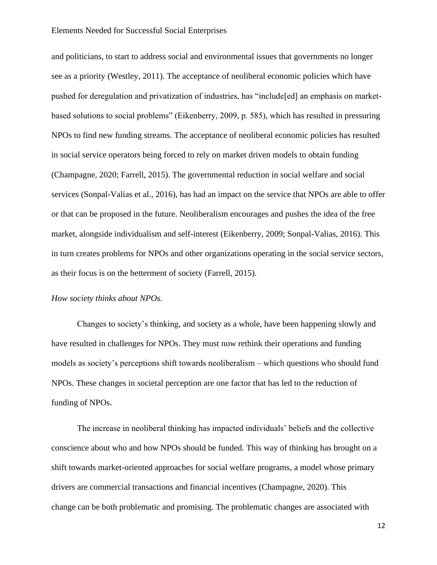and politicians, to start to address social and environmental issues that governments no longer see as a priority (Westley, 2011). The acceptance of neoliberal economic policies which have pushed for deregulation and privatization of industries, has "include[ed] an emphasis on marketbased solutions to social problems" (Eikenberry, 2009, p. 585), which has resulted in pressuring NPOs to find new funding streams. The acceptance of neoliberal economic policies has resulted in social service operators being forced to rely on market driven models to obtain funding (Champagne, 2020; Farrell, 2015). The governmental reduction in social welfare and social services (Sonpal-Valias et al., 2016), has had an impact on the service that NPOs are able to offer or that can be proposed in the future. Neoliberalism encourages and pushes the idea of the free market, alongside individualism and self-interest (Eikenberry, 2009; Sonpal-Valias, 2016). This in turn creates problems for NPOs and other organizations operating in the social service sectors, as their focus is on the betterment of society (Farrell, 2015).

## *How society thinks about NPOs.*

Changes to society's thinking, and society as a whole, have been happening slowly and have resulted in challenges for NPOs. They must now rethink their operations and funding models as society's perceptions shift towards neoliberalism – which questions who should fund NPOs. These changes in societal perception are one factor that has led to the reduction of funding of NPOs.

The increase in neoliberal thinking has impacted individuals' beliefs and the collective conscience about who and how NPOs should be funded. This way of thinking has brought on a shift towards market-oriented approaches for social welfare programs, a model whose primary drivers are commercial transactions and financial incentives (Champagne, 2020). This change can be both problematic and promising. The problematic changes are associated with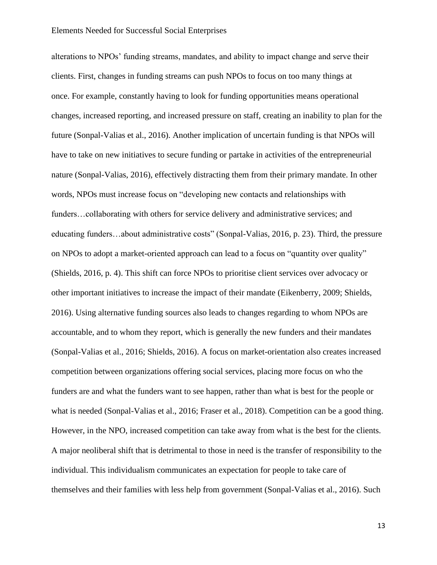alterations to NPOs' funding streams, mandates, and ability to impact change and serve their clients. First, changes in funding streams can push NPOs to focus on too many things at once. For example, constantly having to look for funding opportunities means operational changes, increased reporting, and increased pressure on staff, creating an inability to plan for the future (Sonpal-Valias et al., 2016). Another implication of uncertain funding is that NPOs will have to take on new initiatives to secure funding or partake in activities of the entrepreneurial nature (Sonpal-Valias, 2016), effectively distracting them from their primary mandate. In other words, NPOs must increase focus on "developing new contacts and relationships with funders…collaborating with others for service delivery and administrative services; and educating funders…about administrative costs" (Sonpal-Valias, 2016, p. 23). Third, the pressure on NPOs to adopt a market-oriented approach can lead to a focus on "quantity over quality" (Shields, 2016, p. 4). This shift can force NPOs to prioritise client services over advocacy or other important initiatives to increase the impact of their mandate (Eikenberry, 2009; Shields, 2016). Using alternative funding sources also leads to changes regarding to whom NPOs are accountable, and to whom they report, which is generally the new funders and their mandates (Sonpal-Valias et al., 2016; Shields, 2016). A focus on market-orientation also creates increased competition between organizations offering social services, placing more focus on who the funders are and what the funders want to see happen, rather than what is best for the people or what is needed (Sonpal-Valias et al., 2016; Fraser et al., 2018). Competition can be a good thing. However, in the NPO, increased competition can take away from what is the best for the clients. A major neoliberal shift that is detrimental to those in need is the transfer of responsibility to the individual. This individualism communicates an expectation for people to take care of themselves and their families with less help from government (Sonpal-Valias et al., 2016). Such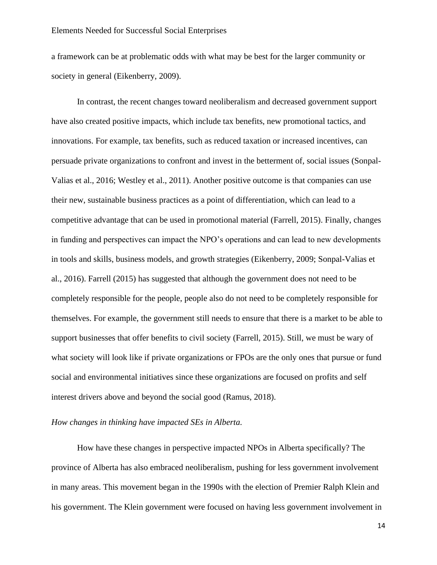a framework can be at problematic odds with what may be best for the larger community or society in general (Eikenberry, 2009).

In contrast, the recent changes toward neoliberalism and decreased government support have also created positive impacts, which include tax benefits, new promotional tactics, and innovations. For example, tax benefits, such as reduced taxation or increased incentives, can persuade private organizations to confront and invest in the betterment of, social issues (Sonpal-Valias et al., 2016; Westley et al., 2011). Another positive outcome is that companies can use their new, sustainable business practices as a point of differentiation, which can lead to a competitive advantage that can be used in promotional material (Farrell, 2015). Finally, changes in funding and perspectives can impact the NPO's operations and can lead to new developments in tools and skills, business models, and growth strategies (Eikenberry, 2009; Sonpal-Valias et al., 2016). Farrell (2015) has suggested that although the government does not need to be completely responsible for the people, people also do not need to be completely responsible for themselves. For example, the government still needs to ensure that there is a market to be able to support businesses that offer benefits to civil society (Farrell, 2015). Still, we must be wary of what society will look like if private organizations or FPOs are the only ones that pursue or fund social and environmental initiatives since these organizations are focused on profits and self interest drivers above and beyond the social good (Ramus, 2018).

## *How changes in thinking have impacted SEs in Alberta.*

How have these changes in perspective impacted NPOs in Alberta specifically? The province of Alberta has also embraced neoliberalism, pushing for less government involvement in many areas. This movement began in the 1990s with the election of Premier Ralph Klein and his government. The Klein government were focused on having less government involvement in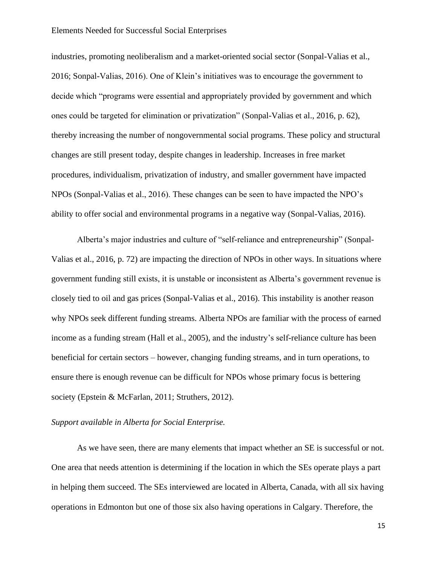industries, promoting neoliberalism and a market-oriented social sector (Sonpal-Valias et al., 2016; Sonpal-Valias, 2016). One of Klein's initiatives was to encourage the government to decide which "programs were essential and appropriately provided by government and which ones could be targeted for elimination or privatization" (Sonpal-Valias et al., 2016, p. 62), thereby increasing the number of nongovernmental social programs. These policy and structural changes are still present today, despite changes in leadership. Increases in free market procedures, individualism, privatization of industry, and smaller government have impacted NPOs (Sonpal-Valias et al., 2016). These changes can be seen to have impacted the NPO's ability to offer social and environmental programs in a negative way (Sonpal-Valias, 2016).

Alberta's major industries and culture of "self-reliance and entrepreneurship" (Sonpal-Valias et al., 2016, p. 72) are impacting the direction of NPOs in other ways. In situations where government funding still exists, it is unstable or inconsistent as Alberta's government revenue is closely tied to oil and gas prices (Sonpal-Valias et al., 2016). This instability is another reason why NPOs seek different funding streams. Alberta NPOs are familiar with the process of earned income as a funding stream (Hall et al., 2005), and the industry's self-reliance culture has been beneficial for certain sectors – however, changing funding streams, and in turn operations, to ensure there is enough revenue can be difficult for NPOs whose primary focus is bettering society (Epstein & McFarlan, 2011; Struthers, 2012).

## *Support available in Alberta for Social Enterprise.*

As we have seen, there are many elements that impact whether an SE is successful or not. One area that needs attention is determining if the location in which the SEs operate plays a part in helping them succeed. The SEs interviewed are located in Alberta, Canada, with all six having operations in Edmonton but one of those six also having operations in Calgary. Therefore, the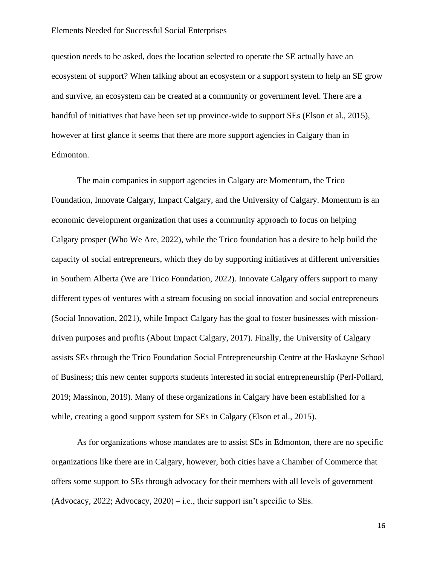question needs to be asked, does the location selected to operate the SE actually have an ecosystem of support? When talking about an ecosystem or a support system to help an SE grow and survive, an ecosystem can be created at a community or government level. There are a handful of initiatives that have been set up province-wide to support SEs (Elson et al., 2015), however at first glance it seems that there are more support agencies in Calgary than in Edmonton.

The main companies in support agencies in Calgary are Momentum, the Trico Foundation, Innovate Calgary, Impact Calgary, and the University of Calgary. Momentum is an economic development organization that uses a community approach to focus on helping Calgary prosper (Who We Are, 2022), while the Trico foundation has a desire to help build the capacity of social entrepreneurs, which they do by supporting initiatives at different universities in Southern Alberta (We are Trico Foundation, 2022). Innovate Calgary offers support to many different types of ventures with a stream focusing on social innovation and social entrepreneurs (Social Innovation, 2021), while Impact Calgary has the goal to foster businesses with missiondriven purposes and profits (About Impact Calgary, 2017). Finally, the University of Calgary assists SEs through the Trico Foundation Social Entrepreneurship Centre at the Haskayne School of Business; this new center supports students interested in social entrepreneurship (Perl-Pollard, 2019; Massinon, 2019). Many of these organizations in Calgary have been established for a while, creating a good support system for SEs in Calgary (Elson et al., 2015).

As for organizations whose mandates are to assist SEs in Edmonton, there are no specific organizations like there are in Calgary, however, both cities have a Chamber of Commerce that offers some support to SEs through advocacy for their members with all levels of government (Advocacy, 2022; Advocacy, 2020) – i.e., their support isn't specific to SEs.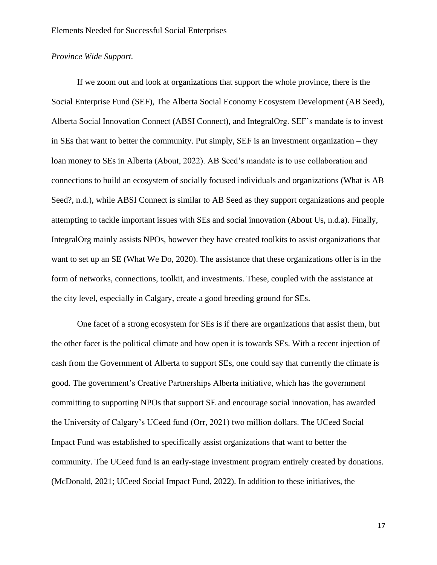## *Province Wide Support.*

If we zoom out and look at organizations that support the whole province, there is the Social Enterprise Fund (SEF), The Alberta Social Economy Ecosystem Development (AB Seed), Alberta Social Innovation Connect (ABSI Connect), and IntegralOrg. SEF's mandate is to invest in SEs that want to better the community. Put simply, SEF is an investment organization – they loan money to SEs in Alberta (About, 2022). AB Seed's mandate is to use collaboration and connections to build an ecosystem of socially focused individuals and organizations (What is AB Seed?, n.d.), while ABSI Connect is similar to AB Seed as they support organizations and people attempting to tackle important issues with SEs and social innovation (About Us, n.d.a). Finally, IntegralOrg mainly assists NPOs, however they have created toolkits to assist organizations that want to set up an SE (What We Do, 2020). The assistance that these organizations offer is in the form of networks, connections, toolkit, and investments. These, coupled with the assistance at the city level, especially in Calgary, create a good breeding ground for SEs.

One facet of a strong ecosystem for SEs is if there are organizations that assist them, but the other facet is the political climate and how open it is towards SEs. With a recent injection of cash from the Government of Alberta to support SEs, one could say that currently the climate is good. The government's Creative Partnerships Alberta initiative, which has the government committing to supporting NPOs that support SE and encourage social innovation, has awarded the University of Calgary's UCeed fund (Orr, 2021) two million dollars. The UCeed Social Impact Fund was established to specifically assist organizations that want to better the community. The UCeed fund is an early-stage investment program entirely created by donations. (McDonald, 2021; UCeed Social Impact Fund, 2022). In addition to these initiatives, the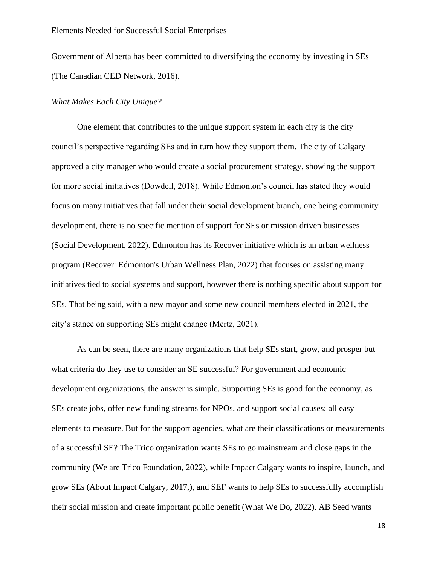Government of Alberta has been committed to diversifying the economy by investing in SEs (The Canadian CED Network, 2016).

## *What Makes Each City Unique?*

One element that contributes to the unique support system in each city is the city council's perspective regarding SEs and in turn how they support them. The city of Calgary approved a city manager who would create a social procurement strategy, showing the support for more social initiatives (Dowdell, 2018). While Edmonton's council has stated they would focus on many initiatives that fall under their social development branch, one being community development, there is no specific mention of support for SEs or mission driven businesses (Social Development, 2022). Edmonton has its Recover initiative which is an urban wellness program (Recover: Edmonton's Urban Wellness Plan, 2022) that focuses on assisting many initiatives tied to social systems and support, however there is nothing specific about support for SEs. That being said, with a new mayor and some new council members elected in 2021, the city's stance on supporting SEs might change (Mertz, 2021).

As can be seen, there are many organizations that help SEs start, grow, and prosper but what criteria do they use to consider an SE successful? For government and economic development organizations, the answer is simple. Supporting SEs is good for the economy, as SEs create jobs, offer new funding streams for NPOs, and support social causes; all easy elements to measure. But for the support agencies, what are their classifications or measurements of a successful SE? The Trico organization wants SEs to go mainstream and close gaps in the community (We are Trico Foundation, 2022), while Impact Calgary wants to inspire, launch, and grow SEs (About Impact Calgary, 2017,), and SEF wants to help SEs to successfully accomplish their social mission and create important public benefit (What We Do, 2022). AB Seed wants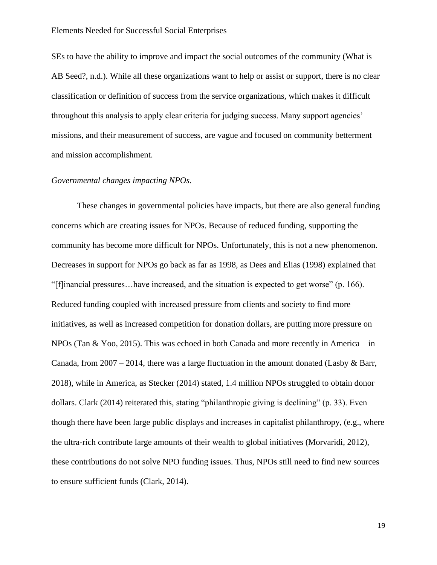SEs to have the ability to improve and impact the social outcomes of the community (What is AB Seed?, n.d.). While all these organizations want to help or assist or support, there is no clear classification or definition of success from the service organizations, which makes it difficult throughout this analysis to apply clear criteria for judging success. Many support agencies' missions, and their measurement of success, are vague and focused on community betterment and mission accomplishment.

## *Governmental changes impacting NPOs.*

These changes in governmental policies have impacts, but there are also general funding concerns which are creating issues for NPOs. Because of reduced funding, supporting the community has become more difficult for NPOs. Unfortunately, this is not a new phenomenon. Decreases in support for NPOs go back as far as 1998, as Dees and Elias (1998) explained that "[f]inancial pressures…have increased, and the situation is expected to get worse" (p. 166). Reduced funding coupled with increased pressure from clients and society to find more initiatives, as well as increased competition for donation dollars, are putting more pressure on NPOs (Tan & Yoo, 2015). This was echoed in both Canada and more recently in America – in Canada, from  $2007 - 2014$ , there was a large fluctuation in the amount donated (Lasby & Barr, 2018), while in America, as Stecker (2014) stated, 1.4 million NPOs struggled to obtain donor dollars. Clark (2014) reiterated this, stating "philanthropic giving is declining" (p. 33). Even though there have been large public displays and increases in capitalist philanthropy, (e.g., where the ultra-rich contribute large amounts of their wealth to global initiatives (Morvaridi, 2012), these contributions do not solve NPO funding issues. Thus, NPOs still need to find new sources to ensure sufficient funds (Clark, 2014).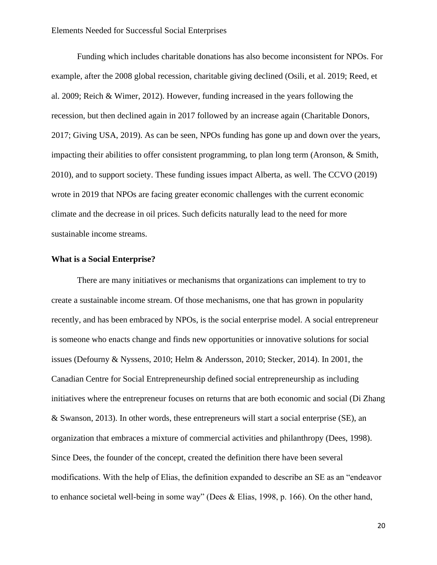Funding which includes charitable donations has also become inconsistent for NPOs. For example, after the 2008 global recession, charitable giving declined (Osili, et al. 2019; Reed, et al. 2009; Reich & Wimer, 2012). However, funding increased in the years following the recession, but then declined again in 2017 followed by an increase again (Charitable Donors, 2017; Giving USA, 2019). As can be seen, NPOs funding has gone up and down over the years, impacting their abilities to offer consistent programming, to plan long term (Aronson, & Smith, 2010), and to support society. These funding issues impact Alberta, as well. The CCVO (2019) wrote in 2019 that NPOs are facing greater economic challenges with the current economic climate and the decrease in oil prices. Such deficits naturally lead to the need for more sustainable income streams.

## <span id="page-19-0"></span>**What is a Social Enterprise?**

There are many initiatives or mechanisms that organizations can implement to try to create a sustainable income stream. Of those mechanisms, one that has grown in popularity recently, and has been embraced by NPOs, is the social enterprise model. A social entrepreneur is someone who enacts change and finds new opportunities or innovative solutions for social issues (Defourny & Nyssens, 2010; Helm & Andersson, 2010; Stecker, 2014). In 2001, the Canadian Centre for Social Entrepreneurship defined social entrepreneurship as including initiatives where the entrepreneur focuses on returns that are both economic and social (Di Zhang & Swanson, 2013). In other words, these entrepreneurs will start a social enterprise (SE), an organization that embraces a mixture of commercial activities and philanthropy (Dees, 1998). Since Dees, the founder of the concept, created the definition there have been several modifications. With the help of Elias, the definition expanded to describe an SE as an "endeavor to enhance societal well-being in some way" (Dees & Elias, 1998, p. 166). On the other hand,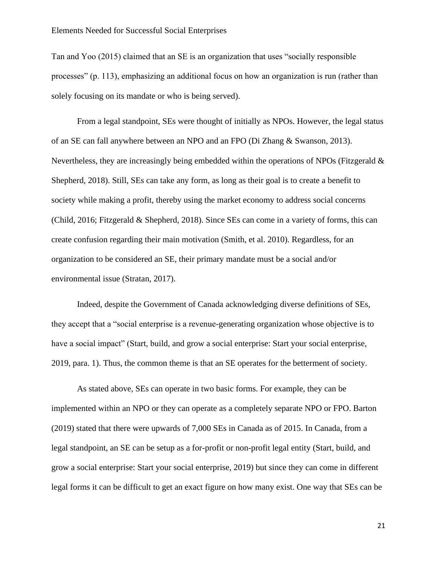Tan and Yoo (2015) claimed that an SE is an organization that uses "socially responsible processes" (p. 113), emphasizing an additional focus on how an organization is run (rather than solely focusing on its mandate or who is being served).

From a legal standpoint, SEs were thought of initially as NPOs. However, the legal status of an SE can fall anywhere between an NPO and an FPO (Di Zhang & Swanson, 2013). Nevertheless, they are increasingly being embedded within the operations of NPOs (Fitzgerald & Shepherd, 2018). Still, SEs can take any form, as long as their goal is to create a benefit to society while making a profit, thereby using the market economy to address social concerns (Child, 2016; Fitzgerald & Shepherd, 2018). Since SEs can come in a variety of forms, this can create confusion regarding their main motivation (Smith, et al. 2010). Regardless, for an organization to be considered an SE, their primary mandate must be a social and/or environmental issue (Stratan, 2017).

Indeed, despite the Government of Canada acknowledging diverse definitions of SEs, they accept that a "social enterprise is a revenue-generating organization whose objective is to have a social impact" (Start, build, and grow a social enterprise: Start your social enterprise, 2019, para. 1). Thus, the common theme is that an SE operates for the betterment of society.

As stated above, SEs can operate in two basic forms. For example, they can be implemented within an NPO or they can operate as a completely separate NPO or FPO. Barton (2019) stated that there were upwards of 7,000 SEs in Canada as of 2015. In Canada, from a legal standpoint, an SE can be setup as a for-profit or non-profit legal entity (Start, build, and grow a social enterprise: Start your social enterprise, 2019) but since they can come in different legal forms it can be difficult to get an exact figure on how many exist. One way that SEs can be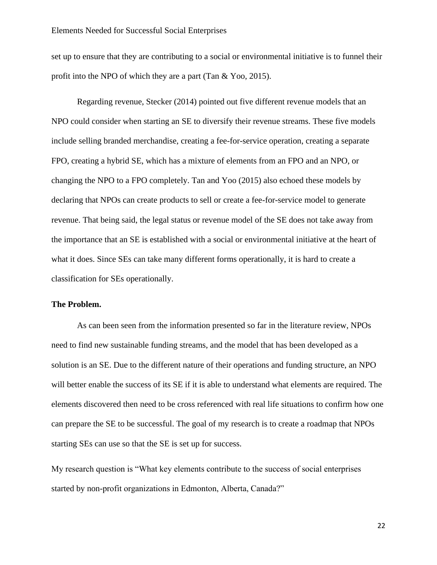set up to ensure that they are contributing to a social or environmental initiative is to funnel their profit into the NPO of which they are a part (Tan & Yoo, 2015).

Regarding revenue, Stecker (2014) pointed out five different revenue models that an NPO could consider when starting an SE to diversify their revenue streams. These five models include selling branded merchandise, creating a fee-for-service operation, creating a separate FPO, creating a hybrid SE, which has a mixture of elements from an FPO and an NPO, or changing the NPO to a FPO completely. Tan and Yoo (2015) also echoed these models by declaring that NPOs can create products to sell or create a fee-for-service model to generate revenue. That being said, the legal status or revenue model of the SE does not take away from the importance that an SE is established with a social or environmental initiative at the heart of what it does. Since SEs can take many different forms operationally, it is hard to create a classification for SEs operationally.

## <span id="page-21-0"></span>**The Problem.**

As can been seen from the information presented so far in the literature review, NPOs need to find new sustainable funding streams, and the model that has been developed as a solution is an SE. Due to the different nature of their operations and funding structure, an NPO will better enable the success of its SE if it is able to understand what elements are required. The elements discovered then need to be cross referenced with real life situations to confirm how one can prepare the SE to be successful. The goal of my research is to create a roadmap that NPOs starting SEs can use so that the SE is set up for success.

My research question is "What key elements contribute to the success of social enterprises started by non-profit organizations in Edmonton, Alberta, Canada?"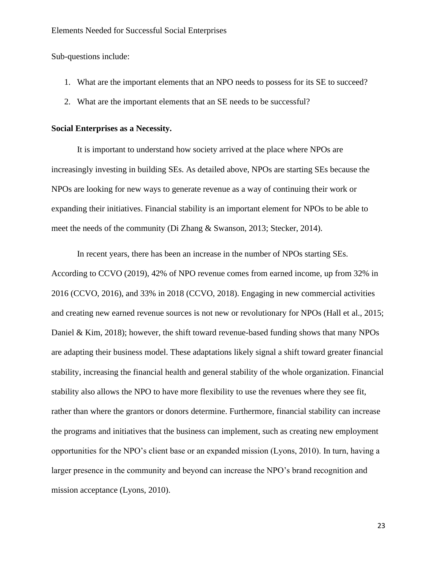Sub-questions include:

- 1. What are the important elements that an NPO needs to possess for its SE to succeed?
- 2. What are the important elements that an SE needs to be successful?

## <span id="page-22-0"></span>**Social Enterprises as a Necessity.**

It is important to understand how society arrived at the place where NPOs are increasingly investing in building SEs. As detailed above, NPOs are starting SEs because the NPOs are looking for new ways to generate revenue as a way of continuing their work or expanding their initiatives. Financial stability is an important element for NPOs to be able to meet the needs of the community (Di Zhang & Swanson, 2013; Stecker, 2014).

In recent years, there has been an increase in the number of NPOs starting SEs. According to CCVO (2019), 42% of NPO revenue comes from earned income, up from 32% in 2016 (CCVO, 2016), and 33% in 2018 (CCVO, 2018). Engaging in new commercial activities and creating new earned revenue sources is not new or revolutionary for NPOs (Hall et al., 2015; Daniel & Kim, 2018); however, the shift toward revenue-based funding shows that many NPOs are adapting their business model. These adaptations likely signal a shift toward greater financial stability, increasing the financial health and general stability of the whole organization. Financial stability also allows the NPO to have more flexibility to use the revenues where they see fit, rather than where the grantors or donors determine. Furthermore, financial stability can increase the programs and initiatives that the business can implement, such as creating new employment opportunities for the NPO's client base or an expanded mission (Lyons, 2010). In turn, having a larger presence in the community and beyond can increase the NPO's brand recognition and mission acceptance (Lyons, 2010).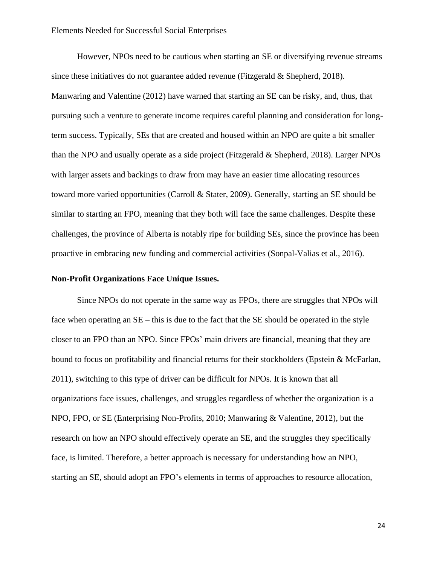However, NPOs need to be cautious when starting an SE or diversifying revenue streams since these initiatives do not guarantee added revenue (Fitzgerald & Shepherd, 2018). Manwaring and Valentine (2012) have warned that starting an SE can be risky, and, thus, that pursuing such a venture to generate income requires careful planning and consideration for longterm success. Typically, SEs that are created and housed within an NPO are quite a bit smaller than the NPO and usually operate as a side project (Fitzgerald & Shepherd, 2018). Larger NPOs with larger assets and backings to draw from may have an easier time allocating resources toward more varied opportunities (Carroll & Stater, 2009). Generally, starting an SE should be similar to starting an FPO, meaning that they both will face the same challenges. Despite these challenges, the province of Alberta is notably ripe for building SEs, since the province has been proactive in embracing new funding and commercial activities (Sonpal-Valias et al., 2016).

## <span id="page-23-0"></span>**Non-Profit Organizations Face Unique Issues.**

Since NPOs do not operate in the same way as FPOs, there are struggles that NPOs will face when operating an SE – this is due to the fact that the SE should be operated in the style closer to an FPO than an NPO. Since FPOs' main drivers are financial, meaning that they are bound to focus on profitability and financial returns for their stockholders (Epstein & McFarlan, 2011), switching to this type of driver can be difficult for NPOs. It is known that all organizations face issues, challenges, and struggles regardless of whether the organization is a NPO, FPO, or SE (Enterprising Non-Profits, 2010; Manwaring & Valentine, 2012), but the research on how an NPO should effectively operate an SE, and the struggles they specifically face, is limited. Therefore, a better approach is necessary for understanding how an NPO, starting an SE, should adopt an FPO's elements in terms of approaches to resource allocation,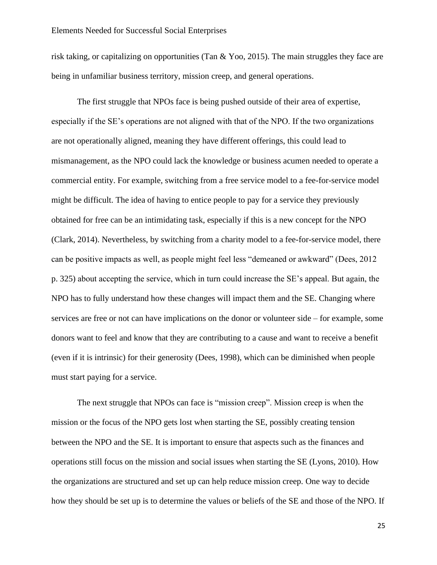risk taking, or capitalizing on opportunities (Tan & Yoo, 2015). The main struggles they face are being in unfamiliar business territory, mission creep, and general operations.

The first struggle that NPOs face is being pushed outside of their area of expertise, especially if the SE's operations are not aligned with that of the NPO. If the two organizations are not operationally aligned, meaning they have different offerings, this could lead to mismanagement, as the NPO could lack the knowledge or business acumen needed to operate a commercial entity. For example, switching from a free service model to a fee-for-service model might be difficult. The idea of having to entice people to pay for a service they previously obtained for free can be an intimidating task, especially if this is a new concept for the NPO (Clark, 2014). Nevertheless, by switching from a charity model to a fee-for-service model, there can be positive impacts as well, as people might feel less "demeaned or awkward" (Dees, 2012 p. 325) about accepting the service, which in turn could increase the SE's appeal. But again, the NPO has to fully understand how these changes will impact them and the SE. Changing where services are free or not can have implications on the donor or volunteer side – for example, some donors want to feel and know that they are contributing to a cause and want to receive a benefit (even if it is intrinsic) for their generosity (Dees, 1998), which can be diminished when people must start paying for a service.

The next struggle that NPOs can face is "mission creep". Mission creep is when the mission or the focus of the NPO gets lost when starting the SE, possibly creating tension between the NPO and the SE. It is important to ensure that aspects such as the finances and operations still focus on the mission and social issues when starting the SE (Lyons, 2010). How the organizations are structured and set up can help reduce mission creep. One way to decide how they should be set up is to determine the values or beliefs of the SE and those of the NPO. If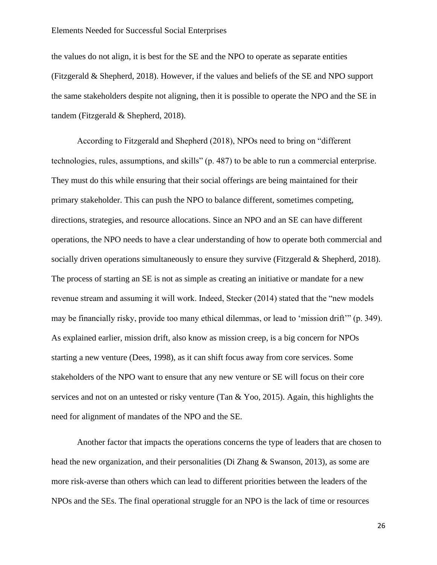the values do not align, it is best for the SE and the NPO to operate as separate entities (Fitzgerald & Shepherd, 2018). However, if the values and beliefs of the SE and NPO support the same stakeholders despite not aligning, then it is possible to operate the NPO and the SE in tandem (Fitzgerald & Shepherd, 2018).

According to Fitzgerald and Shepherd (2018), NPOs need to bring on "different technologies, rules, assumptions, and skills" (p. 487) to be able to run a commercial enterprise. They must do this while ensuring that their social offerings are being maintained for their primary stakeholder. This can push the NPO to balance different, sometimes competing, directions, strategies, and resource allocations. Since an NPO and an SE can have different operations, the NPO needs to have a clear understanding of how to operate both commercial and socially driven operations simultaneously to ensure they survive (Fitzgerald & Shepherd, 2018). The process of starting an SE is not as simple as creating an initiative or mandate for a new revenue stream and assuming it will work. Indeed, Stecker (2014) stated that the "new models may be financially risky, provide too many ethical dilemmas, or lead to 'mission drift'" (p. 349). As explained earlier, mission drift, also know as mission creep, is a big concern for NPOs starting a new venture (Dees, 1998), as it can shift focus away from core services. Some stakeholders of the NPO want to ensure that any new venture or SE will focus on their core services and not on an untested or risky venture (Tan & Yoo, 2015). Again, this highlights the need for alignment of mandates of the NPO and the SE.

Another factor that impacts the operations concerns the type of leaders that are chosen to head the new organization, and their personalities (Di Zhang & Swanson, 2013), as some are more risk-averse than others which can lead to different priorities between the leaders of the NPOs and the SEs. The final operational struggle for an NPO is the lack of time or resources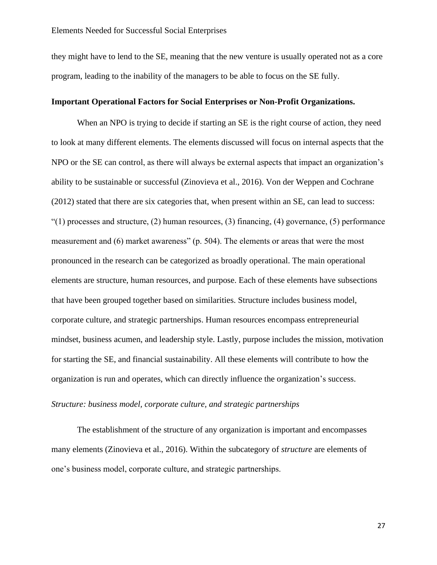they might have to lend to the SE, meaning that the new venture is usually operated not as a core program, leading to the inability of the managers to be able to focus on the SE fully.

## <span id="page-26-0"></span>**Important Operational Factors for Social Enterprises or Non-Profit Organizations.**

When an NPO is trying to decide if starting an SE is the right course of action, they need to look at many different elements. The elements discussed will focus on internal aspects that the NPO or the SE can control, as there will always be external aspects that impact an organization's ability to be sustainable or successful (Zinovieva et al., 2016). Von der Weppen and Cochrane (2012) stated that there are six categories that, when present within an SE, can lead to success:  $"(1)$  processes and structure, (2) human resources, (3) financing, (4) governance, (5) performance measurement and (6) market awareness" (p. 504). The elements or areas that were the most pronounced in the research can be categorized as broadly operational. The main operational elements are structure, human resources, and purpose. Each of these elements have subsections that have been grouped together based on similarities. Structure includes business model, corporate culture, and strategic partnerships. Human resources encompass entrepreneurial mindset, business acumen, and leadership style. Lastly, purpose includes the mission, motivation for starting the SE, and financial sustainability. All these elements will contribute to how the organization is run and operates, which can directly influence the organization's success.

## *Structure: business model, corporate culture, and strategic partnerships*

The establishment of the structure of any organization is important and encompasses many elements (Zinovieva et al., 2016). Within the subcategory of *structure* are elements of one's business model, corporate culture, and strategic partnerships.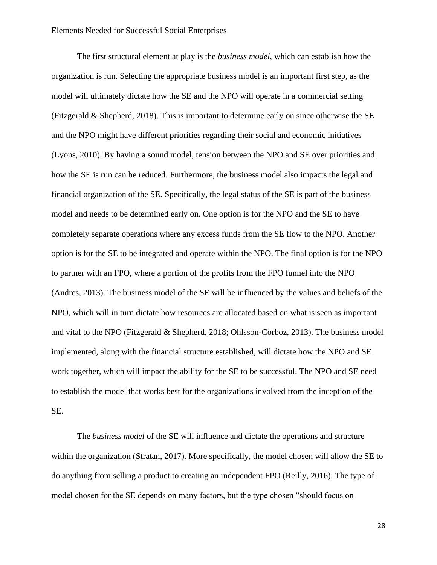The first structural element at play is the *business model*, which can establish how the organization is run. Selecting the appropriate business model is an important first step, as the model will ultimately dictate how the SE and the NPO will operate in a commercial setting (Fitzgerald & Shepherd, 2018). This is important to determine early on since otherwise the SE and the NPO might have different priorities regarding their social and economic initiatives (Lyons, 2010). By having a sound model, tension between the NPO and SE over priorities and how the SE is run can be reduced. Furthermore, the business model also impacts the legal and financial organization of the SE. Specifically, the legal status of the SE is part of the business model and needs to be determined early on. One option is for the NPO and the SE to have completely separate operations where any excess funds from the SE flow to the NPO. Another option is for the SE to be integrated and operate within the NPO. The final option is for the NPO to partner with an FPO, where a portion of the profits from the FPO funnel into the NPO (Andres, 2013). The business model of the SE will be influenced by the values and beliefs of the NPO, which will in turn dictate how resources are allocated based on what is seen as important and vital to the NPO (Fitzgerald & Shepherd, 2018; Ohlsson-Corboz, 2013). The business model implemented, along with the financial structure established, will dictate how the NPO and SE work together, which will impact the ability for the SE to be successful. The NPO and SE need to establish the model that works best for the organizations involved from the inception of the SE.

The *business model* of the SE will influence and dictate the operations and structure within the organization (Stratan, 2017). More specifically, the model chosen will allow the SE to do anything from selling a product to creating an independent FPO (Reilly, 2016). The type of model chosen for the SE depends on many factors, but the type chosen "should focus on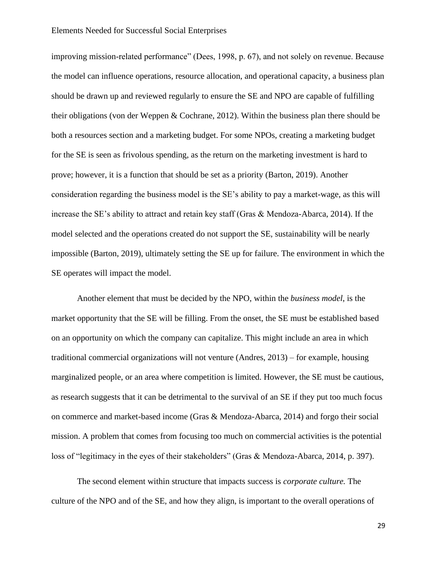improving mission-related performance" (Dees, 1998, p. 67), and not solely on revenue. Because the model can influence operations, resource allocation, and operational capacity, a business plan should be drawn up and reviewed regularly to ensure the SE and NPO are capable of fulfilling their obligations (von der Weppen & Cochrane, 2012). Within the business plan there should be both a resources section and a marketing budget. For some NPOs, creating a marketing budget for the SE is seen as frivolous spending, as the return on the marketing investment is hard to prove; however, it is a function that should be set as a priority (Barton, 2019). Another consideration regarding the business model is the SE's ability to pay a market-wage, as this will increase the SE's ability to attract and retain key staff (Gras & Mendoza-Abarca, 2014). If the model selected and the operations created do not support the SE, sustainability will be nearly impossible (Barton, 2019), ultimately setting the SE up for failure. The environment in which the SE operates will impact the model.

Another element that must be decided by the NPO, within the *business model*, is the market opportunity that the SE will be filling. From the onset, the SE must be established based on an opportunity on which the company can capitalize. This might include an area in which traditional commercial organizations will not venture (Andres, 2013) – for example, housing marginalized people, or an area where competition is limited. However, the SE must be cautious, as research suggests that it can be detrimental to the survival of an SE if they put too much focus on commerce and market-based income (Gras & Mendoza-Abarca, 2014) and forgo their social mission. A problem that comes from focusing too much on commercial activities is the potential loss of "legitimacy in the eyes of their stakeholders" (Gras & Mendoza-Abarca, 2014, p. 397).

The second element within structure that impacts success is *corporate culture.* The culture of the NPO and of the SE, and how they align, is important to the overall operations of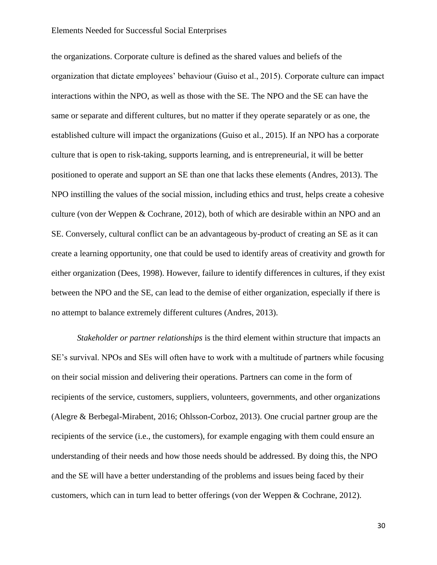the organizations. Corporate culture is defined as the shared values and beliefs of the organization that dictate employees' behaviour (Guiso et al., 2015). Corporate culture can impact interactions within the NPO, as well as those with the SE. The NPO and the SE can have the same or separate and different cultures, but no matter if they operate separately or as one, the established culture will impact the organizations (Guiso et al., 2015). If an NPO has a corporate culture that is open to risk-taking, supports learning, and is entrepreneurial, it will be better positioned to operate and support an SE than one that lacks these elements (Andres, 2013). The NPO instilling the values of the social mission, including ethics and trust, helps create a cohesive culture (von der Weppen & Cochrane, 2012), both of which are desirable within an NPO and an SE. Conversely, cultural conflict can be an advantageous by-product of creating an SE as it can create a learning opportunity, one that could be used to identify areas of creativity and growth for either organization (Dees, 1998). However, failure to identify differences in cultures, if they exist between the NPO and the SE, can lead to the demise of either organization, especially if there is no attempt to balance extremely different cultures (Andres, 2013).

*Stakeholder or partner relationships* is the third element within structure that impacts an SE's survival. NPOs and SEs will often have to work with a multitude of partners while focusing on their social mission and delivering their operations. Partners can come in the form of recipients of the service, customers, suppliers, volunteers, governments, and other organizations (Alegre & Berbegal-Mirabent, 2016; Ohlsson-Corboz, 2013). One crucial partner group are the recipients of the service (i.e., the customers), for example engaging with them could ensure an understanding of their needs and how those needs should be addressed. By doing this, the NPO and the SE will have a better understanding of the problems and issues being faced by their customers, which can in turn lead to better offerings (von der Weppen & Cochrane, 2012).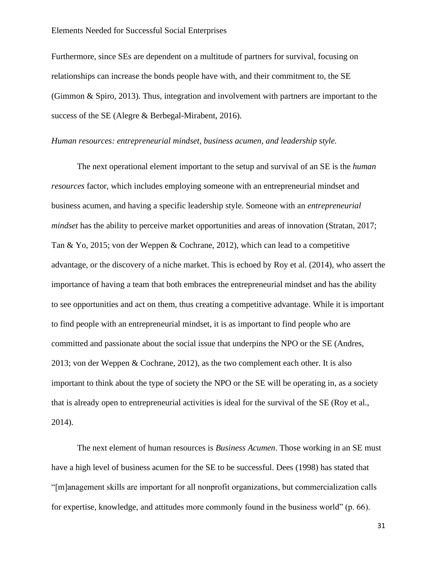Furthermore, since SEs are dependent on a multitude of partners for survival, focusing on relationships can increase the bonds people have with, and their commitment to, the SE (Gimmon & Spiro, 2013). Thus, integration and involvement with partners are important to the success of the SE (Alegre & Berbegal-Mirabent, 2016).

## *Human resources: entrepreneurial mindset, business acumen, and leadership style.*

The next operational element important to the setup and survival of an SE is the *human resources* factor, which includes employing someone with an entrepreneurial mindset and business acumen, and having a specific leadership style. Someone with an *entrepreneurial mindset* has the ability to perceive market opportunities and areas of innovation (Stratan, 2017; Tan & Yo, 2015; von der Weppen & Cochrane, 2012), which can lead to a competitive advantage, or the discovery of a niche market. This is echoed by Roy et al. (2014), who assert the importance of having a team that both embraces the entrepreneurial mindset and has the ability to see opportunities and act on them, thus creating a competitive advantage. While it is important to find people with an entrepreneurial mindset, it is as important to find people who are committed and passionate about the social issue that underpins the NPO or the SE (Andres, 2013; von der Weppen & Cochrane, 2012), as the two complement each other. It is also important to think about the type of society the NPO or the SE will be operating in, as a society that is already open to entrepreneurial activities is ideal for the survival of the SE (Roy et al., 2014).

The next element of human resources is *Business Acumen*. Those working in an SE must have a high level of business acumen for the SE to be successful. Dees (1998) has stated that "[m]anagement skills are important for all nonprofit organizations, but commercialization calls for expertise, knowledge, and attitudes more commonly found in the business world" (p. 66).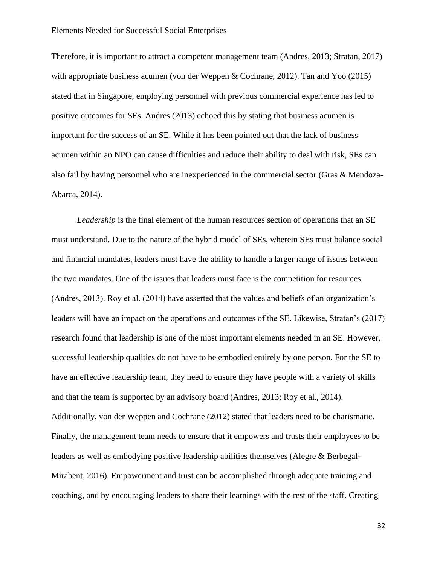Therefore, it is important to attract a competent management team (Andres, 2013; Stratan, 2017) with appropriate business acumen (von der Weppen & Cochrane, 2012). Tan and Yoo (2015) stated that in Singapore, employing personnel with previous commercial experience has led to positive outcomes for SEs. Andres (2013) echoed this by stating that business acumen is important for the success of an SE. While it has been pointed out that the lack of business acumen within an NPO can cause difficulties and reduce their ability to deal with risk, SEs can also fail by having personnel who are inexperienced in the commercial sector (Gras & Mendoza-Abarca, 2014).

*Leadership* is the final element of the human resources section of operations that an SE must understand. Due to the nature of the hybrid model of SEs, wherein SEs must balance social and financial mandates, leaders must have the ability to handle a larger range of issues between the two mandates. One of the issues that leaders must face is the competition for resources (Andres, 2013). Roy et al. (2014) have asserted that the values and beliefs of an organization's leaders will have an impact on the operations and outcomes of the SE. Likewise, Stratan's (2017) research found that leadership is one of the most important elements needed in an SE. However, successful leadership qualities do not have to be embodied entirely by one person. For the SE to have an effective leadership team, they need to ensure they have people with a variety of skills and that the team is supported by an advisory board (Andres, 2013; Roy et al., 2014). Additionally, von der Weppen and Cochrane (2012) stated that leaders need to be charismatic. Finally, the management team needs to ensure that it empowers and trusts their employees to be leaders as well as embodying positive leadership abilities themselves (Alegre & Berbegal-Mirabent, 2016). Empowerment and trust can be accomplished through adequate training and coaching, and by encouraging leaders to share their learnings with the rest of the staff. Creating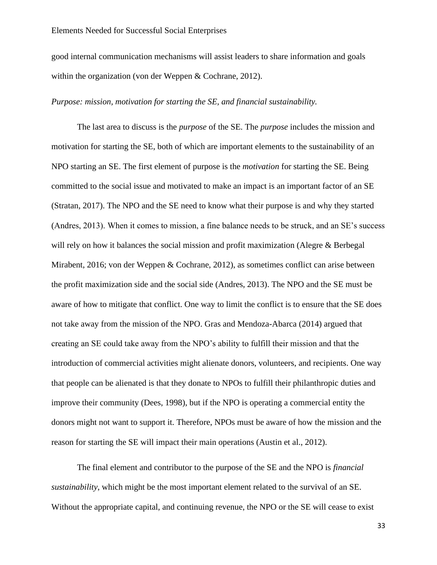good internal communication mechanisms will assist leaders to share information and goals within the organization (von der Weppen & Cochrane, 2012).

## *Purpose: mission, motivation for starting the SE, and financial sustainability.*

The last area to discuss is the *purpose* of the SE. The *purpose* includes the mission and motivation for starting the SE, both of which are important elements to the sustainability of an NPO starting an SE. The first element of purpose is the *motivation* for starting the SE. Being committed to the social issue and motivated to make an impact is an important factor of an SE (Stratan, 2017). The NPO and the SE need to know what their purpose is and why they started (Andres, 2013). When it comes to mission, a fine balance needs to be struck, and an SE's success will rely on how it balances the social mission and profit maximization (Alegre & Berbegal Mirabent, 2016; von der Weppen & Cochrane, 2012), as sometimes conflict can arise between the profit maximization side and the social side (Andres, 2013). The NPO and the SE must be aware of how to mitigate that conflict. One way to limit the conflict is to ensure that the SE does not take away from the mission of the NPO. Gras and Mendoza-Abarca (2014) argued that creating an SE could take away from the NPO's ability to fulfill their mission and that the introduction of commercial activities might alienate donors, volunteers, and recipients. One way that people can be alienated is that they donate to NPOs to fulfill their philanthropic duties and improve their community (Dees, 1998), but if the NPO is operating a commercial entity the donors might not want to support it. Therefore, NPOs must be aware of how the mission and the reason for starting the SE will impact their main operations (Austin et al., 2012).

The final element and contributor to the purpose of the SE and the NPO is *financial sustainability*, which might be the most important element related to the survival of an SE. Without the appropriate capital, and continuing revenue, the NPO or the SE will cease to exist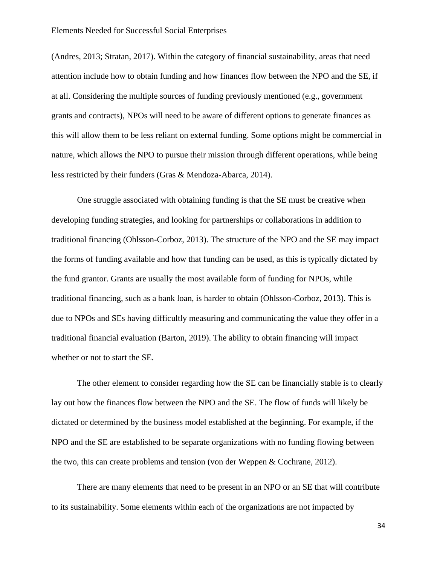(Andres, 2013; Stratan, 2017). Within the category of financial sustainability, areas that need attention include how to obtain funding and how finances flow between the NPO and the SE, if at all. Considering the multiple sources of funding previously mentioned (e.g., government grants and contracts), NPOs will need to be aware of different options to generate finances as this will allow them to be less reliant on external funding. Some options might be commercial in nature, which allows the NPO to pursue their mission through different operations, while being less restricted by their funders (Gras & Mendoza-Abarca, 2014).

One struggle associated with obtaining funding is that the SE must be creative when developing funding strategies, and looking for partnerships or collaborations in addition to traditional financing (Ohlsson-Corboz, 2013). The structure of the NPO and the SE may impact the forms of funding available and how that funding can be used, as this is typically dictated by the fund grantor. Grants are usually the most available form of funding for NPOs, while traditional financing, such as a bank loan, is harder to obtain (Ohlsson-Corboz, 2013). This is due to NPOs and SEs having difficultly measuring and communicating the value they offer in a traditional financial evaluation (Barton, 2019). The ability to obtain financing will impact whether or not to start the SE.

The other element to consider regarding how the SE can be financially stable is to clearly lay out how the finances flow between the NPO and the SE. The flow of funds will likely be dictated or determined by the business model established at the beginning. For example, if the NPO and the SE are established to be separate organizations with no funding flowing between the two, this can create problems and tension (von der Weppen & Cochrane, 2012).

There are many elements that need to be present in an NPO or an SE that will contribute to its sustainability. Some elements within each of the organizations are not impacted by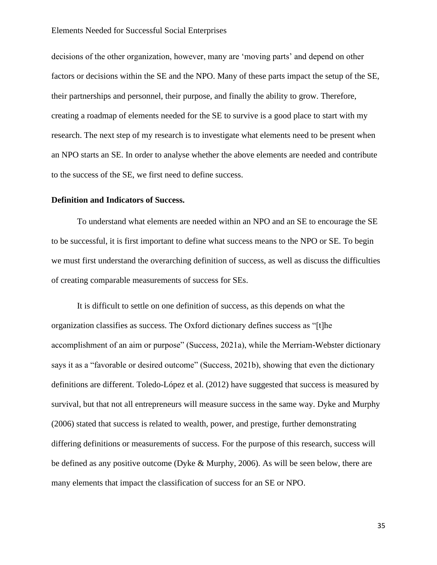decisions of the other organization, however, many are 'moving parts' and depend on other factors or decisions within the SE and the NPO. Many of these parts impact the setup of the SE, their partnerships and personnel, their purpose, and finally the ability to grow. Therefore, creating a roadmap of elements needed for the SE to survive is a good place to start with my research. The next step of my research is to investigate what elements need to be present when an NPO starts an SE. In order to analyse whether the above elements are needed and contribute to the success of the SE, we first need to define success.

## <span id="page-34-0"></span>**Definition and Indicators of Success.**

To understand what elements are needed within an NPO and an SE to encourage the SE to be successful, it is first important to define what success means to the NPO or SE. To begin we must first understand the overarching definition of success, as well as discuss the difficulties of creating comparable measurements of success for SEs.

It is difficult to settle on one definition of success, as this depends on what the organization classifies as success. The Oxford dictionary defines success as "[t]he accomplishment of an aim or purpose" (Success, 2021a), while the Merriam-Webster dictionary says it as a "favorable or desired outcome" (Success, 2021b), showing that even the dictionary definitions are different. Toledo-López et al. (2012) have suggested that success is measured by survival, but that not all entrepreneurs will measure success in the same way. Dyke and Murphy (2006) stated that success is related to wealth, power, and prestige, further demonstrating differing definitions or measurements of success. For the purpose of this research, success will be defined as any positive outcome (Dyke & Murphy, 2006). As will be seen below, there are many elements that impact the classification of success for an SE or NPO.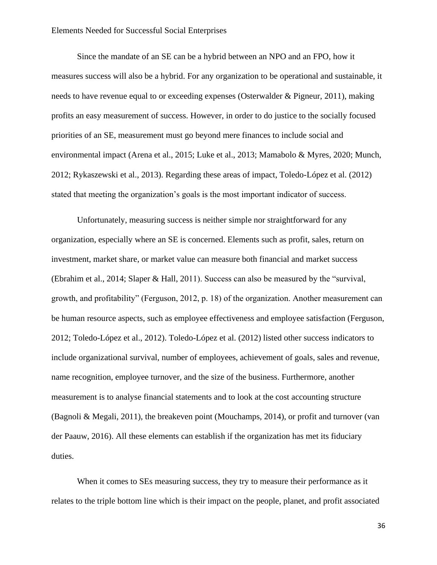Since the mandate of an SE can be a hybrid between an NPO and an FPO, how it measures success will also be a hybrid. For any organization to be operational and sustainable, it needs to have revenue equal to or exceeding expenses (Osterwalder & Pigneur, 2011), making profits an easy measurement of success. However, in order to do justice to the socially focused priorities of an SE, measurement must go beyond mere finances to include social and environmental impact (Arena et al., 2015; Luke et al., 2013; Mamabolo & Myres, 2020; Munch, 2012; Rykaszewski et al., 2013). Regarding these areas of impact, Toledo-López et al. (2012) stated that meeting the organization's goals is the most important indicator of success.

Unfortunately, measuring success is neither simple nor straightforward for any organization, especially where an SE is concerned. Elements such as profit, sales, return on investment, market share, or market value can measure both financial and market success (Ebrahim et al., 2014; Slaper & Hall, 2011). Success can also be measured by the "survival, growth, and profitability" (Ferguson, 2012, p. 18) of the organization. Another measurement can be human resource aspects, such as employee effectiveness and employee satisfaction (Ferguson, 2012; Toledo-López et al., 2012). Toledo-López et al. (2012) listed other success indicators to include organizational survival, number of employees, achievement of goals, sales and revenue, name recognition, employee turnover, and the size of the business. Furthermore, another measurement is to analyse financial statements and to look at the cost accounting structure (Bagnoli & Megali, 2011), the breakeven point (Mouchamps, 2014), or profit and turnover (van der Paauw, 2016). All these elements can establish if the organization has met its fiduciary duties.

When it comes to SEs measuring success, they try to measure their performance as it relates to the triple bottom line which is their impact on the people, planet, and profit associated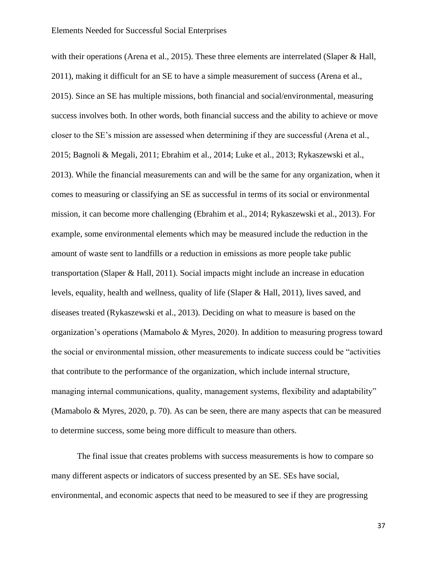with their operations (Arena et al., 2015). These three elements are interrelated (Slaper & Hall, 2011), making it difficult for an SE to have a simple measurement of success (Arena et al., 2015). Since an SE has multiple missions, both financial and social/environmental, measuring success involves both. In other words, both financial success and the ability to achieve or move closer to the SE's mission are assessed when determining if they are successful (Arena et al., 2015; Bagnoli & Megali, 2011; Ebrahim et al., 2014; Luke et al., 2013; Rykaszewski et al., 2013). While the financial measurements can and will be the same for any organization, when it comes to measuring or classifying an SE as successful in terms of its social or environmental mission, it can become more challenging (Ebrahim et al., 2014; Rykaszewski et al., 2013). For example, some environmental elements which may be measured include the reduction in the amount of waste sent to landfills or a reduction in emissions as more people take public transportation (Slaper & Hall, 2011). Social impacts might include an increase in education levels, equality, health and wellness, quality of life (Slaper & Hall, 2011), lives saved, and diseases treated (Rykaszewski et al., 2013). Deciding on what to measure is based on the organization's operations (Mamabolo & Myres, 2020). In addition to measuring progress toward the social or environmental mission, other measurements to indicate success could be "activities that contribute to the performance of the organization, which include internal structure, managing internal communications, quality, management systems, flexibility and adaptability" (Mamabolo & Myres, 2020, p. 70). As can be seen, there are many aspects that can be measured to determine success, some being more difficult to measure than others.

The final issue that creates problems with success measurements is how to compare so many different aspects or indicators of success presented by an SE. SEs have social, environmental, and economic aspects that need to be measured to see if they are progressing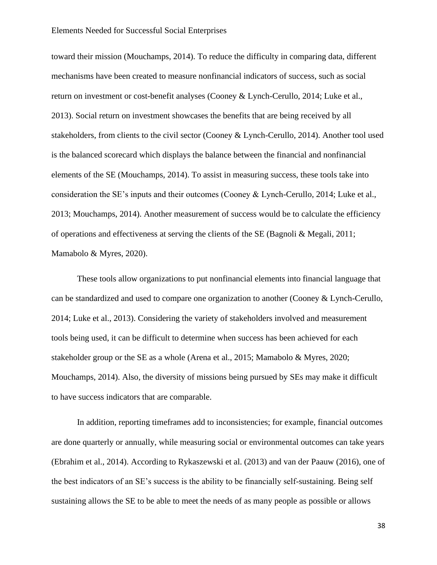toward their mission (Mouchamps, 2014). To reduce the difficulty in comparing data, different mechanisms have been created to measure nonfinancial indicators of success, such as social return on investment or cost-benefit analyses (Cooney & Lynch-Cerullo, 2014; Luke et al., 2013). Social return on investment showcases the benefits that are being received by all stakeholders, from clients to the civil sector (Cooney & Lynch-Cerullo, 2014). Another tool used is the balanced scorecard which displays the balance between the financial and nonfinancial elements of the SE (Mouchamps, 2014). To assist in measuring success, these tools take into consideration the SE's inputs and their outcomes (Cooney & Lynch-Cerullo, 2014; Luke et al., 2013; Mouchamps, 2014). Another measurement of success would be to calculate the efficiency of operations and effectiveness at serving the clients of the SE (Bagnoli & Megali, 2011; Mamabolo & Myres, 2020).

These tools allow organizations to put nonfinancial elements into financial language that can be standardized and used to compare one organization to another (Cooney & Lynch-Cerullo, 2014; Luke et al., 2013). Considering the variety of stakeholders involved and measurement tools being used, it can be difficult to determine when success has been achieved for each stakeholder group or the SE as a whole (Arena et al., 2015; Mamabolo & Myres, 2020; Mouchamps, 2014). Also, the diversity of missions being pursued by SEs may make it difficult to have success indicators that are comparable.

In addition, reporting timeframes add to inconsistencies; for example, financial outcomes are done quarterly or annually, while measuring social or environmental outcomes can take years (Ebrahim et al., 2014). According to Rykaszewski et al. (2013) and van der Paauw (2016), one of the best indicators of an SE's success is the ability to be financially self-sustaining. Being self sustaining allows the SE to be able to meet the needs of as many people as possible or allows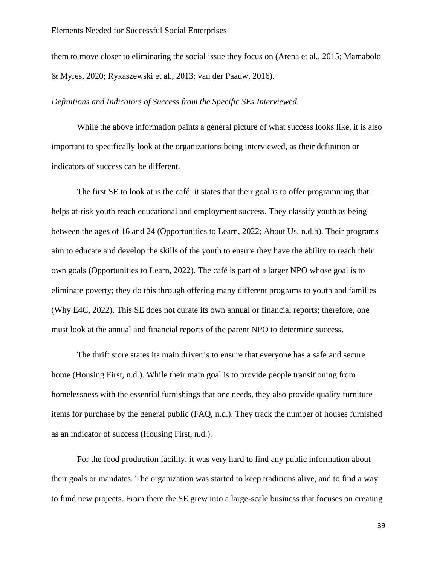them to move closer to eliminating the social issue they focus on (Arena et al., 2015; Mamabolo & Myres, 2020; Rykaszewski et al., 2013; van der Paauw, 2016).

## *Definitions and Indicators of Success from the Specific SEs Interviewed.*

While the above information paints a general picture of what success looks like, it is also important to specifically look at the organizations being interviewed, as their definition or indicators of success can be different.

The first SE to look at is the café: it states that their goal is to offer programming that helps at-risk youth reach educational and employment success. They classify youth as being between the ages of 16 and 24 (Opportunities to Learn, 2022; About Us, n.d.b). Their programs aim to educate and develop the skills of the youth to ensure they have the ability to reach their own goals (Opportunities to Learn, 2022). The café is part of a larger NPO whose goal is to eliminate poverty; they do this through offering many different programs to youth and families (Why E4C, 2022). This SE does not curate its own annual or financial reports; therefore, one must look at the annual and financial reports of the parent NPO to determine success.

The thrift store states its main driver is to ensure that everyone has a safe and secure home (Housing First, n.d.). While their main goal is to provide people transitioning from homelessness with the essential furnishings that one needs, they also provide quality furniture items for purchase by the general public (FAQ, n.d.). They track the number of houses furnished as an indicator of success (Housing First, n.d.).

For the food production facility, it was very hard to find any public information about their goals or mandates. The organization was started to keep traditions alive, and to find a way to fund new projects. From there the SE grew into a large-scale business that focuses on creating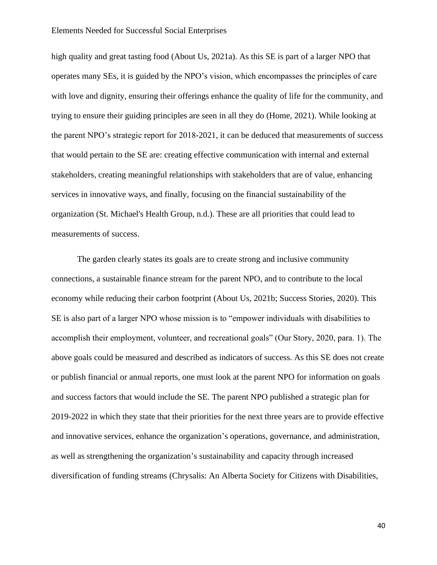high quality and great tasting food (About Us, 2021a). As this SE is part of a larger NPO that operates many SEs, it is guided by the NPO's vision, which encompasses the principles of care with love and dignity, ensuring their offerings enhance the quality of life for the community, and trying to ensure their guiding principles are seen in all they do (Home, 2021). While looking at the parent NPO's strategic report for 2018-2021, it can be deduced that measurements of success that would pertain to the SE are: creating effective communication with internal and external stakeholders, creating meaningful relationships with stakeholders that are of value, enhancing services in innovative ways, and finally, focusing on the financial sustainability of the organization (St. Michael's Health Group, n.d.). These are all priorities that could lead to measurements of success.

The garden clearly states its goals are to create strong and inclusive community connections, a sustainable finance stream for the parent NPO, and to contribute to the local economy while reducing their carbon footprint (About Us, 2021b; Success Stories, 2020). This SE is also part of a larger NPO whose mission is to "empower individuals with disabilities to accomplish their employment, volunteer, and recreational goals" (Our Story, 2020, para. 1). The above goals could be measured and described as indicators of success. As this SE does not create or publish financial or annual reports, one must look at the parent NPO for information on goals and success factors that would include the SE. The parent NPO published a strategic plan for 2019-2022 in which they state that their priorities for the next three years are to provide effective and innovative services, enhance the organization's operations, governance, and administration, as well as strengthening the organization's sustainability and capacity through increased diversification of funding streams (Chrysalis: An Alberta Society for Citizens with Disabilities,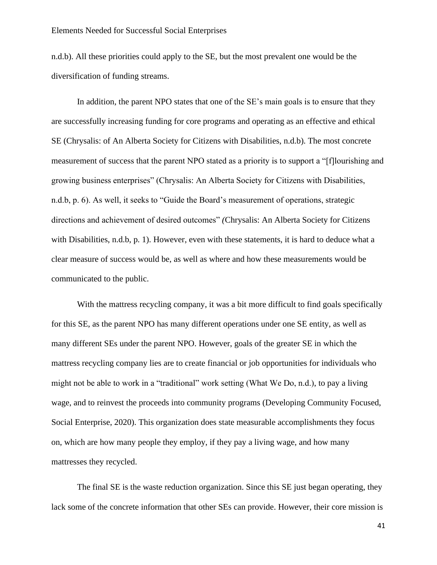n.d.b). All these priorities could apply to the SE, but the most prevalent one would be the diversification of funding streams.

In addition, the parent NPO states that one of the SE's main goals is to ensure that they are successfully increasing funding for core programs and operating as an effective and ethical SE (Chrysalis: of An Alberta Society for Citizens with Disabilities, n.d.b). The most concrete measurement of success that the parent NPO stated as a priority is to support a "[f]lourishing and growing business enterprises" (Chrysalis: An Alberta Society for Citizens with Disabilities, n.d.b, p. 6). As well, it seeks to "Guide the Board's measurement of operations, strategic directions and achievement of desired outcomes" *(*Chrysalis: An Alberta Society for Citizens with Disabilities, n.d.b, p. 1). However, even with these statements, it is hard to deduce what a clear measure of success would be, as well as where and how these measurements would be communicated to the public.

With the mattress recycling company, it was a bit more difficult to find goals specifically for this SE, as the parent NPO has many different operations under one SE entity, as well as many different SEs under the parent NPO. However, goals of the greater SE in which the mattress recycling company lies are to create financial or job opportunities for individuals who might not be able to work in a "traditional" work setting (What We Do, n.d.), to pay a living wage, and to reinvest the proceeds into community programs (Developing Community Focused, Social Enterprise, 2020). This organization does state measurable accomplishments they focus on, which are how many people they employ, if they pay a living wage, and how many mattresses they recycled.

The final SE is the waste reduction organization. Since this SE just began operating, they lack some of the concrete information that other SEs can provide. However, their core mission is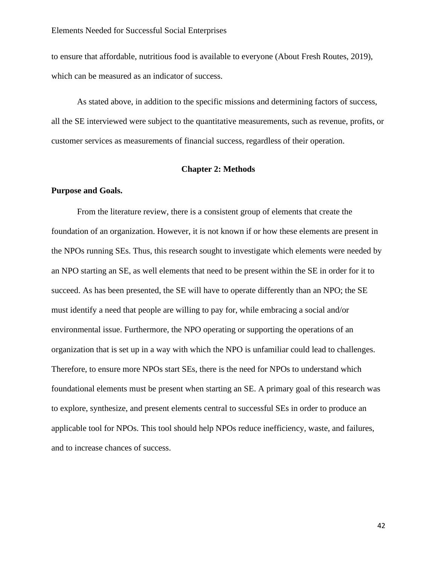to ensure that affordable, nutritious food is available to everyone (About Fresh Routes, 2019), which can be measured as an indicator of success.

As stated above, in addition to the specific missions and determining factors of success, all the SE interviewed were subject to the quantitative measurements, such as revenue, profits, or customer services as measurements of financial success, regardless of their operation.

## **Chapter 2: Methods**

### **Purpose and Goals.**

From the literature review, there is a consistent group of elements that create the foundation of an organization. However, it is not known if or how these elements are present in the NPOs running SEs. Thus, this research sought to investigate which elements were needed by an NPO starting an SE, as well elements that need to be present within the SE in order for it to succeed. As has been presented, the SE will have to operate differently than an NPO; the SE must identify a need that people are willing to pay for, while embracing a social and/or environmental issue. Furthermore, the NPO operating or supporting the operations of an organization that is set up in a way with which the NPO is unfamiliar could lead to challenges. Therefore, to ensure more NPOs start SEs, there is the need for NPOs to understand which foundational elements must be present when starting an SE. A primary goal of this research was to explore, synthesize, and present elements central to successful SEs in order to produce an applicable tool for NPOs. This tool should help NPOs reduce inefficiency, waste, and failures, and to increase chances of success.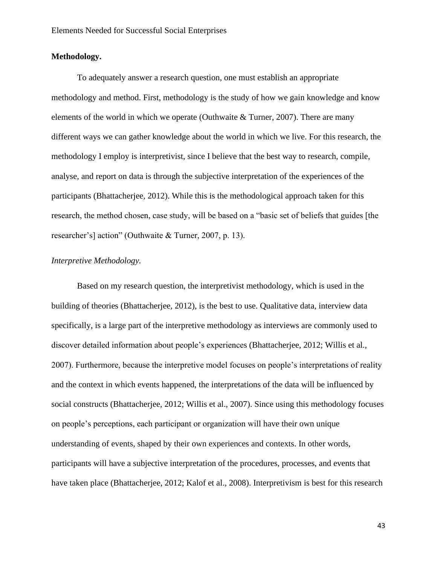## **Methodology.**

To adequately answer a research question, one must establish an appropriate methodology and method. First, methodology is the study of how we gain knowledge and know elements of the world in which we operate (Outhwaite & Turner, 2007). There are many different ways we can gather knowledge about the world in which we live. For this research, the methodology I employ is interpretivist, since I believe that the best way to research, compile, analyse, and report on data is through the subjective interpretation of the experiences of the participants (Bhattacherjee, 2012). While this is the methodological approach taken for this research, the method chosen, case study, will be based on a "basic set of beliefs that guides [the researcher's] action" (Outhwaite & Turner, 2007, p. 13).

# *Interpretive Methodology.*

Based on my research question, the interpretivist methodology, which is used in the building of theories (Bhattacherjee, 2012), is the best to use. Qualitative data, interview data specifically, is a large part of the interpretive methodology as interviews are commonly used to discover detailed information about people's experiences (Bhattacherjee, 2012; Willis et al., 2007). Furthermore, because the interpretive model focuses on people's interpretations of reality and the context in which events happened, the interpretations of the data will be influenced by social constructs (Bhattacherjee, 2012; Willis et al., 2007). Since using this methodology focuses on people's perceptions, each participant or organization will have their own unique understanding of events, shaped by their own experiences and contexts. In other words, participants will have a subjective interpretation of the procedures, processes, and events that have taken place (Bhattacherjee, 2012; Kalof et al., 2008). Interpretivism is best for this research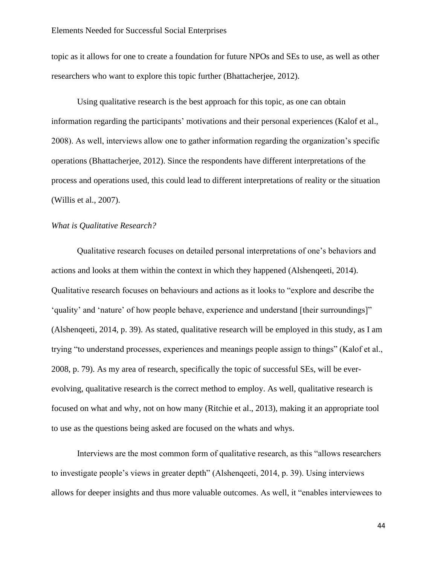topic as it allows for one to create a foundation for future NPOs and SEs to use, as well as other researchers who want to explore this topic further (Bhattacherjee, 2012).

Using qualitative research is the best approach for this topic, as one can obtain information regarding the participants' motivations and their personal experiences (Kalof et al., 2008). As well, interviews allow one to gather information regarding the organization's specific operations (Bhattacherjee, 2012). Since the respondents have different interpretations of the process and operations used, this could lead to different interpretations of reality or the situation (Willis et al., 2007).

# *What is Qualitative Research?*

Qualitative research focuses on detailed personal interpretations of one's behaviors and actions and looks at them within the context in which they happened (Alshenqeeti, 2014). Qualitative research focuses on behaviours and actions as it looks to "explore and describe the 'quality' and 'nature' of how people behave, experience and understand [their surroundings]" (Alshenqeeti, 2014, p. 39). As stated, qualitative research will be employed in this study, as I am trying "to understand processes, experiences and meanings people assign to things" (Kalof et al., 2008, p. 79). As my area of research, specifically the topic of successful SEs, will be everevolving, qualitative research is the correct method to employ. As well, qualitative research is focused on what and why, not on how many (Ritchie et al., 2013), making it an appropriate tool to use as the questions being asked are focused on the whats and whys.

Interviews are the most common form of qualitative research, as this "allows researchers to investigate people's views in greater depth" (Alshenqeeti, 2014, p. 39). Using interviews allows for deeper insights and thus more valuable outcomes. As well, it "enables interviewees to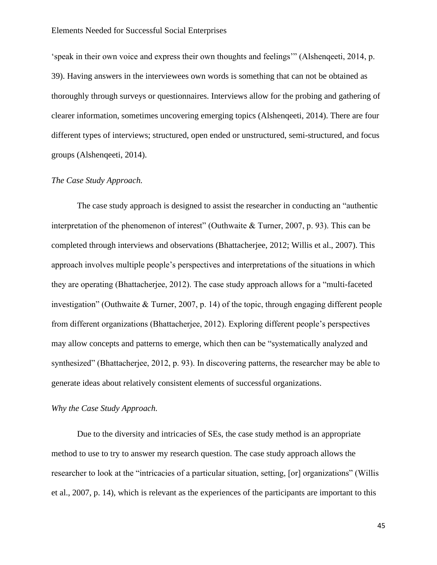'speak in their own voice and express their own thoughts and feelings'" (Alshenqeeti, 2014, p. 39). Having answers in the interviewees own words is something that can not be obtained as thoroughly through surveys or questionnaires. Interviews allow for the probing and gathering of clearer information, sometimes uncovering emerging topics (Alshenqeeti, 2014). There are four different types of interviews; structured, open ended or unstructured, semi-structured, and focus groups (Alshenqeeti, 2014).

### *The Case Study Approach.*

The case study approach is designed to assist the researcher in conducting an "authentic interpretation of the phenomenon of interest" (Outhwaite & Turner, 2007, p. 93). This can be completed through interviews and observations (Bhattacherjee, 2012; Willis et al., 2007). This approach involves multiple people's perspectives and interpretations of the situations in which they are operating (Bhattacherjee, 2012). The case study approach allows for a "multi-faceted investigation" (Outhwaite & Turner, 2007, p. 14) of the topic, through engaging different people from different organizations (Bhattacherjee, 2012). Exploring different people's perspectives may allow concepts and patterns to emerge, which then can be "systematically analyzed and synthesized" (Bhattacherjee, 2012, p. 93). In discovering patterns, the researcher may be able to generate ideas about relatively consistent elements of successful organizations.

# *Why the Case Study Approach.*

Due to the diversity and intricacies of SEs, the case study method is an appropriate method to use to try to answer my research question. The case study approach allows the researcher to look at the "intricacies of a particular situation, setting, [or] organizations" (Willis et al., 2007, p. 14), which is relevant as the experiences of the participants are important to this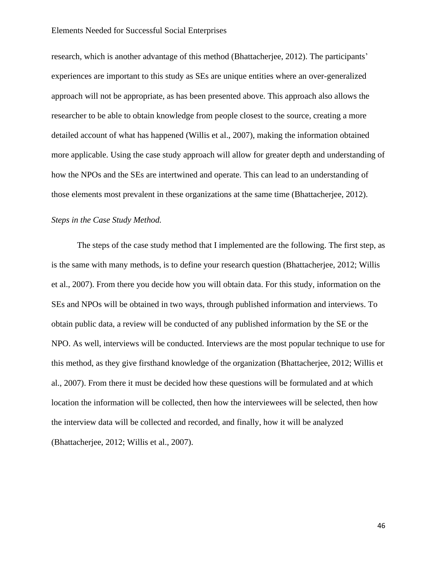research, which is another advantage of this method (Bhattacherjee, 2012). The participants' experiences are important to this study as SEs are unique entities where an over-generalized approach will not be appropriate, as has been presented above. This approach also allows the researcher to be able to obtain knowledge from people closest to the source, creating a more detailed account of what has happened (Willis et al., 2007), making the information obtained more applicable. Using the case study approach will allow for greater depth and understanding of how the NPOs and the SEs are intertwined and operate. This can lead to an understanding of those elements most prevalent in these organizations at the same time (Bhattacherjee, 2012).

# *Steps in the Case Study Method.*

The steps of the case study method that I implemented are the following. The first step, as is the same with many methods, is to define your research question (Bhattacherjee, 2012; Willis et al., 2007). From there you decide how you will obtain data. For this study, information on the SEs and NPOs will be obtained in two ways, through published information and interviews. To obtain public data, a review will be conducted of any published information by the SE or the NPO. As well, interviews will be conducted. Interviews are the most popular technique to use for this method, as they give firsthand knowledge of the organization (Bhattacherjee, 2012; Willis et al., 2007). From there it must be decided how these questions will be formulated and at which location the information will be collected, then how the interviewees will be selected, then how the interview data will be collected and recorded, and finally, how it will be analyzed (Bhattacherjee, 2012; Willis et al., 2007).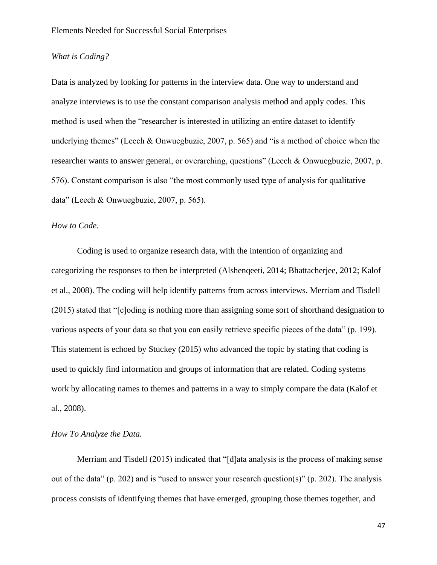# *What is Coding?*

Data is analyzed by looking for patterns in the interview data. One way to understand and analyze interviews is to use the constant comparison analysis method and apply codes. This method is used when the "researcher is interested in utilizing an entire dataset to identify underlying themes" (Leech & Onwuegbuzie, 2007, p. 565) and "is a method of choice when the researcher wants to answer general, or overarching, questions" (Leech & Onwuegbuzie, 2007, p. 576). Constant comparison is also "the most commonly used type of analysis for qualitative data" (Leech & Onwuegbuzie, 2007, p. 565).

### *How to Code.*

Coding is used to organize research data, with the intention of organizing and categorizing the responses to then be interpreted (Alshenqeeti, 2014; Bhattacherjee, 2012; Kalof et al., 2008). The coding will help identify patterns from across interviews. Merriam and Tisdell (2015) stated that "[c]oding is nothing more than assigning some sort of shorthand designation to various aspects of your data so that you can easily retrieve specific pieces of the data" (p. 199). This statement is echoed by Stuckey (2015) who advanced the topic by stating that coding is used to quickly find information and groups of information that are related. Coding systems work by allocating names to themes and patterns in a way to simply compare the data (Kalof et al., 2008).

## *How To Analyze the Data.*

Merriam and Tisdell (2015) indicated that "[d]ata analysis is the process of making sense out of the data" (p. 202) and is "used to answer your research question(s)" (p. 202). The analysis process consists of identifying themes that have emerged, grouping those themes together, and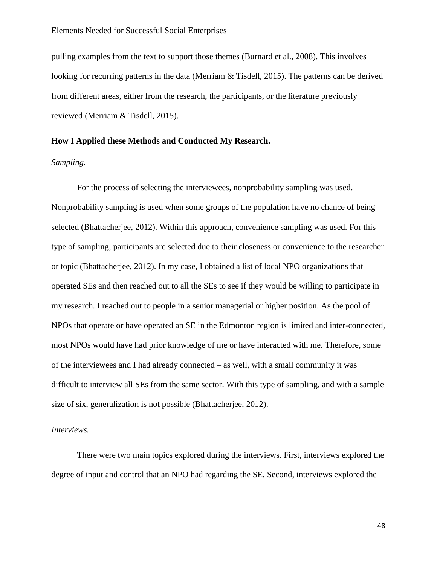pulling examples from the text to support those themes (Burnard et al., 2008). This involves looking for recurring patterns in the data (Merriam & Tisdell, 2015). The patterns can be derived from different areas, either from the research, the participants, or the literature previously reviewed (Merriam & Tisdell, 2015).

# **How I Applied these Methods and Conducted My Research.**

# *Sampling.*

For the process of selecting the interviewees, nonprobability sampling was used. Nonprobability sampling is used when some groups of the population have no chance of being selected (Bhattacherjee, 2012). Within this approach, convenience sampling was used. For this type of sampling, participants are selected due to their closeness or convenience to the researcher or topic (Bhattacherjee, 2012). In my case, I obtained a list of local NPO organizations that operated SEs and then reached out to all the SEs to see if they would be willing to participate in my research. I reached out to people in a senior managerial or higher position. As the pool of NPOs that operate or have operated an SE in the Edmonton region is limited and inter-connected, most NPOs would have had prior knowledge of me or have interacted with me. Therefore, some of the interviewees and I had already connected – as well, with a small community it was difficult to interview all SEs from the same sector. With this type of sampling, and with a sample size of six, generalization is not possible (Bhattacherjee, 2012).

### *Interviews.*

There were two main topics explored during the interviews. First, interviews explored the degree of input and control that an NPO had regarding the SE. Second, interviews explored the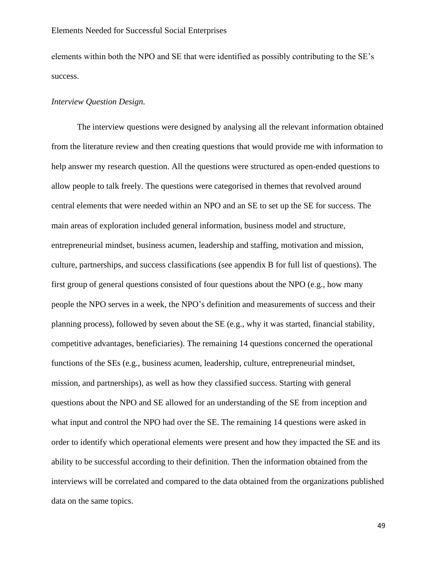elements within both the NPO and SE that were identified as possibly contributing to the SE's success.

## *Interview Question Design.*

The interview questions were designed by analysing all the relevant information obtained from the literature review and then creating questions that would provide me with information to help answer my research question. All the questions were structured as open-ended questions to allow people to talk freely. The questions were categorised in themes that revolved around central elements that were needed within an NPO and an SE to set up the SE for success. The main areas of exploration included general information, business model and structure, entrepreneurial mindset, business acumen, leadership and staffing, motivation and mission, culture, partnerships, and success classifications (see appendix B for full list of questions). The first group of general questions consisted of four questions about the NPO (e.g., how many people the NPO serves in a week, the NPO's definition and measurements of success and their planning process), followed by seven about the SE (e.g., why it was started, financial stability, competitive advantages, beneficiaries). The remaining 14 questions concerned the operational functions of the SEs (e.g., business acumen, leadership, culture, entrepreneurial mindset, mission, and partnerships), as well as how they classified success. Starting with general questions about the NPO and SE allowed for an understanding of the SE from inception and what input and control the NPO had over the SE. The remaining 14 questions were asked in order to identify which operational elements were present and how they impacted the SE and its ability to be successful according to their definition. Then the information obtained from the interviews will be correlated and compared to the data obtained from the organizations published data on the same topics.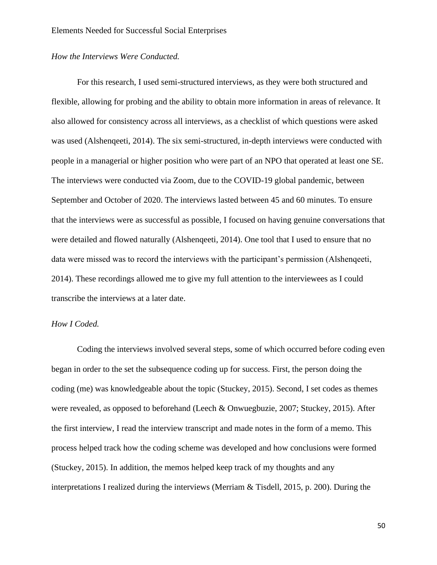# *How the Interviews Were Conducted.*

For this research, I used semi-structured interviews, as they were both structured and flexible, allowing for probing and the ability to obtain more information in areas of relevance. It also allowed for consistency across all interviews, as a checklist of which questions were asked was used (Alshenqeeti, 2014). The six semi-structured, in-depth interviews were conducted with people in a managerial or higher position who were part of an NPO that operated at least one SE. The interviews were conducted via Zoom, due to the COVID-19 global pandemic, between September and October of 2020. The interviews lasted between 45 and 60 minutes. To ensure that the interviews were as successful as possible, I focused on having genuine conversations that were detailed and flowed naturally (Alshenqeeti, 2014). One tool that I used to ensure that no data were missed was to record the interviews with the participant's permission (Alshenqeeti, 2014). These recordings allowed me to give my full attention to the interviewees as I could transcribe the interviews at a later date.

### *How I Coded.*

Coding the interviews involved several steps, some of which occurred before coding even began in order to the set the subsequence coding up for success. First, the person doing the coding (me) was knowledgeable about the topic (Stuckey, 2015). Second, I set codes as themes were revealed, as opposed to beforehand (Leech & Onwuegbuzie, 2007; Stuckey, 2015). After the first interview, I read the interview transcript and made notes in the form of a memo. This process helped track how the coding scheme was developed and how conclusions were formed (Stuckey, 2015). In addition, the memos helped keep track of my thoughts and any interpretations I realized during the interviews (Merriam & Tisdell, 2015, p. 200). During the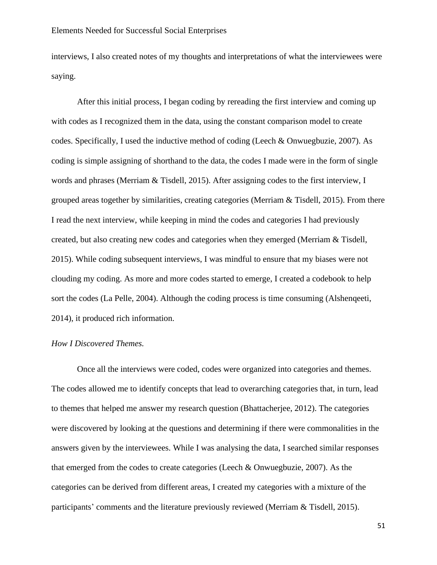interviews, I also created notes of my thoughts and interpretations of what the interviewees were saying.

After this initial process, I began coding by rereading the first interview and coming up with codes as I recognized them in the data, using the constant comparison model to create codes. Specifically, I used the inductive method of coding (Leech & Onwuegbuzie, 2007). As coding is simple assigning of shorthand to the data, the codes I made were in the form of single words and phrases (Merriam & Tisdell, 2015). After assigning codes to the first interview, I grouped areas together by similarities, creating categories (Merriam & Tisdell, 2015). From there I read the next interview, while keeping in mind the codes and categories I had previously created, but also creating new codes and categories when they emerged (Merriam & Tisdell, 2015). While coding subsequent interviews, I was mindful to ensure that my biases were not clouding my coding. As more and more codes started to emerge, I created a codebook to help sort the codes (La Pelle, 2004). Although the coding process is time consuming (Alshenqeeti, 2014), it produced rich information.

# *How I Discovered Themes.*

Once all the interviews were coded, codes were organized into categories and themes. The codes allowed me to identify concepts that lead to overarching categories that, in turn, lead to themes that helped me answer my research question (Bhattacherjee, 2012). The categories were discovered by looking at the questions and determining if there were commonalities in the answers given by the interviewees. While I was analysing the data, I searched similar responses that emerged from the codes to create categories (Leech & Onwuegbuzie, 2007). As the categories can be derived from different areas, I created my categories with a mixture of the participants' comments and the literature previously reviewed (Merriam & Tisdell, 2015).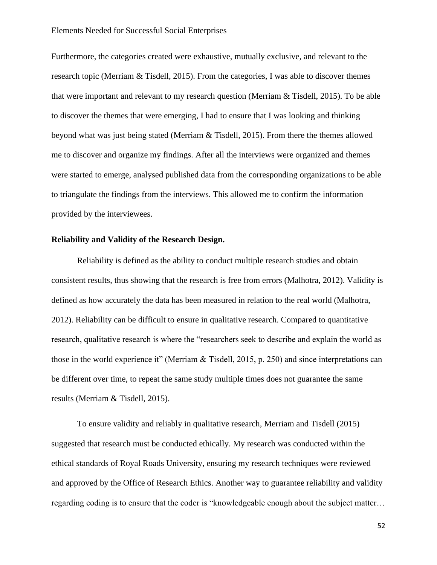Furthermore, the categories created were exhaustive, mutually exclusive, and relevant to the research topic (Merriam & Tisdell, 2015). From the categories, I was able to discover themes that were important and relevant to my research question (Merriam & Tisdell, 2015). To be able to discover the themes that were emerging, I had to ensure that I was looking and thinking beyond what was just being stated (Merriam & Tisdell, 2015). From there the themes allowed me to discover and organize my findings. After all the interviews were organized and themes were started to emerge, analysed published data from the corresponding organizations to be able to triangulate the findings from the interviews. This allowed me to confirm the information provided by the interviewees.

# **Reliability and Validity of the Research Design.**

Reliability is defined as the ability to conduct multiple research studies and obtain consistent results, thus showing that the research is free from errors (Malhotra, 2012). Validity is defined as how accurately the data has been measured in relation to the real world (Malhotra, 2012). Reliability can be difficult to ensure in qualitative research. Compared to quantitative research, qualitative research is where the "researchers seek to describe and explain the world as those in the world experience it" (Merriam & Tisdell, 2015, p. 250) and since interpretations can be different over time, to repeat the same study multiple times does not guarantee the same results (Merriam & Tisdell, 2015).

To ensure validity and reliably in qualitative research, Merriam and Tisdell (2015) suggested that research must be conducted ethically. My research was conducted within the ethical standards of Royal Roads University, ensuring my research techniques were reviewed and approved by the Office of Research Ethics. Another way to guarantee reliability and validity regarding coding is to ensure that the coder is "knowledgeable enough about the subject matter…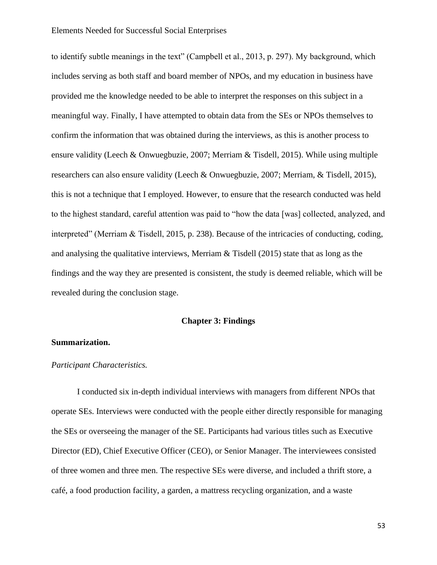to identify subtle meanings in the text" (Campbell et al., 2013, p. 297). My background, which includes serving as both staff and board member of NPOs, and my education in business have provided me the knowledge needed to be able to interpret the responses on this subject in a meaningful way. Finally, I have attempted to obtain data from the SEs or NPOs themselves to confirm the information that was obtained during the interviews, as this is another process to ensure validity (Leech & Onwuegbuzie, 2007; Merriam & Tisdell, 2015). While using multiple researchers can also ensure validity (Leech & Onwuegbuzie, 2007; Merriam, & Tisdell, 2015), this is not a technique that I employed. However, to ensure that the research conducted was held to the highest standard, careful attention was paid to "how the data [was] collected, analyzed, and interpreted" (Merriam & Tisdell, 2015, p. 238). Because of the intricacies of conducting, coding, and analysing the qualitative interviews, Merriam & Tisdell (2015) state that as long as the findings and the way they are presented is consistent, the study is deemed reliable, which will be revealed during the conclusion stage.

## **Chapter 3: Findings**

# **Summarization.**

## *Participant Characteristics.*

I conducted six in-depth individual interviews with managers from different NPOs that operate SEs. Interviews were conducted with the people either directly responsible for managing the SEs or overseeing the manager of the SE. Participants had various titles such as Executive Director (ED), Chief Executive Officer (CEO), or Senior Manager. The interviewees consisted of three women and three men. The respective SEs were diverse, and included a thrift store, a café, a food production facility, a garden, a mattress recycling organization, and a waste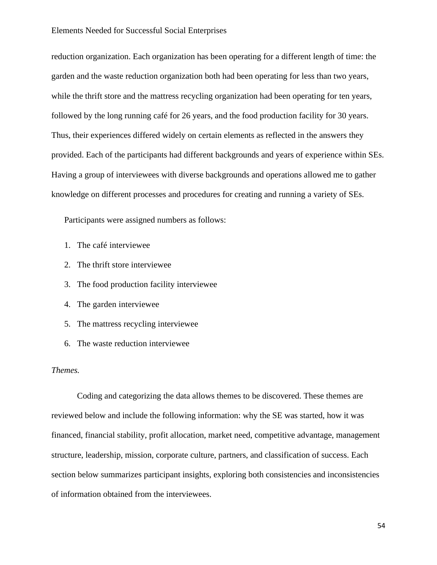reduction organization. Each organization has been operating for a different length of time: the garden and the waste reduction organization both had been operating for less than two years, while the thrift store and the mattress recycling organization had been operating for ten years, followed by the long running café for 26 years, and the food production facility for 30 years. Thus, their experiences differed widely on certain elements as reflected in the answers they provided. Each of the participants had different backgrounds and years of experience within SEs. Having a group of interviewees with diverse backgrounds and operations allowed me to gather knowledge on different processes and procedures for creating and running a variety of SEs.

Participants were assigned numbers as follows:

- 1. The café interviewee
- 2. The thrift store interviewee
- 3. The food production facility interviewee
- 4. The garden interviewee
- 5. The mattress recycling interviewee
- 6. The waste reduction interviewee

## *Themes.*

Coding and categorizing the data allows themes to be discovered. These themes are reviewed below and include the following information: why the SE was started, how it was financed, financial stability, profit allocation, market need, competitive advantage, management structure, leadership, mission, corporate culture, partners, and classification of success. Each section below summarizes participant insights, exploring both consistencies and inconsistencies of information obtained from the interviewees.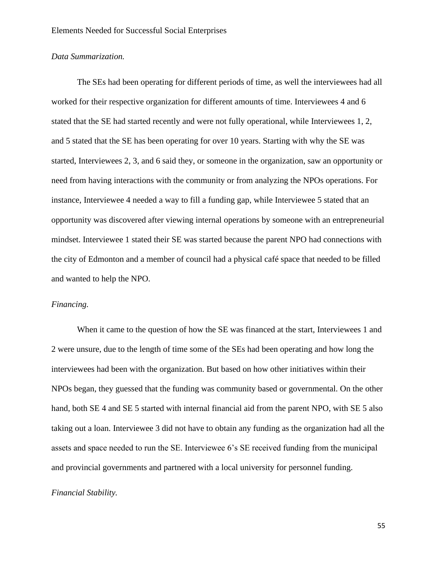# *Data Summarization.*

The SEs had been operating for different periods of time, as well the interviewees had all worked for their respective organization for different amounts of time. Interviewees 4 and 6 stated that the SE had started recently and were not fully operational, while Interviewees 1, 2, and 5 stated that the SE has been operating for over 10 years. Starting with why the SE was started, Interviewees 2, 3, and 6 said they, or someone in the organization, saw an opportunity or need from having interactions with the community or from analyzing the NPOs operations. For instance, Interviewee 4 needed a way to fill a funding gap, while Interviewee 5 stated that an opportunity was discovered after viewing internal operations by someone with an entrepreneurial mindset. Interviewee 1 stated their SE was started because the parent NPO had connections with the city of Edmonton and a member of council had a physical café space that needed to be filled and wanted to help the NPO.

## *Financing.*

When it came to the question of how the SE was financed at the start, Interviewees 1 and 2 were unsure, due to the length of time some of the SEs had been operating and how long the interviewees had been with the organization. But based on how other initiatives within their NPOs began, they guessed that the funding was community based or governmental. On the other hand, both SE 4 and SE 5 started with internal financial aid from the parent NPO, with SE 5 also taking out a loan. Interviewee 3 did not have to obtain any funding as the organization had all the assets and space needed to run the SE. Interviewee 6's SE received funding from the municipal and provincial governments and partnered with a local university for personnel funding.

### *Financial Stability.*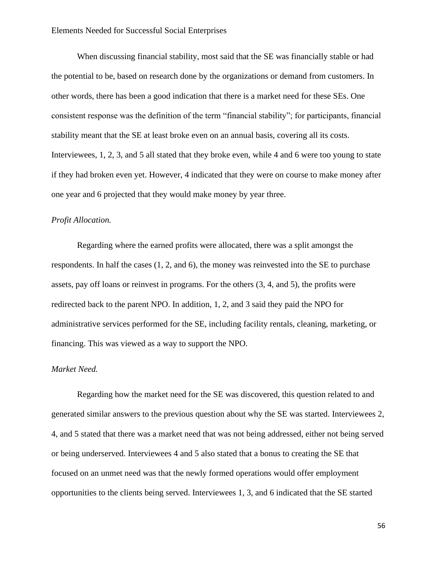When discussing financial stability, most said that the SE was financially stable or had the potential to be, based on research done by the organizations or demand from customers. In other words, there has been a good indication that there is a market need for these SEs. One consistent response was the definition of the term "financial stability"; for participants, financial stability meant that the SE at least broke even on an annual basis, covering all its costs. Interviewees, 1, 2, 3, and 5 all stated that they broke even, while 4 and 6 were too young to state if they had broken even yet. However, 4 indicated that they were on course to make money after one year and 6 projected that they would make money by year three.

# *Profit Allocation.*

Regarding where the earned profits were allocated, there was a split amongst the respondents. In half the cases (1, 2, and 6), the money was reinvested into the SE to purchase assets, pay off loans or reinvest in programs. For the others (3, 4, and 5), the profits were redirected back to the parent NPO. In addition, 1, 2, and 3 said they paid the NPO for administrative services performed for the SE, including facility rentals, cleaning, marketing, or financing. This was viewed as a way to support the NPO.

## *Market Need.*

Regarding how the market need for the SE was discovered, this question related to and generated similar answers to the previous question about why the SE was started. Interviewees 2, 4, and 5 stated that there was a market need that was not being addressed, either not being served or being underserved. Interviewees 4 and 5 also stated that a bonus to creating the SE that focused on an unmet need was that the newly formed operations would offer employment opportunities to the clients being served. Interviewees 1, 3, and 6 indicated that the SE started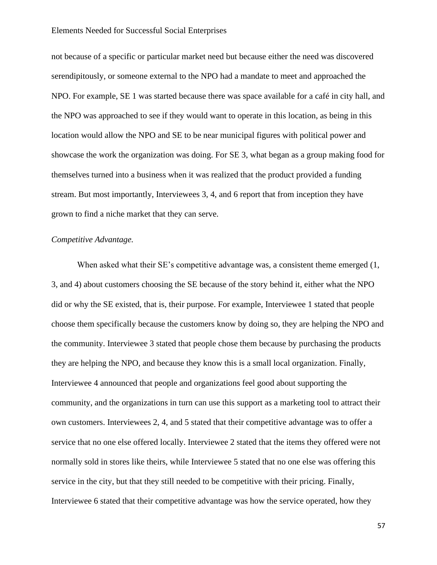not because of a specific or particular market need but because either the need was discovered serendipitously, or someone external to the NPO had a mandate to meet and approached the NPO. For example, SE 1 was started because there was space available for a café in city hall, and the NPO was approached to see if they would want to operate in this location, as being in this location would allow the NPO and SE to be near municipal figures with political power and showcase the work the organization was doing. For SE 3, what began as a group making food for themselves turned into a business when it was realized that the product provided a funding stream. But most importantly, Interviewees 3, 4, and 6 report that from inception they have grown to find a niche market that they can serve.

# *Competitive Advantage.*

When asked what their SE's competitive advantage was, a consistent theme emerged  $(1, 1)$ 3, and 4) about customers choosing the SE because of the story behind it, either what the NPO did or why the SE existed, that is, their purpose. For example, Interviewee 1 stated that people choose them specifically because the customers know by doing so, they are helping the NPO and the community. Interviewee 3 stated that people chose them because by purchasing the products they are helping the NPO, and because they know this is a small local organization. Finally, Interviewee 4 announced that people and organizations feel good about supporting the community, and the organizations in turn can use this support as a marketing tool to attract their own customers. Interviewees 2, 4, and 5 stated that their competitive advantage was to offer a service that no one else offered locally. Interviewee 2 stated that the items they offered were not normally sold in stores like theirs, while Interviewee 5 stated that no one else was offering this service in the city, but that they still needed to be competitive with their pricing. Finally, Interviewee 6 stated that their competitive advantage was how the service operated, how they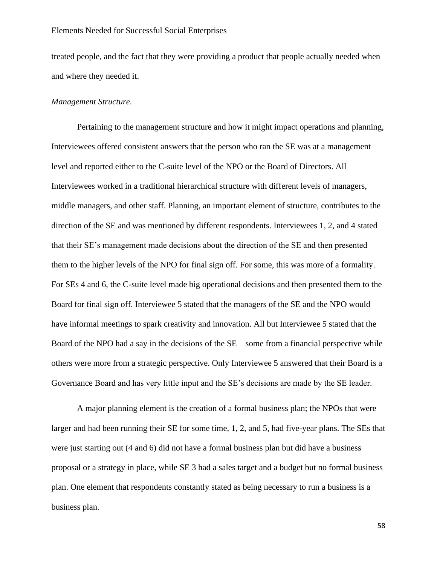treated people, and the fact that they were providing a product that people actually needed when and where they needed it.

## *Management Structure.*

Pertaining to the management structure and how it might impact operations and planning, Interviewees offered consistent answers that the person who ran the SE was at a management level and reported either to the C-suite level of the NPO or the Board of Directors. All Interviewees worked in a traditional hierarchical structure with different levels of managers, middle managers, and other staff. Planning, an important element of structure, contributes to the direction of the SE and was mentioned by different respondents. Interviewees 1, 2, and 4 stated that their SE's management made decisions about the direction of the SE and then presented them to the higher levels of the NPO for final sign off. For some, this was more of a formality. For SEs 4 and 6, the C-suite level made big operational decisions and then presented them to the Board for final sign off. Interviewee 5 stated that the managers of the SE and the NPO would have informal meetings to spark creativity and innovation. All but Interviewee 5 stated that the Board of the NPO had a say in the decisions of the  $SE$  – some from a financial perspective while others were more from a strategic perspective. Only Interviewee 5 answered that their Board is a Governance Board and has very little input and the SE's decisions are made by the SE leader.

A major planning element is the creation of a formal business plan; the NPOs that were larger and had been running their SE for some time, 1, 2, and 5, had five-year plans. The SEs that were just starting out (4 and 6) did not have a formal business plan but did have a business proposal or a strategy in place, while SE 3 had a sales target and a budget but no formal business plan. One element that respondents constantly stated as being necessary to run a business is a business plan.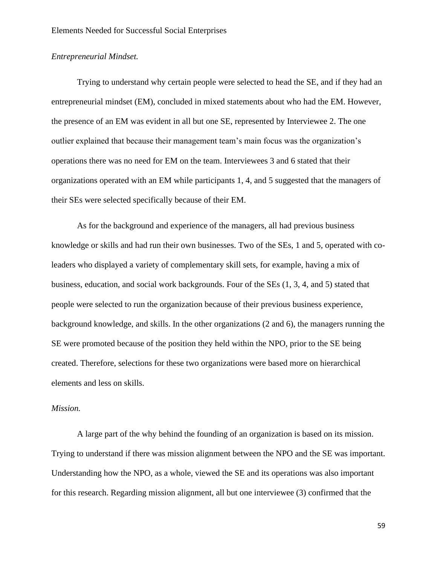# *Entrepreneurial Mindset.*

Trying to understand why certain people were selected to head the SE, and if they had an entrepreneurial mindset (EM), concluded in mixed statements about who had the EM. However, the presence of an EM was evident in all but one SE, represented by Interviewee 2. The one outlier explained that because their management team's main focus was the organization's operations there was no need for EM on the team. Interviewees 3 and 6 stated that their organizations operated with an EM while participants 1, 4, and 5 suggested that the managers of their SEs were selected specifically because of their EM.

As for the background and experience of the managers, all had previous business knowledge or skills and had run their own businesses. Two of the SEs, 1 and 5, operated with coleaders who displayed a variety of complementary skill sets, for example, having a mix of business, education, and social work backgrounds. Four of the SEs (1, 3, 4, and 5) stated that people were selected to run the organization because of their previous business experience, background knowledge, and skills. In the other organizations (2 and 6), the managers running the SE were promoted because of the position they held within the NPO, prior to the SE being created. Therefore, selections for these two organizations were based more on hierarchical elements and less on skills.

## *Mission.*

A large part of the why behind the founding of an organization is based on its mission. Trying to understand if there was mission alignment between the NPO and the SE was important. Understanding how the NPO, as a whole, viewed the SE and its operations was also important for this research. Regarding mission alignment, all but one interviewee (3) confirmed that the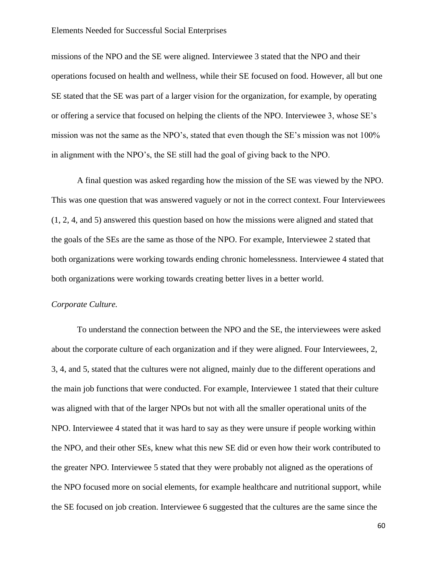missions of the NPO and the SE were aligned. Interviewee 3 stated that the NPO and their operations focused on health and wellness, while their SE focused on food. However, all but one SE stated that the SE was part of a larger vision for the organization, for example, by operating or offering a service that focused on helping the clients of the NPO. Interviewee 3, whose SE's mission was not the same as the NPO's, stated that even though the SE's mission was not 100% in alignment with the NPO's, the SE still had the goal of giving back to the NPO.

A final question was asked regarding how the mission of the SE was viewed by the NPO. This was one question that was answered vaguely or not in the correct context. Four Interviewees (1, 2, 4, and 5) answered this question based on how the missions were aligned and stated that the goals of the SEs are the same as those of the NPO. For example, Interviewee 2 stated that both organizations were working towards ending chronic homelessness. Interviewee 4 stated that both organizations were working towards creating better lives in a better world.

## *Corporate Culture.*

To understand the connection between the NPO and the SE, the interviewees were asked about the corporate culture of each organization and if they were aligned. Four Interviewees, 2, 3, 4, and 5, stated that the cultures were not aligned, mainly due to the different operations and the main job functions that were conducted. For example, Interviewee 1 stated that their culture was aligned with that of the larger NPOs but not with all the smaller operational units of the NPO. Interviewee 4 stated that it was hard to say as they were unsure if people working within the NPO, and their other SEs, knew what this new SE did or even how their work contributed to the greater NPO. Interviewee 5 stated that they were probably not aligned as the operations of the NPO focused more on social elements, for example healthcare and nutritional support, while the SE focused on job creation. Interviewee 6 suggested that the cultures are the same since the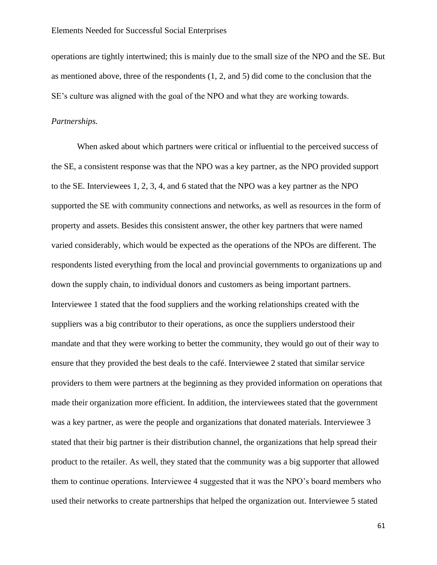operations are tightly intertwined; this is mainly due to the small size of the NPO and the SE. But as mentioned above, three of the respondents (1, 2, and 5) did come to the conclusion that the SE's culture was aligned with the goal of the NPO and what they are working towards.

## *Partnerships.*

When asked about which partners were critical or influential to the perceived success of the SE, a consistent response was that the NPO was a key partner, as the NPO provided support to the SE. Interviewees 1, 2, 3, 4, and 6 stated that the NPO was a key partner as the NPO supported the SE with community connections and networks, as well as resources in the form of property and assets. Besides this consistent answer, the other key partners that were named varied considerably, which would be expected as the operations of the NPOs are different. The respondents listed everything from the local and provincial governments to organizations up and down the supply chain, to individual donors and customers as being important partners. Interviewee 1 stated that the food suppliers and the working relationships created with the suppliers was a big contributor to their operations, as once the suppliers understood their mandate and that they were working to better the community, they would go out of their way to ensure that they provided the best deals to the café. Interviewee 2 stated that similar service providers to them were partners at the beginning as they provided information on operations that made their organization more efficient. In addition, the interviewees stated that the government was a key partner, as were the people and organizations that donated materials. Interviewee 3 stated that their big partner is their distribution channel, the organizations that help spread their product to the retailer. As well, they stated that the community was a big supporter that allowed them to continue operations. Interviewee 4 suggested that it was the NPO's board members who used their networks to create partnerships that helped the organization out. Interviewee 5 stated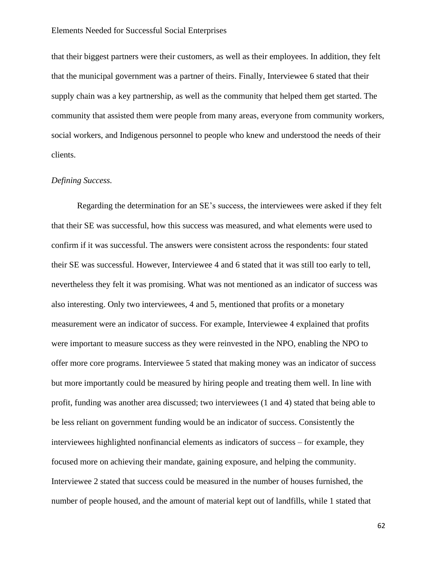that their biggest partners were their customers, as well as their employees. In addition, they felt that the municipal government was a partner of theirs. Finally, Interviewee 6 stated that their supply chain was a key partnership, as well as the community that helped them get started. The community that assisted them were people from many areas, everyone from community workers, social workers, and Indigenous personnel to people who knew and understood the needs of their clients.

## *Defining Success.*

Regarding the determination for an SE's success, the interviewees were asked if they felt that their SE was successful, how this success was measured, and what elements were used to confirm if it was successful. The answers were consistent across the respondents: four stated their SE was successful. However, Interviewee 4 and 6 stated that it was still too early to tell, nevertheless they felt it was promising. What was not mentioned as an indicator of success was also interesting. Only two interviewees, 4 and 5, mentioned that profits or a monetary measurement were an indicator of success. For example, Interviewee 4 explained that profits were important to measure success as they were reinvested in the NPO, enabling the NPO to offer more core programs. Interviewee 5 stated that making money was an indicator of success but more importantly could be measured by hiring people and treating them well. In line with profit, funding was another area discussed; two interviewees (1 and 4) stated that being able to be less reliant on government funding would be an indicator of success. Consistently the interviewees highlighted nonfinancial elements as indicators of success – for example, they focused more on achieving their mandate, gaining exposure, and helping the community. Interviewee 2 stated that success could be measured in the number of houses furnished, the number of people housed, and the amount of material kept out of landfills, while 1 stated that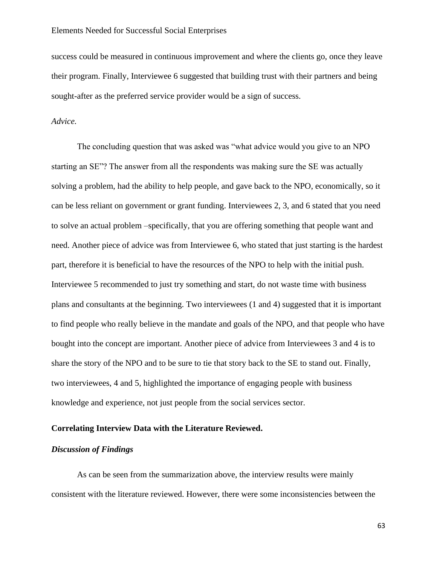success could be measured in continuous improvement and where the clients go, once they leave their program. Finally, Interviewee 6 suggested that building trust with their partners and being sought-after as the preferred service provider would be a sign of success.

### *Advice.*

The concluding question that was asked was "what advice would you give to an NPO starting an SE"? The answer from all the respondents was making sure the SE was actually solving a problem, had the ability to help people, and gave back to the NPO, economically, so it can be less reliant on government or grant funding. Interviewees 2, 3, and 6 stated that you need to solve an actual problem –specifically, that you are offering something that people want and need. Another piece of advice was from Interviewee 6, who stated that just starting is the hardest part, therefore it is beneficial to have the resources of the NPO to help with the initial push. Interviewee 5 recommended to just try something and start, do not waste time with business plans and consultants at the beginning. Two interviewees (1 and 4) suggested that it is important to find people who really believe in the mandate and goals of the NPO, and that people who have bought into the concept are important. Another piece of advice from Interviewees 3 and 4 is to share the story of the NPO and to be sure to tie that story back to the SE to stand out. Finally, two interviewees, 4 and 5, highlighted the importance of engaging people with business knowledge and experience, not just people from the social services sector.

# **Correlating Interview Data with the Literature Reviewed.**

# *Discussion of Findings*

As can be seen from the summarization above, the interview results were mainly consistent with the literature reviewed. However, there were some inconsistencies between the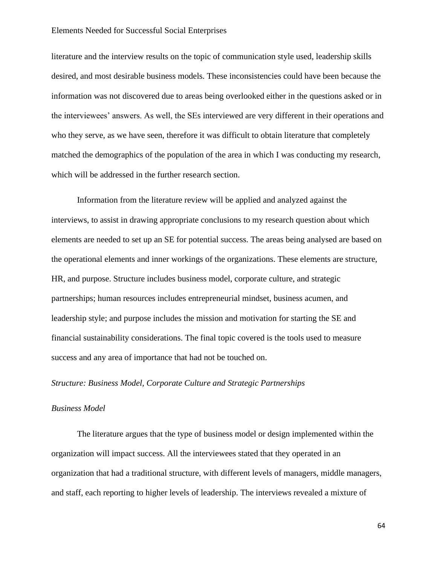literature and the interview results on the topic of communication style used, leadership skills desired, and most desirable business models. These inconsistencies could have been because the information was not discovered due to areas being overlooked either in the questions asked or in the interviewees' answers. As well, the SEs interviewed are very different in their operations and who they serve, as we have seen, therefore it was difficult to obtain literature that completely matched the demographics of the population of the area in which I was conducting my research, which will be addressed in the further research section.

Information from the literature review will be applied and analyzed against the interviews, to assist in drawing appropriate conclusions to my research question about which elements are needed to set up an SE for potential success. The areas being analysed are based on the operational elements and inner workings of the organizations. These elements are structure, HR, and purpose. Structure includes business model, corporate culture, and strategic partnerships; human resources includes entrepreneurial mindset, business acumen, and leadership style; and purpose includes the mission and motivation for starting the SE and financial sustainability considerations. The final topic covered is the tools used to measure success and any area of importance that had not be touched on.

## *Structure: Business Model, Corporate Culture and Strategic Partnerships*

### *Business Model*

The literature argues that the type of business model or design implemented within the organization will impact success. All the interviewees stated that they operated in an organization that had a traditional structure, with different levels of managers, middle managers, and staff, each reporting to higher levels of leadership. The interviews revealed a mixture of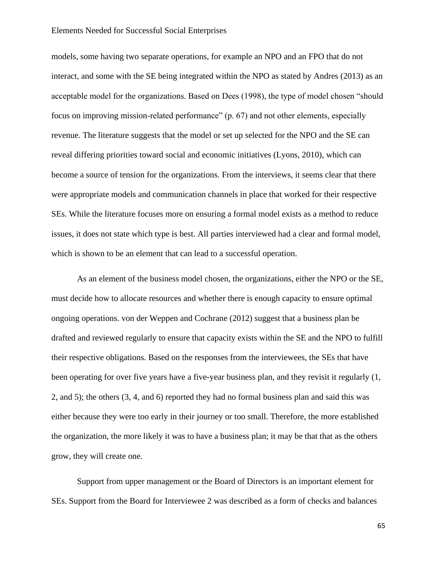models, some having two separate operations, for example an NPO and an FPO that do not interact, and some with the SE being integrated within the NPO as stated by Andres (2013) as an acceptable model for the organizations. Based on Dees (1998), the type of model chosen "should focus on improving mission-related performance" (p. 67) and not other elements, especially revenue. The literature suggests that the model or set up selected for the NPO and the SE can reveal differing priorities toward social and economic initiatives (Lyons, 2010), which can become a source of tension for the organizations. From the interviews, it seems clear that there were appropriate models and communication channels in place that worked for their respective SEs. While the literature focuses more on ensuring a formal model exists as a method to reduce issues, it does not state which type is best. All parties interviewed had a clear and formal model, which is shown to be an element that can lead to a successful operation.

As an element of the business model chosen, the organizations, either the NPO or the SE, must decide how to allocate resources and whether there is enough capacity to ensure optimal ongoing operations. von der Weppen and Cochrane (2012) suggest that a business plan be drafted and reviewed regularly to ensure that capacity exists within the SE and the NPO to fulfill their respective obligations. Based on the responses from the interviewees, the SEs that have been operating for over five years have a five-year business plan, and they revisit it regularly (1, 2, and 5); the others (3, 4, and 6) reported they had no formal business plan and said this was either because they were too early in their journey or too small. Therefore, the more established the organization, the more likely it was to have a business plan; it may be that that as the others grow, they will create one.

Support from upper management or the Board of Directors is an important element for SEs. Support from the Board for Interviewee 2 was described as a form of checks and balances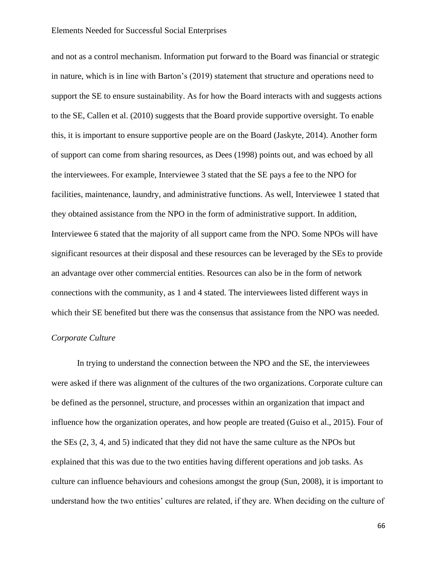and not as a control mechanism. Information put forward to the Board was financial or strategic in nature, which is in line with Barton's (2019) statement that structure and operations need to support the SE to ensure sustainability. As for how the Board interacts with and suggests actions to the SE, Callen et al. (2010) suggests that the Board provide supportive oversight. To enable this, it is important to ensure supportive people are on the Board (Jaskyte, 2014). Another form of support can come from sharing resources, as Dees (1998) points out, and was echoed by all the interviewees. For example, Interviewee 3 stated that the SE pays a fee to the NPO for facilities, maintenance, laundry, and administrative functions. As well, Interviewee 1 stated that they obtained assistance from the NPO in the form of administrative support. In addition, Interviewee 6 stated that the majority of all support came from the NPO. Some NPOs will have significant resources at their disposal and these resources can be leveraged by the SEs to provide an advantage over other commercial entities. Resources can also be in the form of network connections with the community, as 1 and 4 stated. The interviewees listed different ways in which their SE benefited but there was the consensus that assistance from the NPO was needed.

## *Corporate Culture*

In trying to understand the connection between the NPO and the SE, the interviewees were asked if there was alignment of the cultures of the two organizations. Corporate culture can be defined as the personnel, structure, and processes within an organization that impact and influence how the organization operates, and how people are treated (Guiso et al., 2015). Four of the SEs (2, 3, 4, and 5) indicated that they did not have the same culture as the NPOs but explained that this was due to the two entities having different operations and job tasks. As culture can influence behaviours and cohesions amongst the group (Sun, 2008), it is important to understand how the two entities' cultures are related, if they are. When deciding on the culture of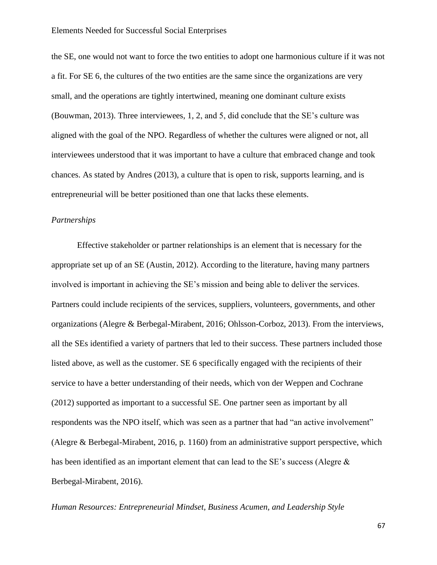the SE, one would not want to force the two entities to adopt one harmonious culture if it was not a fit. For SE 6, the cultures of the two entities are the same since the organizations are very small, and the operations are tightly intertwined, meaning one dominant culture exists (Bouwman, 2013). Three interviewees, 1, 2, and 5, did conclude that the SE's culture was aligned with the goal of the NPO. Regardless of whether the cultures were aligned or not, all interviewees understood that it was important to have a culture that embraced change and took chances. As stated by Andres (2013), a culture that is open to risk, supports learning, and is entrepreneurial will be better positioned than one that lacks these elements.

# *Partnerships*

Effective stakeholder or partner relationships is an element that is necessary for the appropriate set up of an SE (Austin, 2012). According to the literature, having many partners involved is important in achieving the SE's mission and being able to deliver the services. Partners could include recipients of the services, suppliers, volunteers, governments, and other organizations (Alegre & Berbegal-Mirabent, 2016; Ohlsson-Corboz, 2013). From the interviews, all the SEs identified a variety of partners that led to their success. These partners included those listed above, as well as the customer. SE 6 specifically engaged with the recipients of their service to have a better understanding of their needs, which von der Weppen and Cochrane (2012) supported as important to a successful SE. One partner seen as important by all respondents was the NPO itself, which was seen as a partner that had "an active involvement" (Alegre & Berbegal-Mirabent, 2016, p. 1160) from an administrative support perspective, which has been identified as an important element that can lead to the SE's success (Alegre & Berbegal-Mirabent, 2016).

*Human Resources: Entrepreneurial Mindset, Business Acumen, and Leadership Style*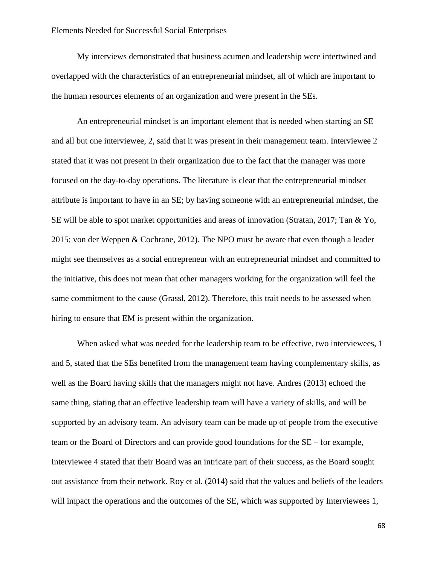My interviews demonstrated that business acumen and leadership were intertwined and overlapped with the characteristics of an entrepreneurial mindset, all of which are important to the human resources elements of an organization and were present in the SEs.

An entrepreneurial mindset is an important element that is needed when starting an SE and all but one interviewee, 2, said that it was present in their management team. Interviewee 2 stated that it was not present in their organization due to the fact that the manager was more focused on the day-to-day operations. The literature is clear that the entrepreneurial mindset attribute is important to have in an SE; by having someone with an entrepreneurial mindset, the SE will be able to spot market opportunities and areas of innovation (Stratan, 2017; Tan & Yo, 2015; von der Weppen & Cochrane, 2012). The NPO must be aware that even though a leader might see themselves as a social entrepreneur with an entrepreneurial mindset and committed to the initiative, this does not mean that other managers working for the organization will feel the same commitment to the cause (Grassl, 2012). Therefore, this trait needs to be assessed when hiring to ensure that EM is present within the organization.

When asked what was needed for the leadership team to be effective, two interviewees, 1 and 5, stated that the SEs benefited from the management team having complementary skills, as well as the Board having skills that the managers might not have. Andres (2013) echoed the same thing, stating that an effective leadership team will have a variety of skills, and will be supported by an advisory team. An advisory team can be made up of people from the executive team or the Board of Directors and can provide good foundations for the SE – for example, Interviewee 4 stated that their Board was an intricate part of their success, as the Board sought out assistance from their network. Roy et al. (2014) said that the values and beliefs of the leaders will impact the operations and the outcomes of the SE, which was supported by Interviewees 1,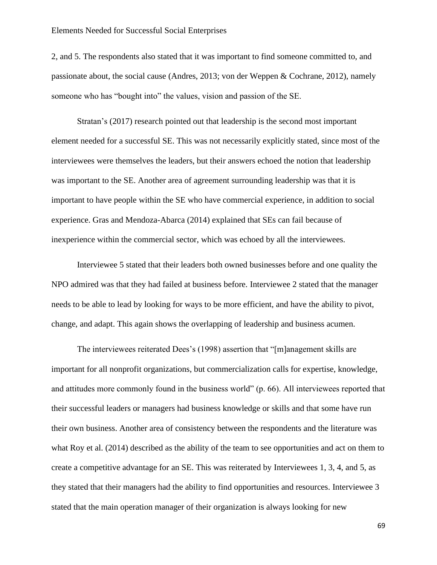2, and 5. The respondents also stated that it was important to find someone committed to, and passionate about, the social cause (Andres, 2013; von der Weppen & Cochrane, 2012), namely someone who has "bought into" the values, vision and passion of the SE.

Stratan's (2017) research pointed out that leadership is the second most important element needed for a successful SE. This was not necessarily explicitly stated, since most of the interviewees were themselves the leaders, but their answers echoed the notion that leadership was important to the SE. Another area of agreement surrounding leadership was that it is important to have people within the SE who have commercial experience, in addition to social experience. Gras and Mendoza-Abarca (2014) explained that SEs can fail because of inexperience within the commercial sector, which was echoed by all the interviewees.

Interviewee 5 stated that their leaders both owned businesses before and one quality the NPO admired was that they had failed at business before. Interviewee 2 stated that the manager needs to be able to lead by looking for ways to be more efficient, and have the ability to pivot, change, and adapt. This again shows the overlapping of leadership and business acumen.

The interviewees reiterated Dees's (1998) assertion that "[m]anagement skills are important for all nonprofit organizations, but commercialization calls for expertise, knowledge, and attitudes more commonly found in the business world" (p. 66). All interviewees reported that their successful leaders or managers had business knowledge or skills and that some have run their own business. Another area of consistency between the respondents and the literature was what Roy et al. (2014) described as the ability of the team to see opportunities and act on them to create a competitive advantage for an SE. This was reiterated by Interviewees 1, 3, 4, and 5, as they stated that their managers had the ability to find opportunities and resources. Interviewee 3 stated that the main operation manager of their organization is always looking for new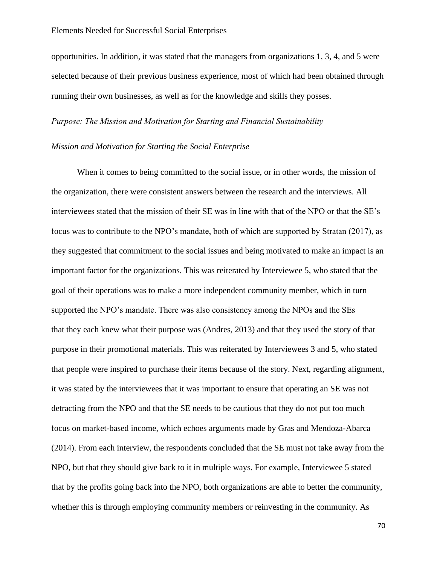opportunities. In addition, it was stated that the managers from organizations 1, 3, 4, and 5 were selected because of their previous business experience, most of which had been obtained through running their own businesses, as well as for the knowledge and skills they posses.

## *Purpose: The Mission and Motivation for Starting and Financial Sustainability*

# *Mission and Motivation for Starting the Social Enterprise*

When it comes to being committed to the social issue, or in other words, the mission of the organization, there were consistent answers between the research and the interviews. All interviewees stated that the mission of their SE was in line with that of the NPO or that the SE's focus was to contribute to the NPO's mandate, both of which are supported by Stratan (2017), as they suggested that commitment to the social issues and being motivated to make an impact is an important factor for the organizations. This was reiterated by Interviewee 5, who stated that the goal of their operations was to make a more independent community member, which in turn supported the NPO's mandate. There was also consistency among the NPOs and the SEs that they each knew what their purpose was (Andres, 2013) and that they used the story of that purpose in their promotional materials. This was reiterated by Interviewees 3 and 5, who stated that people were inspired to purchase their items because of the story. Next, regarding alignment, it was stated by the interviewees that it was important to ensure that operating an SE was not detracting from the NPO and that the SE needs to be cautious that they do not put too much focus on market-based income, which echoes arguments made by Gras and Mendoza-Abarca (2014). From each interview, the respondents concluded that the SE must not take away from the NPO, but that they should give back to it in multiple ways. For example, Interviewee 5 stated that by the profits going back into the NPO, both organizations are able to better the community, whether this is through employing community members or reinvesting in the community. As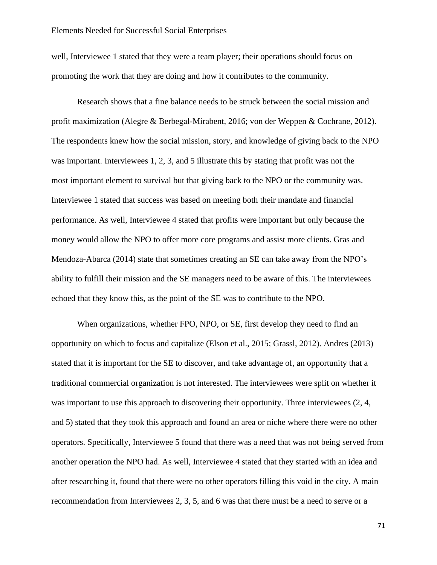well, Interviewee 1 stated that they were a team player; their operations should focus on promoting the work that they are doing and how it contributes to the community.

Research shows that a fine balance needs to be struck between the social mission and profit maximization (Alegre & Berbegal-Mirabent, 2016; von der Weppen & Cochrane, 2012). The respondents knew how the social mission, story, and knowledge of giving back to the NPO was important. Interviewees 1, 2, 3, and 5 illustrate this by stating that profit was not the most important element to survival but that giving back to the NPO or the community was. Interviewee 1 stated that success was based on meeting both their mandate and financial performance. As well, Interviewee 4 stated that profits were important but only because the money would allow the NPO to offer more core programs and assist more clients. Gras and Mendoza-Abarca (2014) state that sometimes creating an SE can take away from the NPO's ability to fulfill their mission and the SE managers need to be aware of this. The interviewees echoed that they know this, as the point of the SE was to contribute to the NPO.

When organizations, whether FPO, NPO, or SE, first develop they need to find an opportunity on which to focus and capitalize (Elson et al., 2015; Grassl, 2012). Andres (2013) stated that it is important for the SE to discover, and take advantage of, an opportunity that a traditional commercial organization is not interested. The interviewees were split on whether it was important to use this approach to discovering their opportunity. Three interviewees  $(2, 4, 1)$ and 5) stated that they took this approach and found an area or niche where there were no other operators. Specifically, Interviewee 5 found that there was a need that was not being served from another operation the NPO had. As well, Interviewee 4 stated that they started with an idea and after researching it, found that there were no other operators filling this void in the city. A main recommendation from Interviewees 2, 3, 5, and 6 was that there must be a need to serve or a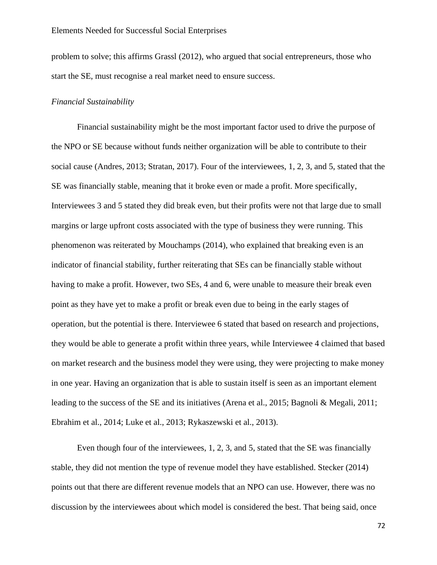problem to solve; this affirms Grassl (2012), who argued that social entrepreneurs, those who start the SE, must recognise a real market need to ensure success.

### *Financial Sustainability*

Financial sustainability might be the most important factor used to drive the purpose of the NPO or SE because without funds neither organization will be able to contribute to their social cause (Andres, 2013; Stratan, 2017). Four of the interviewees, 1, 2, 3, and 5, stated that the SE was financially stable, meaning that it broke even or made a profit. More specifically, Interviewees 3 and 5 stated they did break even, but their profits were not that large due to small margins or large upfront costs associated with the type of business they were running. This phenomenon was reiterated by Mouchamps (2014), who explained that breaking even is an indicator of financial stability, further reiterating that SEs can be financially stable without having to make a profit. However, two SEs, 4 and 6, were unable to measure their break even point as they have yet to make a profit or break even due to being in the early stages of operation, but the potential is there. Interviewee 6 stated that based on research and projections, they would be able to generate a profit within three years, while Interviewee 4 claimed that based on market research and the business model they were using, they were projecting to make money in one year. Having an organization that is able to sustain itself is seen as an important element leading to the success of the SE and its initiatives (Arena et al., 2015; Bagnoli & Megali, 2011; Ebrahim et al., 2014; Luke et al., 2013; Rykaszewski et al., 2013).

Even though four of the interviewees, 1, 2, 3, and 5, stated that the SE was financially stable, they did not mention the type of revenue model they have established. Stecker (2014) points out that there are different revenue models that an NPO can use. However, there was no discussion by the interviewees about which model is considered the best. That being said, once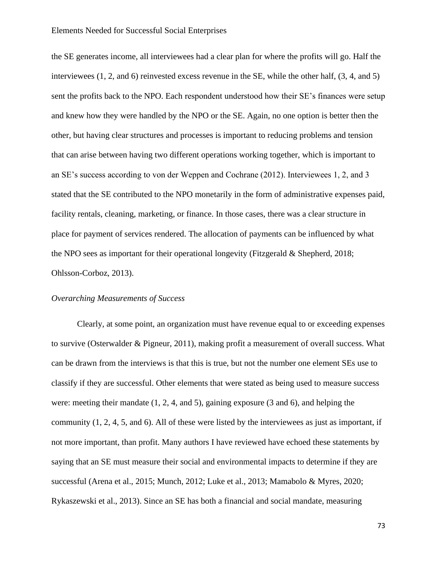the SE generates income, all interviewees had a clear plan for where the profits will go. Half the interviewees (1, 2, and 6) reinvested excess revenue in the SE, while the other half, (3, 4, and 5) sent the profits back to the NPO. Each respondent understood how their SE's finances were setup and knew how they were handled by the NPO or the SE. Again, no one option is better then the other, but having clear structures and processes is important to reducing problems and tension that can arise between having two different operations working together, which is important to an SE's success according to von der Weppen and Cochrane (2012). Interviewees 1, 2, and 3 stated that the SE contributed to the NPO monetarily in the form of administrative expenses paid, facility rentals, cleaning, marketing, or finance. In those cases, there was a clear structure in place for payment of services rendered. The allocation of payments can be influenced by what the NPO sees as important for their operational longevity (Fitzgerald & Shepherd, 2018; Ohlsson-Corboz, 2013).

### *Overarching Measurements of Success*

Clearly, at some point, an organization must have revenue equal to or exceeding expenses to survive (Osterwalder & Pigneur, 2011), making profit a measurement of overall success. What can be drawn from the interviews is that this is true, but not the number one element SEs use to classify if they are successful. Other elements that were stated as being used to measure success were: meeting their mandate (1, 2, 4, and 5), gaining exposure (3 and 6), and helping the community (1, 2, 4, 5, and 6). All of these were listed by the interviewees as just as important, if not more important, than profit. Many authors I have reviewed have echoed these statements by saying that an SE must measure their social and environmental impacts to determine if they are successful (Arena et al., 2015; Munch, 2012; Luke et al., 2013; Mamabolo & Myres, 2020; Rykaszewski et al., 2013). Since an SE has both a financial and social mandate, measuring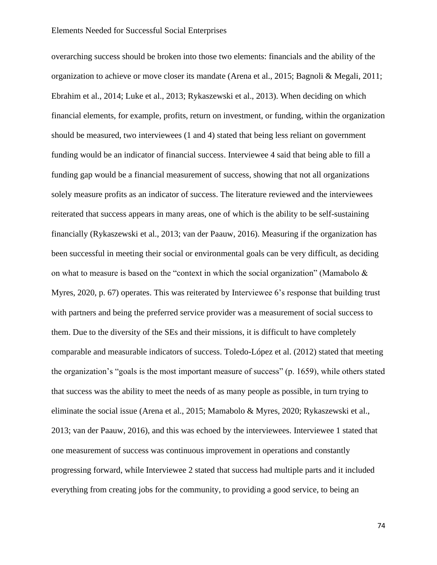overarching success should be broken into those two elements: financials and the ability of the organization to achieve or move closer its mandate (Arena et al., 2015; Bagnoli & Megali, 2011; Ebrahim et al., 2014; Luke et al., 2013; Rykaszewski et al., 2013). When deciding on which financial elements, for example, profits, return on investment, or funding, within the organization should be measured, two interviewees (1 and 4) stated that being less reliant on government funding would be an indicator of financial success. Interviewee 4 said that being able to fill a funding gap would be a financial measurement of success, showing that not all organizations solely measure profits as an indicator of success. The literature reviewed and the interviewees reiterated that success appears in many areas, one of which is the ability to be self-sustaining financially (Rykaszewski et al., 2013; van der Paauw, 2016). Measuring if the organization has been successful in meeting their social or environmental goals can be very difficult, as deciding on what to measure is based on the "context in which the social organization" (Mamabolo  $\&$ Myres, 2020, p. 67) operates. This was reiterated by Interviewee 6's response that building trust with partners and being the preferred service provider was a measurement of social success to them. Due to the diversity of the SEs and their missions, it is difficult to have completely comparable and measurable indicators of success. Toledo-López et al. (2012) stated that meeting the organization's "goals is the most important measure of success" (p. 1659), while others stated that success was the ability to meet the needs of as many people as possible, in turn trying to eliminate the social issue (Arena et al., 2015; Mamabolo & Myres, 2020; Rykaszewski et al., 2013; van der Paauw, 2016), and this was echoed by the interviewees. Interviewee 1 stated that one measurement of success was continuous improvement in operations and constantly progressing forward, while Interviewee 2 stated that success had multiple parts and it included everything from creating jobs for the community, to providing a good service, to being an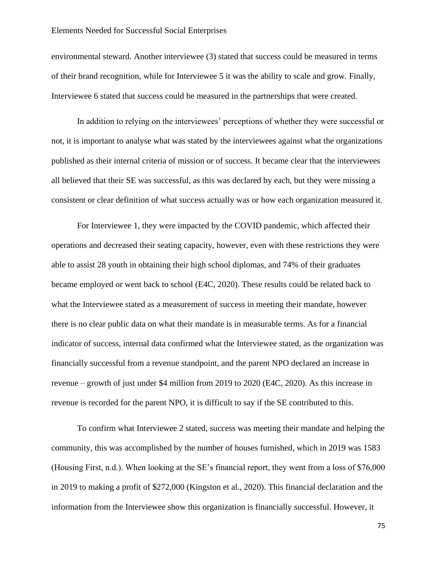environmental steward. Another interviewee (3) stated that success could be measured in terms of their brand recognition, while for Interviewee 5 it was the ability to scale and grow. Finally, Interviewee 6 stated that success could be measured in the partnerships that were created.

In addition to relying on the interviewees' perceptions of whether they were successful or not, it is important to analyse what was stated by the interviewees against what the organizations published as their internal criteria of mission or of success. It became clear that the interviewees all believed that their SE was successful, as this was declared by each, but they were missing a consistent or clear definition of what success actually was or how each organization measured it.

For Interviewee 1, they were impacted by the COVID pandemic, which affected their operations and decreased their seating capacity, however, even with these restrictions they were able to assist 28 youth in obtaining their high school diplomas, and 74% of their graduates became employed or went back to school (E4C, 2020). These results could be related back to what the Interviewee stated as a measurement of success in meeting their mandate, however there is no clear public data on what their mandate is in measurable terms. As for a financial indicator of success, internal data confirmed what the Interviewee stated, as the organization was financially successful from a revenue standpoint, and the parent NPO declared an increase in revenue – growth of just under \$4 million from 2019 to 2020 (E4C, 2020). As this increase in revenue is recorded for the parent NPO, it is difficult to say if the SE contributed to this.

To confirm what Interviewee 2 stated, success was meeting their mandate and helping the community, this was accomplished by the number of houses furnished, which in 2019 was 1583 (Housing First, n.d.). When looking at the SE's financial report, they went from a loss of \$76,000 in 2019 to making a profit of \$272,000 (Kingston et al., 2020). This financial declaration and the information from the Interviewee show this organization is financially successful. However, it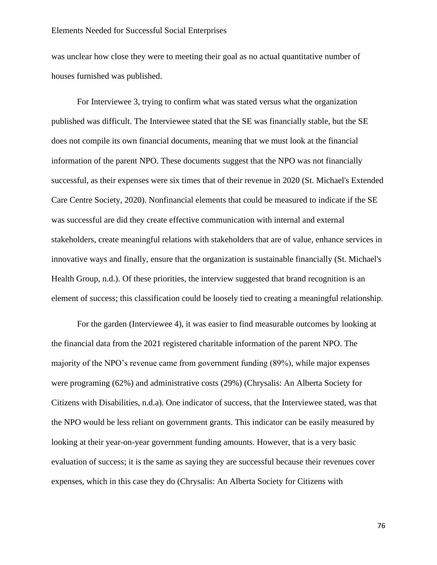was unclear how close they were to meeting their goal as no actual quantitative number of houses furnished was published.

For Interviewee 3, trying to confirm what was stated versus what the organization published was difficult. The Interviewee stated that the SE was financially stable, but the SE does not compile its own financial documents, meaning that we must look at the financial information of the parent NPO. These documents suggest that the NPO was not financially successful, as their expenses were six times that of their revenue in 2020 (St. Michael's Extended Care Centre Society, 2020). Nonfinancial elements that could be measured to indicate if the SE was successful are did they create effective communication with internal and external stakeholders, create meaningful relations with stakeholders that are of value, enhance services in innovative ways and finally, ensure that the organization is sustainable financially (St. Michael's Health Group, n.d.). Of these priorities, the interview suggested that brand recognition is an element of success; this classification could be loosely tied to creating a meaningful relationship.

For the garden (Interviewee 4), it was easier to find measurable outcomes by looking at the financial data from the 2021 registered charitable information of the parent NPO. The majority of the NPO's revenue came from government funding (89%), while major expenses were programing (62%) and administrative costs (29%) (Chrysalis: An Alberta Society for Citizens with Disabilities, n.d.a). One indicator of success, that the Interviewee stated, was that the NPO would be less reliant on government grants. This indicator can be easily measured by looking at their year-on-year government funding amounts. However, that is a very basic evaluation of success; it is the same as saying they are successful because their revenues cover expenses, which in this case they do (Chrysalis: An Alberta Society for Citizens with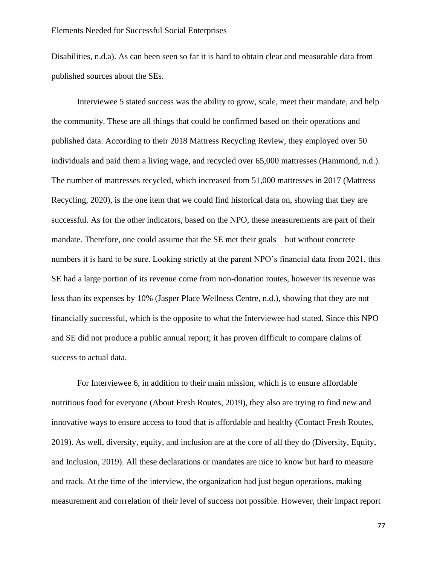Disabilities, n.d.a). As can been seen so far it is hard to obtain clear and measurable data from published sources about the SEs.

Interviewee 5 stated success was the ability to grow, scale, meet their mandate, and help the community. These are all things that could be confirmed based on their operations and published data. According to their 2018 Mattress Recycling Review, they employed over 50 individuals and paid them a living wage, and recycled over 65,000 mattresses (Hammond, n.d.). The number of mattresses recycled, which increased from 51,000 mattresses in 2017 (Mattress Recycling, 2020), is the one item that we could find historical data on, showing that they are successful. As for the other indicators, based on the NPO, these measurements are part of their mandate. Therefore, one could assume that the SE met their goals – but without concrete numbers it is hard to be sure. Looking strictly at the parent NPO's financial data from 2021, this SE had a large portion of its revenue come from non-donation routes, however its revenue was less than its expenses by 10% (Jasper Place Wellness Centre, n.d.), showing that they are not financially successful, which is the opposite to what the Interviewee had stated. Since this NPO and SE did not produce a public annual report; it has proven difficult to compare claims of success to actual data.

For Interviewee 6, in addition to their main mission, which is to ensure affordable nutritious food for everyone (About Fresh Routes, 2019), they also are trying to find new and innovative ways to ensure access to food that is affordable and healthy (Contact Fresh Routes, 2019). As well, diversity, equity, and inclusion are at the core of all they do (Diversity, Equity, and Inclusion, 2019). All these declarations or mandates are nice to know but hard to measure and track. At the time of the interview, the organization had just begun operations, making measurement and correlation of their level of success not possible. However, their impact report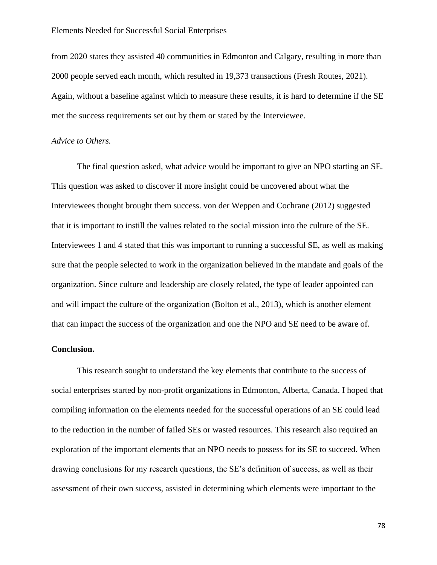from 2020 states they assisted 40 communities in Edmonton and Calgary, resulting in more than 2000 people served each month, which resulted in 19,373 transactions (Fresh Routes, 2021). Again, without a baseline against which to measure these results, it is hard to determine if the SE met the success requirements set out by them or stated by the Interviewee.

### *Advice to Others.*

The final question asked, what advice would be important to give an NPO starting an SE. This question was asked to discover if more insight could be uncovered about what the Interviewees thought brought them success. von der Weppen and Cochrane (2012) suggested that it is important to instill the values related to the social mission into the culture of the SE. Interviewees 1 and 4 stated that this was important to running a successful SE, as well as making sure that the people selected to work in the organization believed in the mandate and goals of the organization. Since culture and leadership are closely related, the type of leader appointed can and will impact the culture of the organization (Bolton et al., 2013), which is another element that can impact the success of the organization and one the NPO and SE need to be aware of.

### **Conclusion.**

This research sought to understand the key elements that contribute to the success of social enterprises started by non-profit organizations in Edmonton, Alberta, Canada. I hoped that compiling information on the elements needed for the successful operations of an SE could lead to the reduction in the number of failed SEs or wasted resources. This research also required an exploration of the important elements that an NPO needs to possess for its SE to succeed. When drawing conclusions for my research questions, the SE's definition of success, as well as their assessment of their own success, assisted in determining which elements were important to the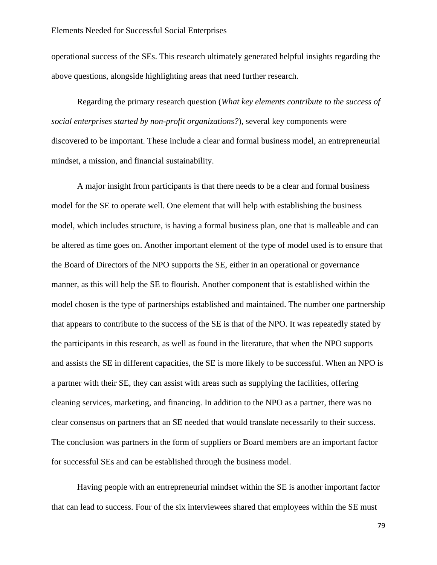operational success of the SEs. This research ultimately generated helpful insights regarding the above questions, alongside highlighting areas that need further research.

Regarding the primary research question (*What key elements contribute to the success of social enterprises started by non-profit organizations?*)*,* several key components were discovered to be important. These include a clear and formal business model, an entrepreneurial mindset, a mission, and financial sustainability.

A major insight from participants is that there needs to be a clear and formal business model for the SE to operate well. One element that will help with establishing the business model, which includes structure, is having a formal business plan, one that is malleable and can be altered as time goes on. Another important element of the type of model used is to ensure that the Board of Directors of the NPO supports the SE, either in an operational or governance manner, as this will help the SE to flourish. Another component that is established within the model chosen is the type of partnerships established and maintained. The number one partnership that appears to contribute to the success of the SE is that of the NPO. It was repeatedly stated by the participants in this research, as well as found in the literature, that when the NPO supports and assists the SE in different capacities, the SE is more likely to be successful. When an NPO is a partner with their SE, they can assist with areas such as supplying the facilities, offering cleaning services, marketing, and financing. In addition to the NPO as a partner, there was no clear consensus on partners that an SE needed that would translate necessarily to their success. The conclusion was partners in the form of suppliers or Board members are an important factor for successful SEs and can be established through the business model.

Having people with an entrepreneurial mindset within the SE is another important factor that can lead to success. Four of the six interviewees shared that employees within the SE must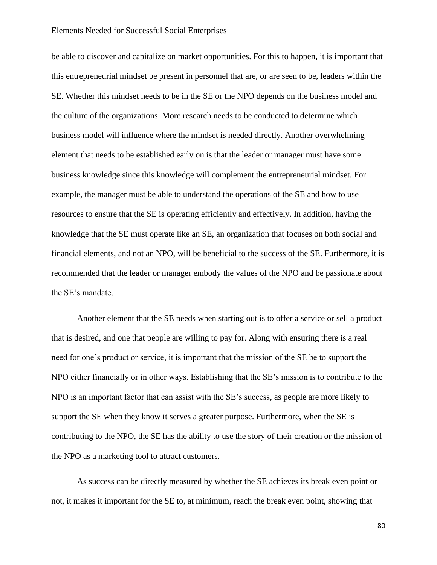be able to discover and capitalize on market opportunities. For this to happen, it is important that this entrepreneurial mindset be present in personnel that are, or are seen to be, leaders within the SE. Whether this mindset needs to be in the SE or the NPO depends on the business model and the culture of the organizations. More research needs to be conducted to determine which business model will influence where the mindset is needed directly. Another overwhelming element that needs to be established early on is that the leader or manager must have some business knowledge since this knowledge will complement the entrepreneurial mindset. For example, the manager must be able to understand the operations of the SE and how to use resources to ensure that the SE is operating efficiently and effectively. In addition, having the knowledge that the SE must operate like an SE, an organization that focuses on both social and financial elements, and not an NPO, will be beneficial to the success of the SE. Furthermore, it is recommended that the leader or manager embody the values of the NPO and be passionate about the SE's mandate.

Another element that the SE needs when starting out is to offer a service or sell a product that is desired, and one that people are willing to pay for. Along with ensuring there is a real need for one's product or service, it is important that the mission of the SE be to support the NPO either financially or in other ways. Establishing that the SE's mission is to contribute to the NPO is an important factor that can assist with the SE's success, as people are more likely to support the SE when they know it serves a greater purpose. Furthermore, when the SE is contributing to the NPO, the SE has the ability to use the story of their creation or the mission of the NPO as a marketing tool to attract customers.

As success can be directly measured by whether the SE achieves its break even point or not, it makes it important for the SE to, at minimum, reach the break even point, showing that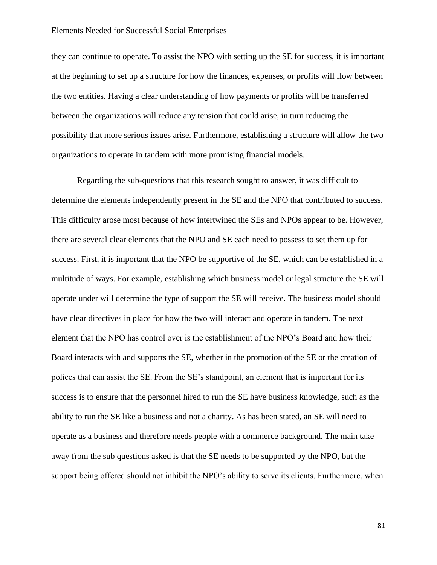they can continue to operate. To assist the NPO with setting up the SE for success, it is important at the beginning to set up a structure for how the finances, expenses, or profits will flow between the two entities. Having a clear understanding of how payments or profits will be transferred between the organizations will reduce any tension that could arise, in turn reducing the possibility that more serious issues arise. Furthermore, establishing a structure will allow the two organizations to operate in tandem with more promising financial models.

Regarding the sub-questions that this research sought to answer, it was difficult to determine the elements independently present in the SE and the NPO that contributed to success. This difficulty arose most because of how intertwined the SEs and NPOs appear to be. However, there are several clear elements that the NPO and SE each need to possess to set them up for success. First, it is important that the NPO be supportive of the SE, which can be established in a multitude of ways. For example, establishing which business model or legal structure the SE will operate under will determine the type of support the SE will receive. The business model should have clear directives in place for how the two will interact and operate in tandem. The next element that the NPO has control over is the establishment of the NPO's Board and how their Board interacts with and supports the SE, whether in the promotion of the SE or the creation of polices that can assist the SE. From the SE's standpoint, an element that is important for its success is to ensure that the personnel hired to run the SE have business knowledge, such as the ability to run the SE like a business and not a charity. As has been stated, an SE will need to operate as a business and therefore needs people with a commerce background. The main take away from the sub questions asked is that the SE needs to be supported by the NPO, but the support being offered should not inhibit the NPO's ability to serve its clients. Furthermore, when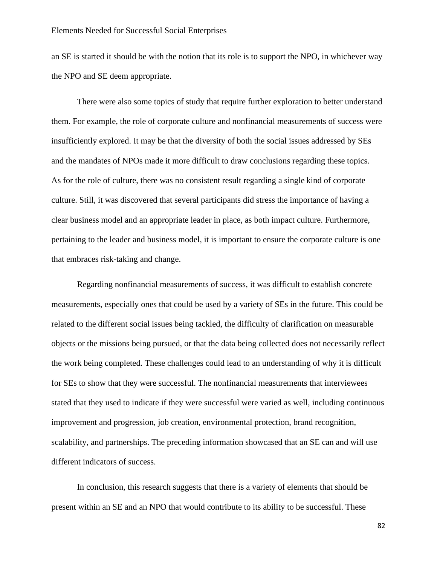an SE is started it should be with the notion that its role is to support the NPO, in whichever way the NPO and SE deem appropriate.

There were also some topics of study that require further exploration to better understand them. For example, the role of corporate culture and nonfinancial measurements of success were insufficiently explored. It may be that the diversity of both the social issues addressed by SEs and the mandates of NPOs made it more difficult to draw conclusions regarding these topics. As for the role of culture, there was no consistent result regarding a single kind of corporate culture. Still, it was discovered that several participants did stress the importance of having a clear business model and an appropriate leader in place, as both impact culture. Furthermore, pertaining to the leader and business model, it is important to ensure the corporate culture is one that embraces risk-taking and change.

Regarding nonfinancial measurements of success, it was difficult to establish concrete measurements, especially ones that could be used by a variety of SEs in the future. This could be related to the different social issues being tackled, the difficulty of clarification on measurable objects or the missions being pursued, or that the data being collected does not necessarily reflect the work being completed. These challenges could lead to an understanding of why it is difficult for SEs to show that they were successful. The nonfinancial measurements that interviewees stated that they used to indicate if they were successful were varied as well, including continuous improvement and progression, job creation, environmental protection, brand recognition, scalability, and partnerships. The preceding information showcased that an SE can and will use different indicators of success.

In conclusion, this research suggests that there is a variety of elements that should be present within an SE and an NPO that would contribute to its ability to be successful. These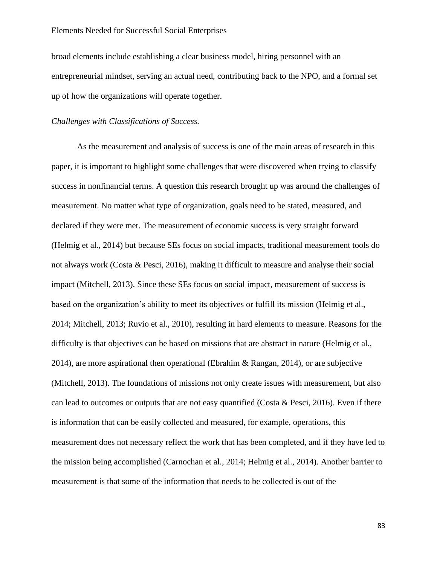broad elements include establishing a clear business model, hiring personnel with an entrepreneurial mindset, serving an actual need, contributing back to the NPO, and a formal set up of how the organizations will operate together.

### *Challenges with Classifications of Success.*

As the measurement and analysis of success is one of the main areas of research in this paper, it is important to highlight some challenges that were discovered when trying to classify success in nonfinancial terms. A question this research brought up was around the challenges of measurement. No matter what type of organization, goals need to be stated, measured, and declared if they were met. The measurement of economic success is very straight forward (Helmig et al., 2014) but because SEs focus on social impacts, traditional measurement tools do not always work (Costa & Pesci, 2016), making it difficult to measure and analyse their social impact (Mitchell, 2013). Since these SEs focus on social impact, measurement of success is based on the organization's ability to meet its objectives or fulfill its mission (Helmig et al., 2014; Mitchell, 2013; Ruvio et al., 2010), resulting in hard elements to measure. Reasons for the difficulty is that objectives can be based on missions that are abstract in nature (Helmig et al., 2014), are more aspirational then operational (Ebrahim & Rangan, 2014), or are subjective (Mitchell, 2013). The foundations of missions not only create issues with measurement, but also can lead to outcomes or outputs that are not easy quantified (Costa & Pesci, 2016). Even if there is information that can be easily collected and measured, for example, operations, this measurement does not necessary reflect the work that has been completed, and if they have led to the mission being accomplished (Carnochan et al., 2014; Helmig et al., 2014). Another barrier to measurement is that some of the information that needs to be collected is out of the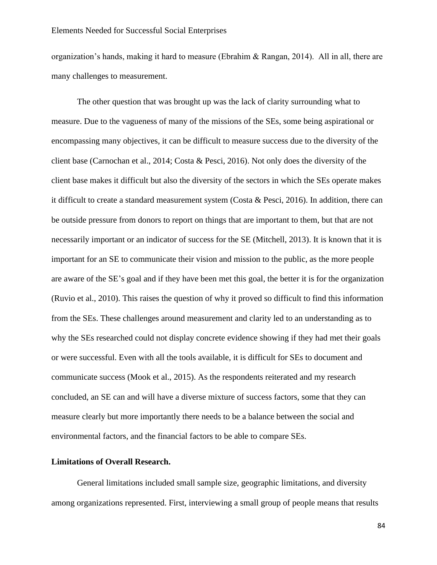organization's hands, making it hard to measure (Ebrahim & Rangan, 2014). All in all, there are many challenges to measurement.

The other question that was brought up was the lack of clarity surrounding what to measure. Due to the vagueness of many of the missions of the SEs, some being aspirational or encompassing many objectives, it can be difficult to measure success due to the diversity of the client base (Carnochan et al., 2014; Costa & Pesci, 2016). Not only does the diversity of the client base makes it difficult but also the diversity of the sectors in which the SEs operate makes it difficult to create a standard measurement system (Costa & Pesci, 2016). In addition, there can be outside pressure from donors to report on things that are important to them, but that are not necessarily important or an indicator of success for the SE (Mitchell, 2013). It is known that it is important for an SE to communicate their vision and mission to the public, as the more people are aware of the SE's goal and if they have been met this goal, the better it is for the organization (Ruvio et al., 2010). This raises the question of why it proved so difficult to find this information from the SEs. These challenges around measurement and clarity led to an understanding as to why the SEs researched could not display concrete evidence showing if they had met their goals or were successful. Even with all the tools available, it is difficult for SEs to document and communicate success (Mook et al., 2015). As the respondents reiterated and my research concluded, an SE can and will have a diverse mixture of success factors, some that they can measure clearly but more importantly there needs to be a balance between the social and environmental factors, and the financial factors to be able to compare SEs.

### **Limitations of Overall Research.**

General limitations included small sample size, geographic limitations, and diversity among organizations represented. First, interviewing a small group of people means that results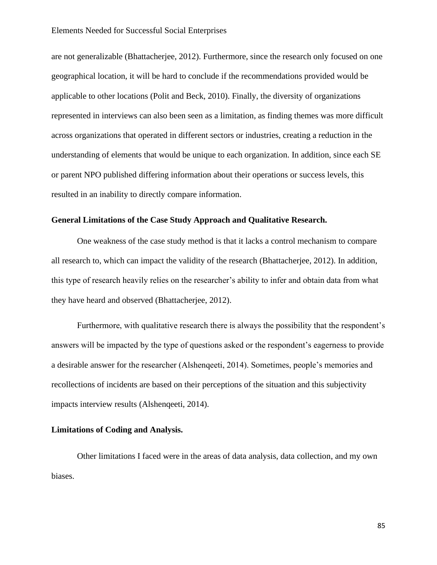are not generalizable (Bhattacherjee, 2012). Furthermore, since the research only focused on one geographical location, it will be hard to conclude if the recommendations provided would be applicable to other locations (Polit and Beck, 2010). Finally, the diversity of organizations represented in interviews can also been seen as a limitation, as finding themes was more difficult across organizations that operated in different sectors or industries, creating a reduction in the understanding of elements that would be unique to each organization. In addition, since each SE or parent NPO published differing information about their operations or success levels, this resulted in an inability to directly compare information.

### **General Limitations of the Case Study Approach and Qualitative Research.**

One weakness of the case study method is that it lacks a control mechanism to compare all research to, which can impact the validity of the research (Bhattacherjee, 2012). In addition, this type of research heavily relies on the researcher's ability to infer and obtain data from what they have heard and observed (Bhattacherjee, 2012).

Furthermore, with qualitative research there is always the possibility that the respondent's answers will be impacted by the type of questions asked or the respondent's eagerness to provide a desirable answer for the researcher (Alshenqeeti, 2014). Sometimes, people's memories and recollections of incidents are based on their perceptions of the situation and this subjectivity impacts interview results (Alshenqeeti, 2014).

### **Limitations of Coding and Analysis.**

Other limitations I faced were in the areas of data analysis, data collection, and my own biases.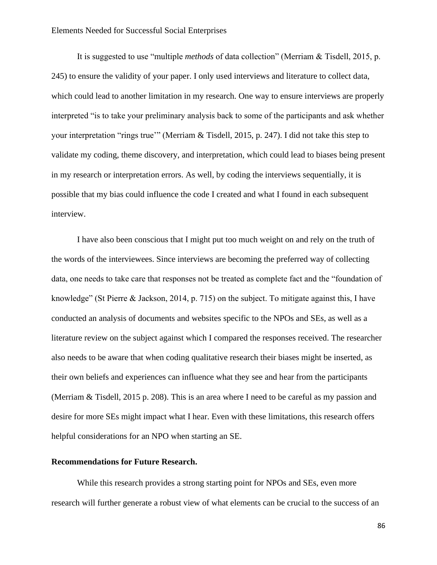It is suggested to use "multiple *methods* of data collection" (Merriam & Tisdell, 2015, p. 245) to ensure the validity of your paper. I only used interviews and literature to collect data, which could lead to another limitation in my research. One way to ensure interviews are properly interpreted "is to take your preliminary analysis back to some of the participants and ask whether your interpretation "rings true'" (Merriam & Tisdell, 2015, p. 247). I did not take this step to validate my coding, theme discovery, and interpretation, which could lead to biases being present in my research or interpretation errors. As well, by coding the interviews sequentially, it is possible that my bias could influence the code I created and what I found in each subsequent interview.

I have also been conscious that I might put too much weight on and rely on the truth of the words of the interviewees. Since interviews are becoming the preferred way of collecting data, one needs to take care that responses not be treated as complete fact and the "foundation of knowledge" (St Pierre & Jackson, 2014, p. 715) on the subject. To mitigate against this, I have conducted an analysis of documents and websites specific to the NPOs and SEs, as well as a literature review on the subject against which I compared the responses received. The researcher also needs to be aware that when coding qualitative research their biases might be inserted, as their own beliefs and experiences can influence what they see and hear from the participants (Merriam & Tisdell, 2015 p. 208). This is an area where I need to be careful as my passion and desire for more SEs might impact what I hear. Even with these limitations, this research offers helpful considerations for an NPO when starting an SE.

### **Recommendations for Future Research.**

While this research provides a strong starting point for NPOs and SEs, even more research will further generate a robust view of what elements can be crucial to the success of an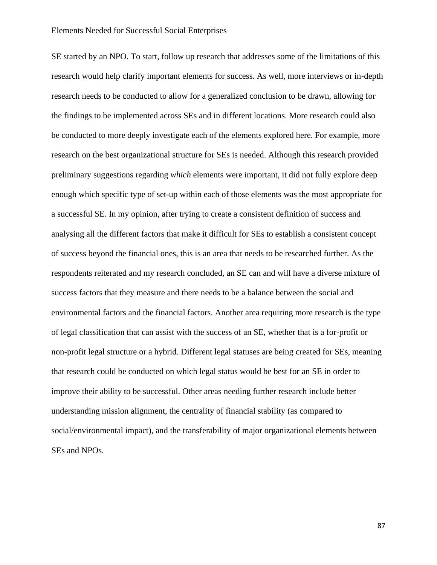SE started by an NPO. To start, follow up research that addresses some of the limitations of this research would help clarify important elements for success. As well, more interviews or in-depth research needs to be conducted to allow for a generalized conclusion to be drawn, allowing for the findings to be implemented across SEs and in different locations. More research could also be conducted to more deeply investigate each of the elements explored here. For example, more research on the best organizational structure for SEs is needed. Although this research provided preliminary suggestions regarding *which* elements were important, it did not fully explore deep enough which specific type of set-up within each of those elements was the most appropriate for a successful SE. In my opinion, after trying to create a consistent definition of success and analysing all the different factors that make it difficult for SEs to establish a consistent concept of success beyond the financial ones, this is an area that needs to be researched further. As the respondents reiterated and my research concluded, an SE can and will have a diverse mixture of success factors that they measure and there needs to be a balance between the social and environmental factors and the financial factors. Another area requiring more research is the type of legal classification that can assist with the success of an SE, whether that is a for-profit or non-profit legal structure or a hybrid. Different legal statuses are being created for SEs, meaning that research could be conducted on which legal status would be best for an SE in order to improve their ability to be successful. Other areas needing further research include better understanding mission alignment, the centrality of financial stability (as compared to social/environmental impact), and the transferability of major organizational elements between SEs and NPOs.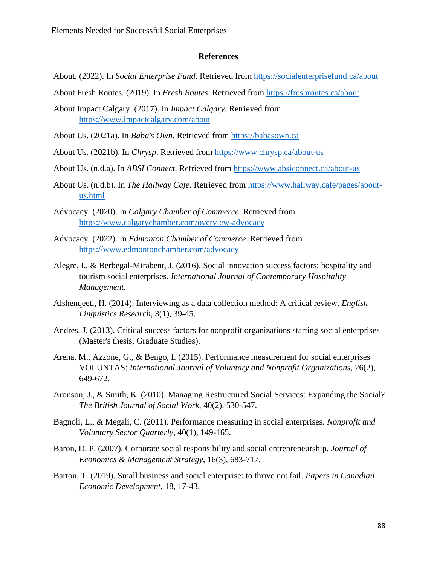### **References**

- About. (2022). In *Social Enterprise Fund*. Retrieved from<https://socialenterprisefund.ca/about>
- About Fresh Routes. (2019). In *Fresh Routes*. Retrieved from<https://freshroutes.ca/about>
- About Impact Calgary. (2017). In *Impact Calgary*. Retrieved from <https://www.impactcalgary.com/about>
- About Us. (2021a). In *Baba's Own*. Retrieved from [https://babasown.ca](https://babasown.ca/)
- About Us. (2021b). In *Chrysp*. Retrieved from<https://www.chrysp.ca/about-us>
- About Us. (n.d.a). In *ABSI Connect*. Retrieved from<https://www.absiconnect.ca/about-us>
- About Us. (n.d.b). In *The Hallway Cafe*. Retrieved from [https://www.hallway.cafe/pages/about](https://www.hallway.cafe/pages/about-us.html)[us.html](https://www.hallway.cafe/pages/about-us.html)
- Advocacy. (2020). In *Calgary Chamber of Commerce*. Retrieved from <https://www.calgarychamber.com/overview-advocacy>
- Advocacy. (2022). In *Edmonton Chamber of Commerce*. Retrieved from <https://www.edmontonchamber.com/advocacy>
- Alegre, I., & Berbegal-Mirabent, J. (2016). Social innovation success factors: hospitality and tourism social enterprises. *International Journal of Contemporary Hospitality Management.*
- Alshenqeeti, H. (2014). Interviewing as a data collection method: A critical review. *English Linguistics Research*, 3(1), 39-45.
- Andres, J. (2013). Critical success factors for nonprofit organizations starting social enterprises (Master's thesis, Graduate Studies).
- Arena, M., Azzone, G., & Bengo, I. (2015). Performance measurement for social enterprises VOLUNTAS: *International Journal of Voluntary and Nonprofit Organizations*, 26(2), 649-672.
- Aronson, J., & Smith, K. (2010). Managing Restructured Social Services: Expanding the Social? *The British Journal of Social Work*, 40(2), 530-547.
- Bagnoli, L., & Megali, C. (2011). Performance measuring in social enterprises. *Nonprofit and Voluntary Sector Quarterly*, 40(1), 149-165.
- Baron, D. P. (2007). Corporate social responsibility and social entrepreneurship. *Journal of Economics & Management Strategy*, 16(3), 683-717.
- Barton, T. (2019). Small business and social enterprise: to thrive not fail. *Papers in Canadian Economic Development*, 18, 17-43.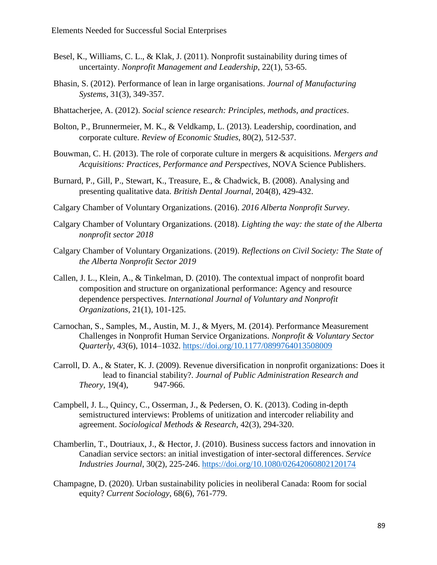- Besel, K., Williams, C. L., & Klak, J. (2011). Nonprofit sustainability during times of uncertainty. *Nonprofit Management and Leadership*, 22(1), 53-65.
- Bhasin, S. (2012). Performance of lean in large organisations. *Journal of Manufacturing Systems*, 31(3), 349-357.
- Bhattacherjee, A. (2012). *Social science research: Principles, methods, and practices*.
- Bolton, P., Brunnermeier, M. K., & Veldkamp, L. (2013). Leadership, coordination, and corporate culture. *Review of Economic Studies*, 80(2), 512-537.
- Bouwman, C. H. (2013). The role of corporate culture in mergers & acquisitions. *Mergers and Acquisitions: Practices, Performance and Perspectives*, NOVA Science Publishers.
- Burnard, P., Gill, P., Stewart, K., Treasure, E., & Chadwick, B. (2008). Analysing and presenting qualitative data. *British Dental Journal*, 204(8), 429-432.
- Calgary Chamber of Voluntary Organizations. (2016). *2016 Alberta Nonprofit Survey*.
- Calgary Chamber of Voluntary Organizations. (2018). *Lighting the way: the state of the Alberta nonprofit sector 2018*
- Calgary Chamber of Voluntary Organizations. (2019). *Reflections on Civil Society: The State of the Alberta Nonprofit Sector 2019*
- Callen, J. L., Klein, A., & Tinkelman, D. (2010). The contextual impact of nonprofit board composition and structure on organizational performance: Agency and resource dependence perspectives. *International Journal of Voluntary and Nonprofit Organizations*, 21(1), 101-125.
- Carnochan, S., Samples, M., Austin, M. J., & Myers, M. (2014). Performance Measurement Challenges in Nonprofit Human Service Organizations. *Nonprofit & Voluntary Sector Quarterly*, *43*(6), 1014–1032.<https://doi.org/10.1177/0899764013508009>
- Carroll, D. A., & Stater, K. J. (2009). Revenue diversification in nonprofit organizations: Does it lead to financial stability?. *Journal of Public Administration Research and Theory*, 19(4), 947-966.
- Campbell, J. L., Quincy, C., Osserman, J., & Pedersen, O. K. (2013). Coding in-depth semistructured interviews: Problems of unitization and intercoder reliability and agreement. *Sociological Methods & Research*, 42(3), 294-320.
- Chamberlin, T., Doutriaux, J., & Hector, J. (2010). Business success factors and innovation in Canadian service sectors: an initial investigation of inter-sectoral differences. *Service Industries Journal*, 30(2), 225-246.<https://doi.org/10.1080/02642060802120174>
- Champagne, D. (2020). Urban sustainability policies in neoliberal Canada: Room for social equity? *Current Sociology*, 68(6), 761-779.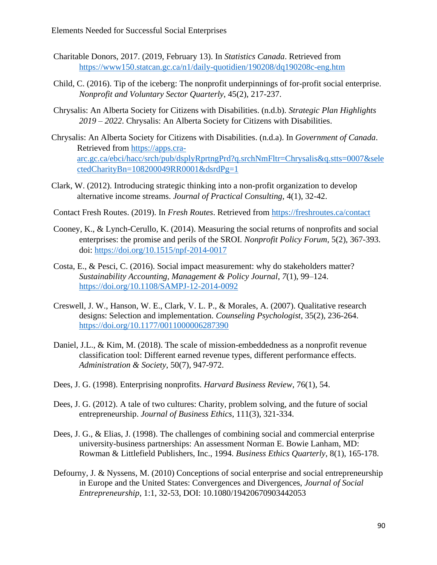- Charitable Donors, 2017. (2019, February 13). In *Statistics Canada*. Retrieved from <https://www150.statcan.gc.ca/n1/daily-quotidien/190208/dq190208c-eng.htm>
- Child, C. (2016). Tip of the iceberg: The nonprofit underpinnings of for-profit social enterprise. *Nonprofit and Voluntary Sector Quarterly*, 45(2), 217-237.
- Chrysalis: An Alberta Society for Citizens with Disabilities. (n.d.b). *Strategic Plan Highlights 2019 – 2022*. Chrysalis: An Alberta Society for Citizens with Disabilities.
- Chrysalis: An Alberta Society for Citizens with Disabilities. (n.d.a). In *Government of Canada*. Retrieved from [https://apps.cra](https://apps.cra-arc.gc.ca/ebci/hacc/srch/pub/dsplyRprtngPrd?q.srchNmFltr=Chrysalis&q.stts=0007&selectedCharityBn=108200049RR0001&dsrdPg=1)[arc.gc.ca/ebci/hacc/srch/pub/dsplyRprtngPrd?q.srchNmFltr=Chrysalis&q.stts=0007&sele](https://apps.cra-arc.gc.ca/ebci/hacc/srch/pub/dsplyRprtngPrd?q.srchNmFltr=Chrysalis&q.stts=0007&selectedCharityBn=108200049RR0001&dsrdPg=1) [ctedCharityBn=108200049RR0001&dsrdPg=1](https://apps.cra-arc.gc.ca/ebci/hacc/srch/pub/dsplyRprtngPrd?q.srchNmFltr=Chrysalis&q.stts=0007&selectedCharityBn=108200049RR0001&dsrdPg=1)
- Clark, W. (2012). Introducing strategic thinking into a non-profit organization to develop alternative income streams. *Journal of Practical Consulting*, 4(1), 32-42.
- Contact Fresh Routes. (2019). In *Fresh Routes*. Retrieved from<https://freshroutes.ca/contact>
- Cooney, K., & Lynch-Cerullo, K. (2014). Measuring the social returns of nonprofits and social enterprises: the promise and perils of the SROI. *Nonprofit Policy Forum*, 5(2), 367-393. doi:<https://doi.org/10.1515/npf-2014-0017>
- Costa, E., & Pesci, C. (2016). Social impact measurement: why do stakeholders matter? *Sustainability Accounting, Management & Policy Journal*, *7*(1), 99–124. <https://doi.org/10.1108/SAMPJ-12-2014-0092>
- Creswell, J. W., Hanson, W. E., Clark, V. L. P., & Morales, A. (2007). Qualitative research designs: Selection and implementation. *Counseling Psychologist*, 35(2), 236-264. <https://doi.org/10.1177/0011000006287390>
- Daniel, J.L., & Kim, M. (2018). The scale of mission-embeddedness as a nonprofit revenue classification tool: Different earned revenue types, different performance effects. *Administration & Society*, 50(7), 947-972.
- Dees, J. G. (1998). Enterprising nonprofits. *Harvard Business Review*, 76(1), 54.
- Dees, J. G. (2012). A tale of two cultures: Charity, problem solving, and the future of social entrepreneurship. *Journal of Business Ethics*, 111(3), 321-334.
- Dees, J. G., & Elias, J. (1998). The challenges of combining social and commercial enterprise university-business partnerships: An assessment Norman E. Bowie Lanham, MD: Rowman & Littlefield Publishers, Inc., 1994. *Business Ethics Quarterly*, 8(1), 165-178.
- Defourny, J. & Nyssens, M. (2010) Conceptions of social enterprise and social entrepreneurship in Europe and the United States: Convergences and Divergences, *Journal of Social Entrepreneurship*, 1:1, 32-53, DOI: 10.1080/19420670903442053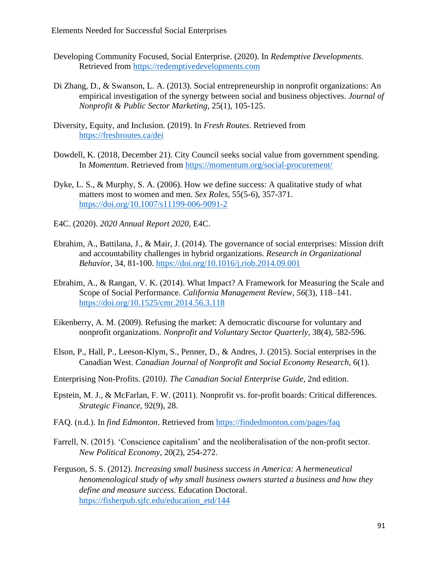- Developing Community Focused, Social Enterprise. (2020). In *Redemptive Developments*. Retrieved from [https://redemptivedevelopments.com](https://redemptivedevelopments.com/)
- Di Zhang, D., & Swanson, L. A. (2013). Social entrepreneurship in nonprofit organizations: An empirical investigation of the synergy between social and business objectives*. Journal of Nonprofit & Public Sector Marketing*, 25(1), 105-125.
- Diversity, Equity, and Inclusion. (2019). In *Fresh Routes*. Retrieved from <https://freshroutes.ca/dei>
- Dowdell, K. (2018, December 21). City Council seeks social value from government spending. In *Momentum*. Retrieved from<https://momentum.org/social-procurement/>
- Dyke, L. S., & Murphy, S. A. (2006). How we define success: A qualitative study of what matters most to women and men. *Sex Roles*, 55(5-6), 357-371. <https://doi.org/10.1007/s11199-006-9091-2>
- E4C. (2020). *2020 Annual Report 2020*, E4C.
- Ebrahim, A., Battilana, J., & Mair, J. (2014). The governance of social enterprises: Mission drift and accountability challenges in hybrid organizations. *Research in Organizational Behavior*, 34, 81-100.<https://doi.org/10.1016/j.riob.2014.09.001>
- Ebrahim, A., & Rangan, V. K. (2014). What Impact? A Framework for Measuring the Scale and Scope of Social Performance. *California Management Review*, *56*(3), 118–141. <https://doi.org/10.1525/cmr.2014.56.3.118>
- Eikenberry, A. M. (2009). Refusing the market: A democratic discourse for voluntary and nonprofit organizations. *Nonprofit and Voluntary Sector Quarterly*, 38(4), 582-596.
- Elson, P., Hall, P., Leeson-Klym, S., Penner, D., & Andres, J. (2015). Social enterprises in the Canadian West. *Canadian Journal of Nonprofit and Social Economy Research*, 6(1).
- Enterprising Non-Profits. (2010*). The Canadian Social Enterprise Guide*, 2nd edition.
- Epstein, M. J., & McFarlan, F. W. (2011). Nonprofit vs. for-profit boards: Critical differences. *Strategic Finance*, 92(9), 28.
- FAQ. (n.d.). In *find Edmonton*. Retrieved from<https://findedmonton.com/pages/faq>
- Farrell, N. (2015). 'Conscience capitalism' and the neoliberalisation of the non-profit sector. *New Political Economy*, 20(2), 254-272.
- Ferguson, S. S. (2012). *Increasing small business success in America: A hermeneutical henomenological study of why small business owners started a business and how they define and measure success.* Education Doctoral. [https://fisherpub.sjfc.edu/education\\_etd/144](https://fisherpub.sjfc.edu/education_etd/144)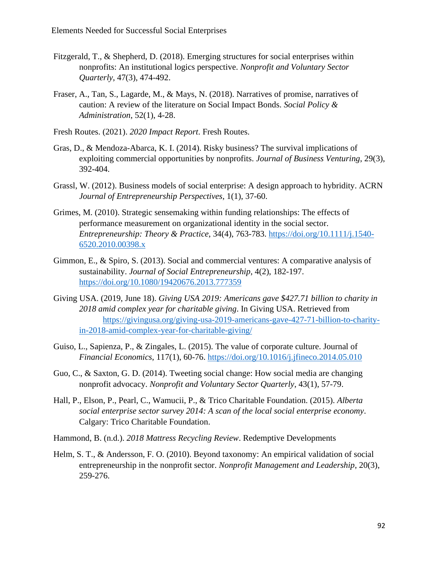- Fitzgerald, T., & Shepherd, D. (2018). Emerging structures for social enterprises within nonprofits: An institutional logics perspective. *Nonprofit and Voluntary Sector Quarterly*, 47(3), 474-492.
- Fraser, A., Tan, S., Lagarde, M., & Mays, N. (2018). Narratives of promise, narratives of caution: A review of the literature on Social Impact Bonds. *Social Policy & Administration*, 52(1), 4-28.
- Fresh Routes. (2021). *2020 Impact Report*. Fresh Routes.
- Gras, D., & Mendoza-Abarca, K. I. (2014). Risky business? The survival implications of exploiting commercial opportunities by nonprofits. *Journal of Business Venturing*, 29(3), 392-404.
- Grassl, W. (2012). Business models of social enterprise: A design approach to hybridity. ACRN *Journal of Entrepreneurship Perspectives*, 1(1), 37-60.
- Grimes, M. (2010). Strategic sensemaking within funding relationships: The effects of performance measurement on organizational identity in the social sector. *Entrepreneurship: Theory & Practice*, 34(4), 763-783. [https://doi.org/10.1111/j.1540-](https://doi.org/10.1111/j.1540-6520.2010.00398.x) [6520.2010.00398.x](https://doi.org/10.1111/j.1540-6520.2010.00398.x)
- Gimmon, E., & Spiro, S. (2013). Social and commercial ventures: A comparative analysis of sustainability. *Journal of Social Entrepreneurship*, 4(2), 182-197. <https://doi.org/10.1080/19420676.2013.777359>
- Giving USA. (2019, June 18). *Giving USA 2019: Americans gave \$427.71 billion to charity in 2018 amid complex year for charitable giving*. In Giving USA. Retrieved from [https://givingusa.org/giving-usa-2019-americans-gave-427-71-billion-to-charity](https://givingusa.org/giving-usa-2019-americans-gave-427-71-billion-to-charity-in-2018-amid-complex-year-for-charitable-giving/)[in-2018-amid-complex-year-for-charitable-giving/](https://givingusa.org/giving-usa-2019-americans-gave-427-71-billion-to-charity-in-2018-amid-complex-year-for-charitable-giving/)
- Guiso, L., Sapienza, P., & Zingales, L. (2015). The value of corporate culture. Journal of *Financial Economics*, 117(1), 60-76.<https://doi.org/10.1016/j.jfineco.2014.05.010>
- Guo, C., & Saxton, G. D. (2014). Tweeting social change: How social media are changing nonprofit advocacy. *Nonprofit and Voluntary Sector Quarterly*, 43(1), 57-79.
- Hall, P., Elson, P., Pearl, C., Wamucii, P., & Trico Charitable Foundation. (2015). *Alberta social enterprise sector survey 2014: A scan of the local social enterprise economy*. Calgary: Trico Charitable Foundation.
- Hammond, B. (n.d.). *2018 Mattress Recycling Review*. Redemptive Developments
- Helm, S. T., & Andersson, F. O. (2010). Beyond taxonomy: An empirical validation of social entrepreneurship in the nonprofit sector. *Nonprofit Management and Leadership*, 20(3), 259-276.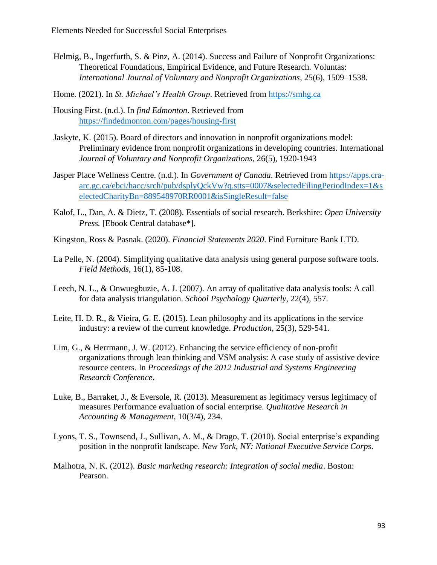- Helmig, B., Ingerfurth, S. & Pinz, A. (2014). Success and Failure of Nonprofit Organizations: Theoretical Foundations, Empirical Evidence, and Future Research. Voluntas: *International Journal of Voluntary and Nonprofit Organizations*, 25(6), 1509–1538.
- Home. (2021). In *St. Michael's Health Group*. Retrieved from [https://smhg.ca](https://smhg.ca/)
- Housing First. (n.d.). In *find Edmonton*. Retrieved from <https://findedmonton.com/pages/housing-first>
- Jaskyte, K. (2015). Board of directors and innovation in nonprofit organizations model: Preliminary evidence from nonprofit organizations in developing countries. International *Journal of Voluntary and Nonprofit Organizations*, 26(5), 1920-1943
- Jasper Place Wellness Centre. (n.d.). In *Government of Canada*. Retrieved from [https://apps.cra](https://apps.cra-arc.gc.ca/ebci/hacc/srch/pub/dsplyQckVw?q.stts=0007&selectedFilingPeriodIndex=1&selectedCharityBn=889548970RR0001&isSingleResult=false)[arc.gc.ca/ebci/hacc/srch/pub/dsplyQckVw?q.stts=0007&selectedFilingPeriodIndex=1&s](https://apps.cra-arc.gc.ca/ebci/hacc/srch/pub/dsplyQckVw?q.stts=0007&selectedFilingPeriodIndex=1&selectedCharityBn=889548970RR0001&isSingleResult=false) [electedCharityBn=889548970RR0001&isSingleResult=false](https://apps.cra-arc.gc.ca/ebci/hacc/srch/pub/dsplyQckVw?q.stts=0007&selectedFilingPeriodIndex=1&selectedCharityBn=889548970RR0001&isSingleResult=false)
- Kalof, L., Dan, A. & Dietz, T. (2008). Essentials of social research. Berkshire: *Open University Press.* [Ebook Central database\*].
- Kingston, Ross & Pasnak. (2020). *Financial Statements 2020*. Find Furniture Bank LTD.
- La Pelle, N. (2004). Simplifying qualitative data analysis using general purpose software tools. *Field Methods*, 16(1), 85-108.
- Leech, N. L., & Onwuegbuzie, A. J. (2007). An array of qualitative data analysis tools: A call for data analysis triangulation. *School Psychology Quarterly*, 22(4), 557.
- Leite, H. D. R., & Vieira, G. E. (2015). Lean philosophy and its applications in the service industry: a review of the current knowledge. *Production*, 25(3), 529-541.
- Lim, G., & Herrmann, J. W. (2012). Enhancing the service efficiency of non-profit organizations through lean thinking and VSM analysis: A case study of assistive device resource centers. In *Proceedings of the 2012 Industrial and Systems Engineering Research Conference*.
- Luke, B., Barraket, J., & Eversole, R. (2013). Measurement as legitimacy versus legitimacy of measures Performance evaluation of social enterprise. *Qualitative Research in Accounting & Management*, 10(3/4), 234.
- Lyons, T. S., Townsend, J., Sullivan, A. M., & Drago, T. (2010). Social enterprise's expanding position in the nonprofit landscape. *New York, NY: National Executive Service Corps*.
- Malhotra, N. K. (2012). *Basic marketing research: Integration of social media*. Boston: Pearson.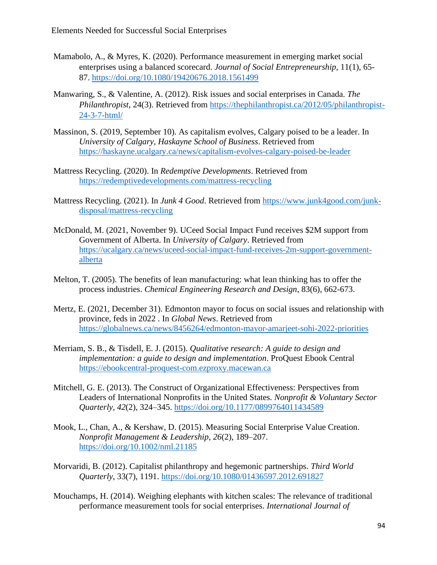- Mamabolo, A., & Myres, K. (2020). Performance measurement in emerging market social enterprises using a balanced scorecard. *Journal of Social Entrepreneurship*, 11(1), 65- 87. [https://doi.org/10.1080/19420676.2018.1561499](https://doi.org/10.1080/19420676.2018.1561499/)
- Manwaring, S., & Valentine, A. (2012). Risk issues and social enterprises in Canada. *The Philanthropist*, 24(3). Retrieved from [https://thephilanthropist.ca/2012/05/philanthropist-](https://thephilanthropist.ca/2012/05/philanthropist-24-3-7-html/)[24-3-7-html/](https://thephilanthropist.ca/2012/05/philanthropist-24-3-7-html/)
- Massinon, S. (2019, September 10). As capitalism evolves, Calgary poised to be a leader. In *University of Calgary, Haskayne School of Business*. Retrieved from <https://haskayne.ucalgary.ca/news/capitalism-evolves-calgary-poised-be-leader>
- Mattress Recycling. (2020). In *Redemptive Developments*. Retrieved from <https://redemptivedevelopments.com/mattress-recycling>
- Mattress Recycling. (2021). In *Junk 4 Good*. Retrieved from [https://www.junk4good.com/junk](https://www.junk4good.com/junk-disposal/mattress-recycling)[disposal/mattress-recycling](https://www.junk4good.com/junk-disposal/mattress-recycling)
- McDonald, M. (2021, November 9). UCeed Social Impact Fund receives \$2M support from Government of Alberta. In *University of Calgary*. Retrieved from [https://ucalgary.ca/news/uceed-social-impact-fund-receives-2m-support-government](https://ucalgary.ca/news/uceed-social-impact-fund-receives-2m-support-government-alberta)[alberta](https://ucalgary.ca/news/uceed-social-impact-fund-receives-2m-support-government-alberta)
- Melton, T. (2005). The benefits of lean manufacturing: what lean thinking has to offer the process industries. *Chemical Engineering Research and Design*, 83(6), 662-673.
- Mertz, E. (2021, December 31). Edmonton mayor to focus on social issues and relationship with province, feds in 2022 . In *Global News*. Retrieved from <https://globalnews.ca/news/8456264/edmonton-mayor-amarjeet-sohi-2022-priorities>
- Merriam, S. B., & Tisdell, E. J. (2015). *Qualitative research: A guide to design and implementation: a guide to design and implementation*. ProQuest Ebook Central [https://ebookcentral-proquest-com.ezproxy.macewan.ca](https://ebookcentral-proquest-com.ezproxy.macewan.ca/)
- Mitchell, G. E. (2013). The Construct of Organizational Effectiveness: Perspectives from Leaders of International Nonprofits in the United States. *Nonprofit & Voluntary Sector Quarterly*, *42*(2), 324–345.<https://doi.org/10.1177/0899764011434589>
- Mook, L., Chan, A., & Kershaw, D. (2015). Measuring Social Enterprise Value Creation. *Nonprofit Management & Leadership*, *26*(2), 189–207. <https://doi.org/10.1002/nml.21185>
- Morvaridi, B. (2012). Capitalist philanthropy and hegemonic partnerships. *Third World Quarterly*, 33(7), 1191.<https://doi.org/10.1080/01436597.2012.691827>
- Mouchamps, H. (2014). Weighing elephants with kitchen scales: The relevance of traditional performance measurement tools for social enterprises. *International Journal of*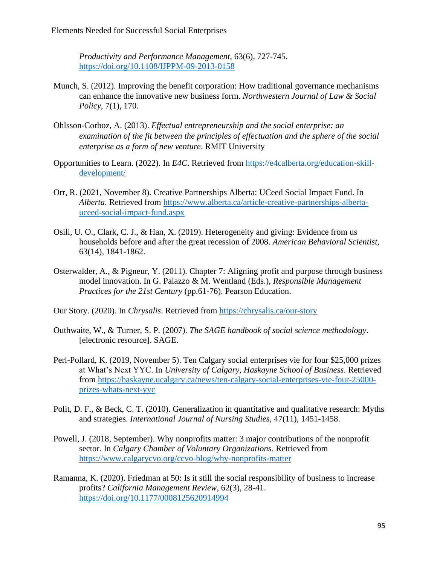*Productivity and Performance Management,* 63(6), 727-745. <https://doi.org/10.1108/IJPPM-09-2013-0158>

- Munch, S. (2012). Improving the benefit corporation: How traditional governance mechanisms can enhance the innovative new business form. *Northwestern Journal of Law & Social Policy*, 7(1), 170.
- Ohlsson-Corboz, A. (2013). *Effectual entrepreneurship and the social enterprise: an examination of the fit between the principles of effectuation and the sphere of the social enterprise as a form of new venture*. RMIT University
- Opportunities to Learn. (2022). In *E4C*. Retrieved from [https://e4calberta.org/education-skill](https://e4calberta.org/education-skill-development/)[development/](https://e4calberta.org/education-skill-development/)
- Orr, R. (2021, November 8). Creative Partnerships Alberta: UCeed Social Impact Fund. In *Alberta*. Retrieved from [https://www.alberta.ca/article-creative-partnerships-alberta](https://www.alberta.ca/article-creative-partnerships-alberta-uceed-social-impact-fund.aspx)[uceed-social-impact-fund.aspx](https://www.alberta.ca/article-creative-partnerships-alberta-uceed-social-impact-fund.aspx)
- Osili, U. O., Clark, C. J., & Han, X. (2019). Heterogeneity and giving: Evidence from us households before and after the great recession of 2008. *American Behavioral Scientist,* 63(14), 1841-1862.
- Osterwalder, A., & Pigneur, Y. (2011). Chapter 7: Aligning profit and purpose through business model innovation. In G. Palazzo & M. Wentland (Eds.), *Responsible Management Practices for the 21st Century* (pp.61-76). Pearson Education.
- Our Story. (2020). In *Chrysalis*. Retrieved from<https://chrysalis.ca/our-story>
- Outhwaite, W., & Turner, S. P. (2007). *The SAGE handbook of social science methodology*. [electronic resource]. SAGE.
- Perl-Pollard, K. (2019, November 5). Ten Calgary social enterprises vie for four \$25,000 prizes at What's Next YYC. In *University of Calgary, Haskayne School of Business*. Retrieved from [https://haskayne.ucalgary.ca/news/ten-calgary-social-enterprises-vie-four-25000](https://haskayne.ucalgary.ca/news/ten-calgary-social-enterprises-vie-four-25000-prizes-whats-next-yyc) [prizes-whats-next-yyc](https://haskayne.ucalgary.ca/news/ten-calgary-social-enterprises-vie-four-25000-prizes-whats-next-yyc)
- Polit, D. F., & Beck, C. T. (2010). Generalization in quantitative and qualitative research: Myths and strategies. *International Journal of Nursing Studies*, 47(11), 1451-1458.
- Powell, J. (2018, September). Why nonprofits matter: 3 major contributions of the nonprofit sector. In *Calgary Chamber of Voluntary Organizations*. Retrieved from <https://www.calgarycvo.org/ccvo-blog/why-nonprofits-matter>
- Ramanna, K. (2020). Friedman at 50: Is it still the social responsibility of business to increase profits? *California Management Review*, 62(3), 28-41. <https://doi.org/10.1177/0008125620914994>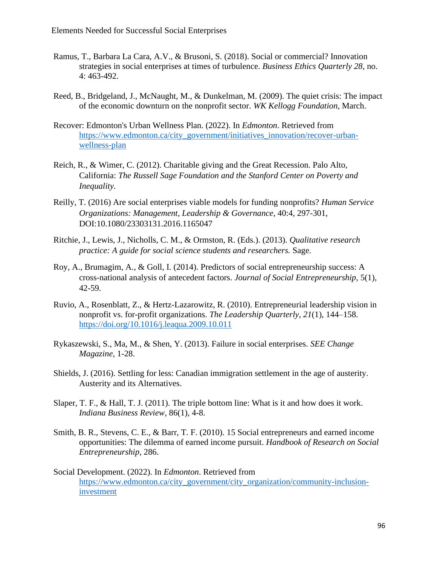- Ramus, T., Barbara La Cara, A.V., & Brusoni, S. (2018). Social or commercial? Innovation strategies in social enterprises at times of turbulence. *Business Ethics Quarterly 28*, no. 4: 463-492.
- Reed, B., Bridgeland, J., McNaught, M., & Dunkelman, M. (2009). The quiet crisis: The impact of the economic downturn on the nonprofit sector. *WK Kellogg Foundation*, March.
- Recover: Edmonton's Urban Wellness Plan. (2022). In *Edmonton*. Retrieved from [https://www.edmonton.ca/city\\_government/initiatives\\_innovation/recover-urban](https://www.edmonton.ca/city_government/initiatives_innovation/recover-urban-wellness-plan)[wellness-plan](https://www.edmonton.ca/city_government/initiatives_innovation/recover-urban-wellness-plan)
- Reich, R., & Wimer, C. (2012). Charitable giving and the Great Recession. Palo Alto, California: *The Russell Sage Foundation and the Stanford Center on Poverty and Inequality.*
- Reilly, T. (2016) Are social enterprises viable models for funding nonprofits? *Human Service Organizations: Management, Leadership & Governance*, 40:4, 297-301, DOI:10.1080/23303131.2016.1165047
- Ritchie, J., Lewis, J., Nicholls, C. M., & Ormston, R. (Eds.). (2013). *Qualitative research practice: A guide for social science students and researchers.* Sage*.*
- Roy, A., Brumagim, A., & Goll, I. (2014). Predictors of social entrepreneurship success: A cross-national analysis of antecedent factors. *Journal of Social Entrepreneurship*, 5(1), 42-59.
- Ruvio, A., Rosenblatt, Z., & Hertz-Lazarowitz, R. (2010). Entrepreneurial leadership vision in nonprofit vs. for-profit organizations. *The Leadership Quarterly*, *21*(1), 144–158. <https://doi.org/10.1016/j.leaqua.2009.10.011>
- Rykaszewski, S., Ma, M., & Shen, Y. (2013). Failure in social enterprises. *SEE Change Magazine*, 1-28.
- Shields, J. (2016). Settling for less: Canadian immigration settlement in the age of austerity. Austerity and its Alternatives.
- Slaper, T. F., & Hall, T. J. (2011). The triple bottom line: What is it and how does it work. *Indiana Business Review*, 86(1), 4-8.
- Smith, B. R., Stevens, C. E., & Barr, T. F. (2010). 15 Social entrepreneurs and earned income opportunities: The dilemma of earned income pursuit. *Handbook of Research on Social Entrepreneurship*, 286.
- Social Development. (2022). In *Edmonton*. Retrieved from [https://www.edmonton.ca/city\\_government/city\\_organization/community-inclusion](https://www.edmonton.ca/city_government/city_organization/community-inclusion-investment)[investment](https://www.edmonton.ca/city_government/city_organization/community-inclusion-investment)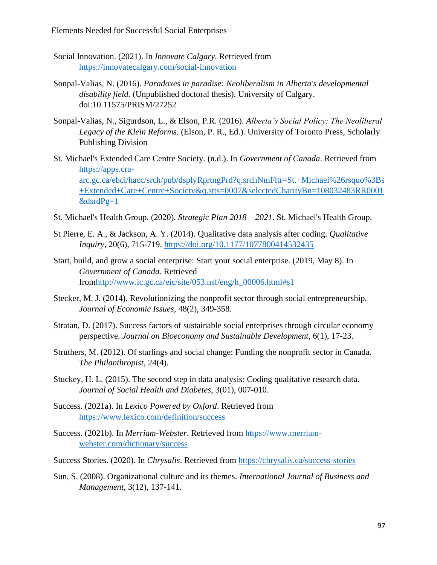- Social Innovation. (2021). In *Innovate Calgary*. Retrieved from <https://innovatecalgary.com/social-innovation>
- Sonpal-Valias, N. (2016). *Paradoxes in paradise: Neoliberalism in Alberta's developmental disability field.* (Unpublished doctoral thesis). University of Calgary. doi:10.11575/PRISM/27252
- Sonpal-Valias, N., Sigurdson, L., & Elson, P.R. (2016). *Alberta's Social Policy: The Neoliberal Legacy of the Klein Reforms.* (Elson, P. R., Ed.). University of Toronto Press, Scholarly Publishing Division
- St. Michael's Extended Care Centre Society. (n.d.). In *Government of Canada*. Retrieved from [https://apps.cra](https://apps.cra-arc.gc.ca/ebci/hacc/srch/pub/dsplyRprtngPrd?q.srchNmFltr=St.+Michael%26rsquo%3Bs+Extended+Care+Centre+Society&q.stts=0007&selectedCharityBn=108032483RR0001&dsrdPg=1)[arc.gc.ca/ebci/hacc/srch/pub/dsplyRprtngPrd?q.srchNmFltr=St.+Michael%26rsquo%3Bs](https://apps.cra-arc.gc.ca/ebci/hacc/srch/pub/dsplyRprtngPrd?q.srchNmFltr=St.+Michael%26rsquo%3Bs+Extended+Care+Centre+Society&q.stts=0007&selectedCharityBn=108032483RR0001&dsrdPg=1) [+Extended+Care+Centre+Society&q.stts=0007&selectedCharityBn=108032483RR0001](https://apps.cra-arc.gc.ca/ebci/hacc/srch/pub/dsplyRprtngPrd?q.srchNmFltr=St.+Michael%26rsquo%3Bs+Extended+Care+Centre+Society&q.stts=0007&selectedCharityBn=108032483RR0001&dsrdPg=1)  $\&$ dsrdPg=1
- St. Michael's Health Group. (2020). *Strategic Plan 2018 – 2021*. St. Michael's Health Group.
- St Pierre, E. A., & Jackson, A. Y. (2014). Qualitative data analysis after coding. *Qualitative Inquiry*, 20(6), 715-719.<https://doi.org/10.1177/1077800414532435>
- Start, build, and grow a social enterprise: Start your social enterprise. (2019, May 8). In *Government of Canada*. Retrieved fro[mhttp://www.ic.gc.ca/eic/site/053.nsf/eng/h\\_00006.html#s1](http://www.ic.gc.ca/eic/site/053.nsf/eng/h_00006.html#s1)
- Stecker, M. J. (2014). Revolutionizing the nonprofit sector through social entrepreneurship. *Journal of Economic Issues*, 48(2), 349-358.
- Stratan, D. (2017). Success factors of sustainable social enterprises through circular economy perspective. *Journal on Bioeconomy and Sustainable Development*, 6(1), 17-23.
- Struthers, M. (2012). Of starlings and social change: Funding the nonprofit sector in Canada. *The Philanthropist*, 24(4).
- Stuckey, H. L. (2015). The second step in data analysis: Coding qualitative research data. *Journal of Social Health and Diabetes*, 3(01), 007-010.
- Success. (2021a). In *Lexico Powered by Oxford*. Retrieved from <https://www.lexico.com/definition/success>
- Success. (2021b). In *Merriam-Webster*. Retrieved from [https://www.merriam](https://www.merriam-webster.com/dictionary/success)[webster.com/dictionary/success](https://www.merriam-webster.com/dictionary/success)
- Success Stories. (2020). In *Chrysalis*. Retrieved from<https://chrysalis.ca/success-stories>
- Sun, S. (2008). Organizational culture and its themes. *International Journal of Business and Management*, 3(12), 137-141.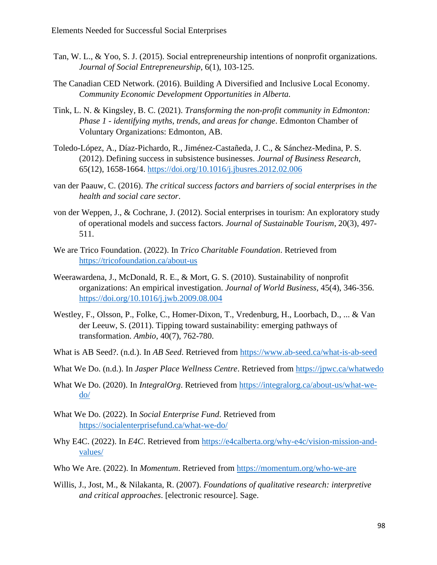- Tan, W. L., & Yoo, S. J. (2015). Social entrepreneurship intentions of nonprofit organizations. *Journal of Social Entrepreneurship*, 6(1), 103-125.
- The Canadian CED Network. (2016). Building A Diversified and Inclusive Local Economy. *Community Economic Development Opportunities in Alberta.*
- Tink, L. N. & Kingsley, B. C. (2021). *Transforming the non-profit community in Edmonton: Phase 1 - identifying myths, trends, and areas for change*. Edmonton Chamber of Voluntary Organizations: Edmonton, AB.
- Toledo-López, A., Díaz-Pichardo, R., Jiménez-Castañeda, J. C., & Sánchez-Medina, P. S. (2012). Defining success in subsistence businesses. *Journal of Business Research*, 65(12), 1658-1664.<https://doi.org/10.1016/j.jbusres.2012.02.006>
- van der Paauw, C. (2016). *The critical success factors and barriers of social enterprises in the health and social care sector*.
- von der Weppen, J., & Cochrane, J. (2012). Social enterprises in tourism: An exploratory study of operational models and success factors. *Journal of Sustainable Tourism*, 20(3), 497- 511.
- We are Trico Foundation. (2022). In *Trico Charitable Foundation*. Retrieved from <https://tricofoundation.ca/about-us>
- Weerawardena, J., McDonald, R. E., & Mort, G. S. (2010). Sustainability of nonprofit organizations: An empirical investigation. *Journal of World Business*, 45(4), 346-356. <https://doi.org/10.1016/j.jwb.2009.08.004>
- Westley, F., Olsson, P., Folke, C., Homer-Dixon, T., Vredenburg, H., Loorbach, D., ... & Van der Leeuw, S. (2011). Tipping toward sustainability: emerging pathways of transformation. *Ambio*, 40(7), 762-780.
- What is AB Seed?. (n.d.). In *AB Seed*. Retrieved from<https://www.ab-seed.ca/what-is-ab-seed>
- What We Do. (n.d.). In *Jasper Place Wellness Centre*. Retrieved from<https://jpwc.ca/whatwedo>
- What We Do. (2020). In *IntegralOrg*. Retrieved from [https://integralorg.ca/about-us/what-we](https://integralorg.ca/about-us/what-we-do/)[do/](https://integralorg.ca/about-us/what-we-do/)
- What We Do. (2022). In *Social Enterprise Fund*. Retrieved from <https://socialenterprisefund.ca/what-we-do/>
- Why E4C. (2022). In *E4C*. Retrieved from [https://e4calberta.org/why-e4c/vision-mission-and](https://e4calberta.org/why-e4c/vision-mission-and-values/)[values/](https://e4calberta.org/why-e4c/vision-mission-and-values/)
- Who We Are. (2022). In *Momentum*. Retrieved from [https://momentum.org/who-we-are](https://momentum.org/who-we-are/)
- Willis, J., Jost, M., & Nilakanta, R. (2007). *Foundations of qualitative research: interpretive and critical approaches*. [electronic resource]. Sage.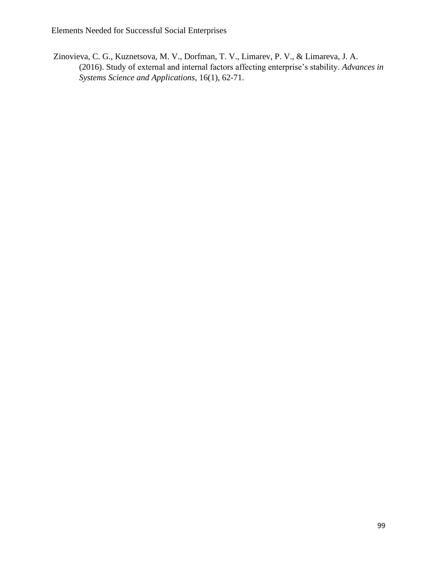Zinovieva, C. G., Kuznetsova, M. V., Dorfman, T. V., Limarev, P. V., & Limareva, J. A. (2016). Study of external and internal factors affecting enterprise's stability. *Advances in Systems Science and Applications*, 16(1), 62-71.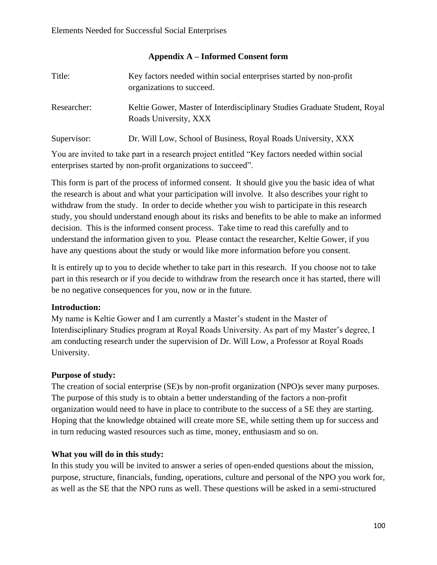## **Appendix A – Informed Consent form**

| Title:      | Key factors needed within social enterprises started by non-profit<br>organizations to succeed.    |
|-------------|----------------------------------------------------------------------------------------------------|
| Researcher: | Keltie Gower, Master of Interdisciplinary Studies Graduate Student, Royal<br>Roads University, XXX |
| Supervisor: | Dr. Will Low, School of Business, Royal Roads University, XXX                                      |

You are invited to take part in a research project entitled "Key factors needed within social enterprises started by non-profit organizations to succeed".

This form is part of the process of informed consent. It should give you the basic idea of what the research is about and what your participation will involve. It also describes your right to withdraw from the study. In order to decide whether you wish to participate in this research study, you should understand enough about its risks and benefits to be able to make an informed decision. This is the informed consent process. Take time to read this carefully and to understand the information given to you. Please contact the researcher, Keltie Gower, if you have any questions about the study or would like more information before you consent.

It is entirely up to you to decide whether to take part in this research. If you choose not to take part in this research or if you decide to withdraw from the research once it has started, there will be no negative consequences for you, now or in the future.

# **Introduction:**

My name is Keltie Gower and I am currently a Master's student in the Master of Interdisciplinary Studies program at Royal Roads University. As part of my Master's degree, I am conducting research under the supervision of Dr. Will Low, a Professor at Royal Roads University.

# **Purpose of study:**

The creation of social enterprise (SE)s by non-profit organization (NPO)s sever many purposes. The purpose of this study is to obtain a better understanding of the factors a non-profit organization would need to have in place to contribute to the success of a SE they are starting. Hoping that the knowledge obtained will create more SE, while setting them up for success and in turn reducing wasted resources such as time, money, enthusiasm and so on.

# **What you will do in this study:**

In this study you will be invited to answer a series of open-ended questions about the mission, purpose, structure, financials, funding, operations, culture and personal of the NPO you work for, as well as the SE that the NPO runs as well. These questions will be asked in a semi-structured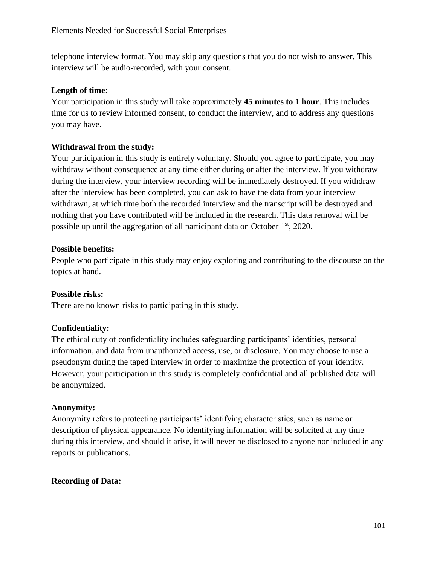telephone interview format. You may skip any questions that you do not wish to answer. This interview will be audio-recorded, with your consent.

## **Length of time:**

Your participation in this study will take approximately **45 minutes to 1 hour**. This includes time for us to review informed consent, to conduct the interview, and to address any questions you may have.

## **Withdrawal from the study:**

Your participation in this study is entirely voluntary. Should you agree to participate, you may withdraw without consequence at any time either during or after the interview. If you withdraw during the interview, your interview recording will be immediately destroyed. If you withdraw after the interview has been completed, you can ask to have the data from your interview withdrawn, at which time both the recorded interview and the transcript will be destroyed and nothing that you have contributed will be included in the research. This data removal will be possible up until the aggregation of all participant data on October  $1<sup>st</sup>$ , 2020.

## **Possible benefits:**

People who participate in this study may enjoy exploring and contributing to the discourse on the topics at hand.

## **Possible risks:**

There are no known risks to participating in this study.

# **Confidentiality:**

The ethical duty of confidentiality includes safeguarding participants' identities, personal information, and data from unauthorized access, use, or disclosure. You may choose to use a pseudonym during the taped interview in order to maximize the protection of your identity. However, your participation in this study is completely confidential and all published data will be anonymized.

## **Anonymity:**

Anonymity refers to protecting participants' identifying characteristics, such as name or description of physical appearance. No identifying information will be solicited at any time during this interview, and should it arise, it will never be disclosed to anyone nor included in any reports or publications.

## **Recording of Data:**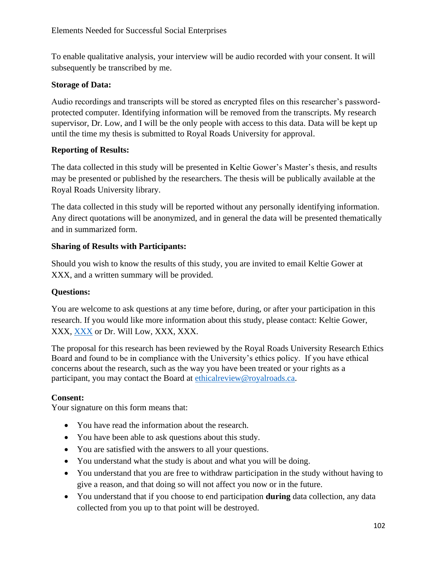To enable qualitative analysis, your interview will be audio recorded with your consent. It will subsequently be transcribed by me.

## **Storage of Data:**

Audio recordings and transcripts will be stored as encrypted files on this researcher's passwordprotected computer. Identifying information will be removed from the transcripts. My research supervisor, Dr. Low, and I will be the only people with access to this data. Data will be kept up until the time my thesis is submitted to Royal Roads University for approval.

## **Reporting of Results:**

The data collected in this study will be presented in Keltie Gower's Master's thesis, and results may be presented or published by the researchers. The thesis will be publically available at the Royal Roads University library.

The data collected in this study will be reported without any personally identifying information. Any direct quotations will be anonymized, and in general the data will be presented thematically and in summarized form.

# **Sharing of Results with Participants:**

Should you wish to know the results of this study, you are invited to email Keltie Gower at XXX, and a written summary will be provided.

# **Questions:**

You are welcome to ask questions at any time before, during, or after your participation in this research. If you would like more information about this study, please contact: Keltie Gower, XXX, [XXX](mailto:XXX) or Dr. Will Low, XXX, XXX.

The proposal for this research has been reviewed by the Royal Roads University Research Ethics Board and found to be in compliance with the University's ethics policy. If you have ethical concerns about the research, such as the way you have been treated or your rights as a participant, you may contact the Board at [ethicalreview@royalroads.ca.](mailto:ethicalreview@royalroads.ca)

# **Consent:**

Your signature on this form means that:

- You have read the information about the research.
- You have been able to ask questions about this study.
- You are satisfied with the answers to all your questions.
- You understand what the study is about and what you will be doing.
- You understand that you are free to withdraw participation in the study without having to give a reason, and that doing so will not affect you now or in the future.
- You understand that if you choose to end participation **during** data collection, any data collected from you up to that point will be destroyed.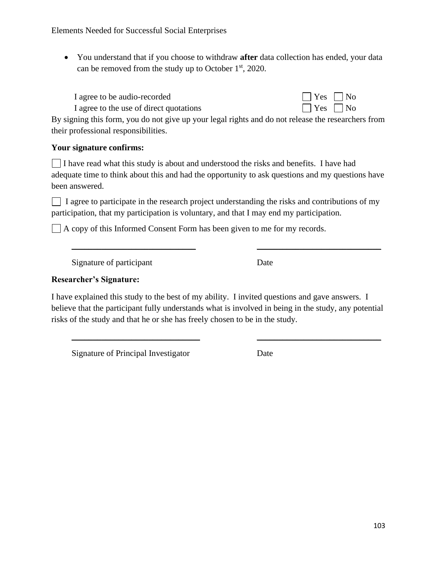• You understand that if you choose to withdraw **after** data collection has ended, your data can be removed from the study up to October 1st, 2020.

I agree to be audio-recorded  $\Box$  Yes  $\Box$  No I agree to the use of direct quotations  $\Box$  Yes  $\Box$  No



By signing this form, you do not give up your legal rights and do not release the researchers from their professional responsibilities.

# **Your signature confirms:**

I have read what this study is about and understood the risks and benefits. I have had adequate time to think about this and had the opportunity to ask questions and my questions have been answered.

 $\Box$  I agree to participate in the research project understanding the risks and contributions of my participation, that my participation is voluntary, and that I may end my participation.

\_\_\_\_\_\_\_\_\_\_\_\_\_\_\_\_\_\_\_\_\_\_\_\_\_\_\_\_\_ \_\_\_\_\_\_\_\_\_\_\_\_\_\_\_\_\_\_\_\_\_\_\_\_\_\_\_\_\_

 $\Box$  A copy of this Informed Consent Form has been given to me for my records.

Signature of participant Date

# **Researcher's Signature:**

I have explained this study to the best of my ability. I invited questions and gave answers. I believe that the participant fully understands what is involved in being in the study, any potential risks of the study and that he or she has freely chosen to be in the study.

\_\_\_\_\_\_\_\_\_\_\_\_\_\_\_\_\_\_\_\_\_\_\_\_\_\_\_\_\_\_ \_\_\_\_\_\_\_\_\_\_\_\_\_\_\_\_\_\_\_\_\_\_\_\_\_\_\_\_\_

Signature of Principal Investigator Date